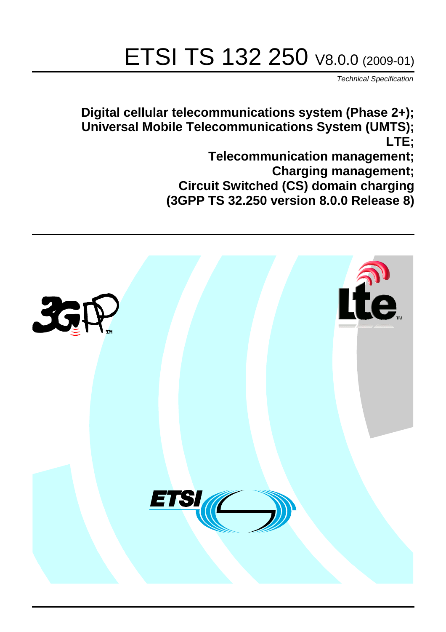# ETSI TS 132 250 V8.0.0 (2009-01)

*Technical Specification*

**Digital cellular telecommunications system (Phase 2+); Universal Mobile Telecommunications System (UMTS); LTE;**

> **Telecommunication management; Charging management; Circuit Switched (CS) domain charging (3GPP TS 32.250 version 8.0.0 Release 8)**

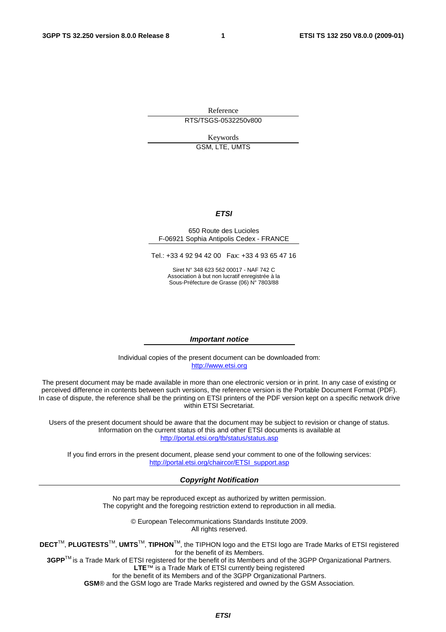Reference RTS/TSGS-0532250v800

Keywords

GSM, LTE, UMTS

#### *ETSI*

#### 650 Route des Lucioles F-06921 Sophia Antipolis Cedex - FRANCE

Tel.: +33 4 92 94 42 00 Fax: +33 4 93 65 47 16

Siret N° 348 623 562 00017 - NAF 742 C Association à but non lucratif enregistrée à la Sous-Préfecture de Grasse (06) N° 7803/88

#### *Important notice*

Individual copies of the present document can be downloaded from: [http://www.etsi.org](http://www.etsi.org/)

The present document may be made available in more than one electronic version or in print. In any case of existing or perceived difference in contents between such versions, the reference version is the Portable Document Format (PDF). In case of dispute, the reference shall be the printing on ETSI printers of the PDF version kept on a specific network drive within ETSI Secretariat.

Users of the present document should be aware that the document may be subject to revision or change of status. Information on the current status of this and other ETSI documents is available at <http://portal.etsi.org/tb/status/status.asp>

If you find errors in the present document, please send your comment to one of the following services: [http://portal.etsi.org/chaircor/ETSI\\_support.asp](http://portal.etsi.org/chaircor/ETSI_support.asp)

#### *Copyright Notification*

No part may be reproduced except as authorized by written permission. The copyright and the foregoing restriction extend to reproduction in all media.

> © European Telecommunications Standards Institute 2009. All rights reserved.

**DECT**TM, **PLUGTESTS**TM, **UMTS**TM, **TIPHON**TM, the TIPHON logo and the ETSI logo are Trade Marks of ETSI registered for the benefit of its Members.

**3GPP**TM is a Trade Mark of ETSI registered for the benefit of its Members and of the 3GPP Organizational Partners. **LTE**™ is a Trade Mark of ETSI currently being registered

for the benefit of its Members and of the 3GPP Organizational Partners.

**GSM**® and the GSM logo are Trade Marks registered and owned by the GSM Association.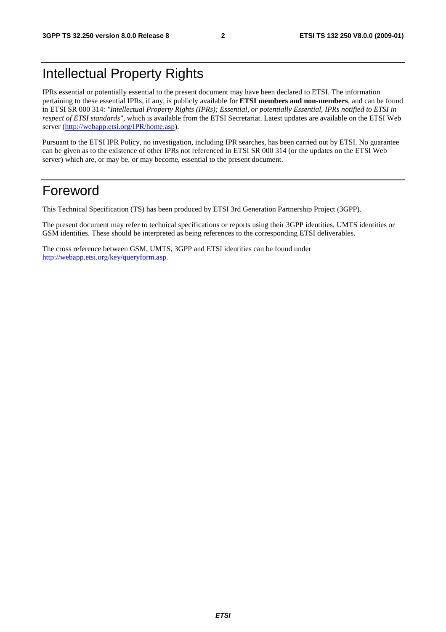### Intellectual Property Rights

IPRs essential or potentially essential to the present document may have been declared to ETSI. The information pertaining to these essential IPRs, if any, is publicly available for **ETSI members and non-members**, and can be found in ETSI SR 000 314: *"Intellectual Property Rights (IPRs); Essential, or potentially Essential, IPRs notified to ETSI in respect of ETSI standards"*, which is available from the ETSI Secretariat. Latest updates are available on the ETSI Web server (<http://webapp.etsi.org/IPR/home.asp>).

Pursuant to the ETSI IPR Policy, no investigation, including IPR searches, has been carried out by ETSI. No guarantee can be given as to the existence of other IPRs not referenced in ETSI SR 000 314 (or the updates on the ETSI Web server) which are, or may be, or may become, essential to the present document.

### Foreword

This Technical Specification (TS) has been produced by ETSI 3rd Generation Partnership Project (3GPP).

The present document may refer to technical specifications or reports using their 3GPP identities, UMTS identities or GSM identities. These should be interpreted as being references to the corresponding ETSI deliverables.

The cross reference between GSM, UMTS, 3GPP and ETSI identities can be found under [http://webapp.etsi.org/key/queryform.asp.](http://webapp.etsi.org/key/queryform.asp)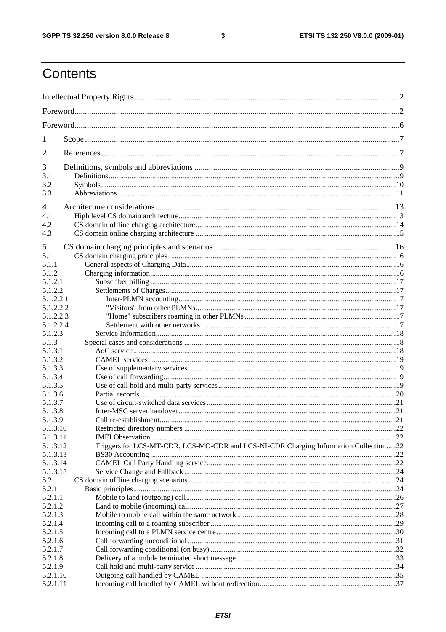$\mathbf{3}$ 

## Contents

| 1                      |                                                                                      |  |
|------------------------|--------------------------------------------------------------------------------------|--|
| 2                      |                                                                                      |  |
| 3                      |                                                                                      |  |
| 3.1                    |                                                                                      |  |
| 3.2                    |                                                                                      |  |
| 3.3                    |                                                                                      |  |
| 4                      |                                                                                      |  |
| 4.1                    |                                                                                      |  |
| 4.2                    |                                                                                      |  |
| 4.3                    |                                                                                      |  |
| 5                      |                                                                                      |  |
| 5.1                    |                                                                                      |  |
| 5.1.1                  |                                                                                      |  |
| 5.1.2                  |                                                                                      |  |
| 5.1.2.1                |                                                                                      |  |
| 5.1.2.2                |                                                                                      |  |
| 5.1.2.2.1              |                                                                                      |  |
| 5.1.2.2.2<br>5.1.2.2.3 |                                                                                      |  |
| 5.1.2.2.4              |                                                                                      |  |
| 5.1.2.3                |                                                                                      |  |
| 5.1.3                  |                                                                                      |  |
| 5.1.3.1                |                                                                                      |  |
| 5.1.3.2                |                                                                                      |  |
| 5.1.3.3                |                                                                                      |  |
| 5.1.3.4                |                                                                                      |  |
| 5.1.3.5                |                                                                                      |  |
| 5.1.3.6<br>5.1.3.7     |                                                                                      |  |
| 5.1.3.8                |                                                                                      |  |
| 5.1.3.9                |                                                                                      |  |
| 5.1.3.10               |                                                                                      |  |
| 5.1.3.11               |                                                                                      |  |
| 5.1.3.12               | Triggers for LCS-MT-CDR, LCS-MO-CDR and LCS-NI-CDR Charging Information Collection22 |  |
| 5.1.3.13               |                                                                                      |  |
| 5.1.3.14               |                                                                                      |  |
| 5.1.3.15               |                                                                                      |  |
| 5.2                    |                                                                                      |  |
| 5.2.1<br>5.2.1.1       |                                                                                      |  |
| 5.2.1.2                |                                                                                      |  |
| 5.2.1.3                |                                                                                      |  |
| 5.2.1.4                |                                                                                      |  |
| 5.2.1.5                |                                                                                      |  |
| 5.2.1.6                |                                                                                      |  |
| 5.2.1.7                |                                                                                      |  |
| 5.2.1.8                |                                                                                      |  |
| 5.2.1.9                |                                                                                      |  |
| 5.2.1.10               |                                                                                      |  |
| 5.2.1.11               |                                                                                      |  |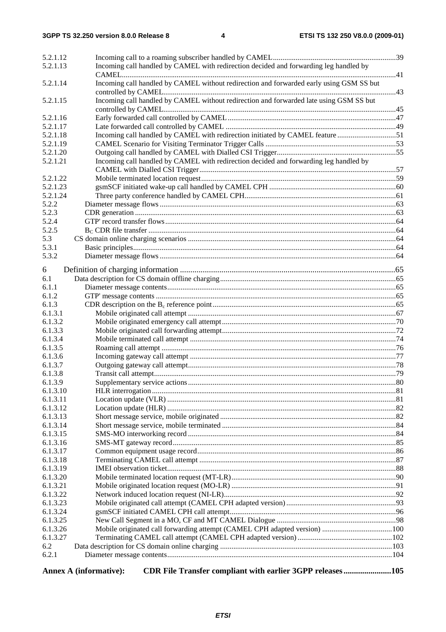| 5.2.1.12       |                                                                                         |  |
|----------------|-----------------------------------------------------------------------------------------|--|
| 5.2.1.13       | Incoming call handled by CAMEL with redirection decided and forwarding leg handled by   |  |
|                |                                                                                         |  |
| 5.2.1.14       | Incoming call handled by CAMEL without redirection and forwarded early using GSM SS but |  |
|                |                                                                                         |  |
| 5.2.1.15       | Incoming call handled by CAMEL without redirection and forwarded late using GSM SS but  |  |
|                |                                                                                         |  |
| 5.2.1.16       |                                                                                         |  |
| 5.2.1.17       |                                                                                         |  |
| 5.2.1.18       | Incoming call handled by CAMEL with redirection initiated by CAMEL feature51            |  |
| 5.2.1.19       |                                                                                         |  |
| 5.2.1.20       |                                                                                         |  |
| 5.2.1.21       | Incoming call handled by CAMEL with redirection decided and forwarding leg handled by   |  |
|                |                                                                                         |  |
| 5.2.1.22       |                                                                                         |  |
| 5.2.1.23       |                                                                                         |  |
| 5.2.1.24       |                                                                                         |  |
| 5.2.2          |                                                                                         |  |
| 5.2.3          |                                                                                         |  |
| 5.2.4          |                                                                                         |  |
| 5.2.5          |                                                                                         |  |
| 5.3            |                                                                                         |  |
| 5.3.1<br>5.3.2 |                                                                                         |  |
|                |                                                                                         |  |
| 6              |                                                                                         |  |
| 6.1            |                                                                                         |  |
| 6.1.1          |                                                                                         |  |
| 6.1.2          |                                                                                         |  |
| 6.1.3          |                                                                                         |  |
| 6.1.3.1        |                                                                                         |  |
| 6.1.3.2        |                                                                                         |  |
| 6.1.3.3        |                                                                                         |  |
| 6.1.3.4        |                                                                                         |  |
| 6.1.3.5        |                                                                                         |  |
| 6.1.3.6        |                                                                                         |  |
| 6.1.3.7        |                                                                                         |  |
| 6.1.3.8        |                                                                                         |  |
| 6.1.3.9        |                                                                                         |  |
| 6.1.3.10       |                                                                                         |  |
| 6.1.3.11       |                                                                                         |  |
| 6.1.3.12       |                                                                                         |  |
| 6.1.3.13       |                                                                                         |  |
| 6.1.3.14       |                                                                                         |  |
| 6.1.3.15       |                                                                                         |  |
| 6.1.3.16       |                                                                                         |  |
| 6.1.3.17       |                                                                                         |  |
| 6.1.3.18       |                                                                                         |  |
| 6.1.3.19       |                                                                                         |  |
| 6.1.3.20       |                                                                                         |  |
| 6.1.3.21       |                                                                                         |  |
| 6.1.3.22       |                                                                                         |  |
| 6.1.3.23       |                                                                                         |  |
| 6.1.3.24       |                                                                                         |  |
| 6.1.3.25       |                                                                                         |  |
| 6.1.3.26       |                                                                                         |  |
| 6.1.3.27       |                                                                                         |  |
| 6.2            |                                                                                         |  |
| 6.2.1          |                                                                                         |  |
|                |                                                                                         |  |

Annex A (informative): CDR File Transfer compliant with earlier 3GPP releases.......................105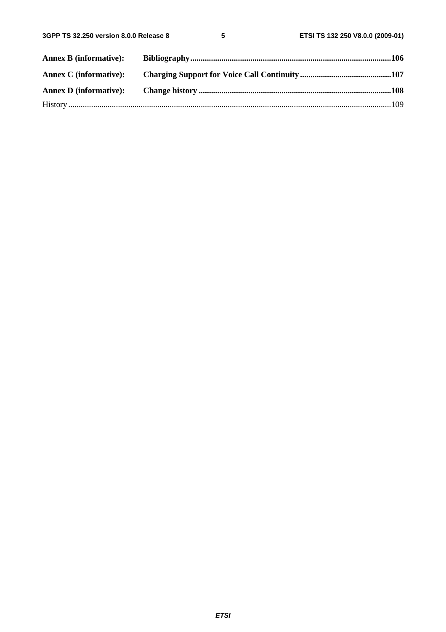| <b>Annex B (informative):</b> |  |
|-------------------------------|--|
|                               |  |
|                               |  |
|                               |  |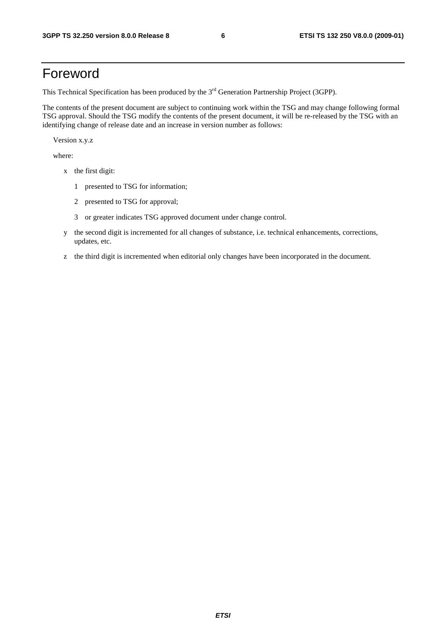### Foreword

This Technical Specification has been produced by the 3<sup>rd</sup> Generation Partnership Project (3GPP).

The contents of the present document are subject to continuing work within the TSG and may change following formal TSG approval. Should the TSG modify the contents of the present document, it will be re-released by the TSG with an identifying change of release date and an increase in version number as follows:

Version x.y.z

where:

- x the first digit:
	- 1 presented to TSG for information;
	- 2 presented to TSG for approval;
	- 3 or greater indicates TSG approved document under change control.
- y the second digit is incremented for all changes of substance, i.e. technical enhancements, corrections, updates, etc.
- z the third digit is incremented when editorial only changes have been incorporated in the document.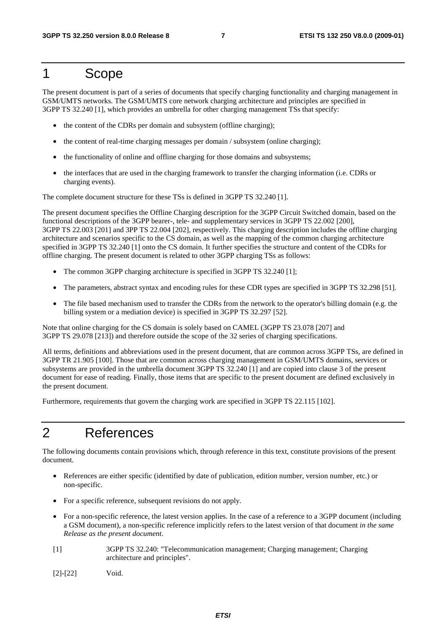### 1 Scope

The present document is part of a series of documents that specify charging functionality and charging management in GSM/UMTS networks. The GSM/UMTS core network charging architecture and principles are specified in 3GPP TS 32.240 [1], which provides an umbrella for other charging management TSs that specify:

- the content of the CDRs per domain and subsystem (offline charging);
- the content of real-time charging messages per domain / subsystem (online charging);
- the functionality of online and offline charging for those domains and subsystems;
- the interfaces that are used in the charging framework to transfer the charging information (i.e. CDRs or charging events).

The complete document structure for these TSs is defined in 3GPP TS 32.240 [1].

The present document specifies the Offline Charging description for the 3GPP Circuit Switched domain, based on the functional descriptions of the 3GPP bearer-, tele- and supplementary services in 3GPP TS 22.002 [200], 3GPP TS 22.003 [201] and 3PP TS 22.004 [202], respectively. This charging description includes the offline charging architecture and scenarios specific to the CS domain, as well as the mapping of the common charging architecture specified in 3GPP TS 32.240 [1] onto the CS domain. It further specifies the structure and content of the CDRs for offline charging. The present document is related to other 3GPP charging TSs as follows:

- The common 3GPP charging architecture is specified in 3GPP TS 32.240 [1];
- The parameters, abstract syntax and encoding rules for these CDR types are specified in 3GPP TS 32.298 [51].
- The file based mechanism used to transfer the CDRs from the network to the operator's billing domain (e.g. the billing system or a mediation device) is specified in 3GPP TS 32.297 [52].

Note that online charging for the CS domain is solely based on CAMEL (3GPP TS 23.078 [207] and 3GPP TS 29.078 [213]) and therefore outside the scope of the 32 series of charging specifications.

All terms, definitions and abbreviations used in the present document, that are common across 3GPP TSs, are defined in 3GPP TR 21.905 [100]. Those that are common across charging management in GSM/UMTS domains, services or subsystems are provided in the umbrella document 3GPP TS 32.240 [1] and are copied into clause 3 of the present document for ease of reading. Finally, those items that are specific to the present document are defined exclusively in the present document.

Furthermore, requirements that govern the charging work are specified in 3GPP TS 22.115 [102].

### 2 References

The following documents contain provisions which, through reference in this text, constitute provisions of the present document.

- References are either specific (identified by date of publication, edition number, version number, etc.) or non-specific.
- For a specific reference, subsequent revisions do not apply.
- For a non-specific reference, the latest version applies. In the case of a reference to a 3GPP document (including a GSM document), a non-specific reference implicitly refers to the latest version of that document *in the same Release as the present document*.
- [1] 3GPP TS 32.240: "Telecommunication management; Charging management; Charging architecture and principles".
- [2]-[22] Void.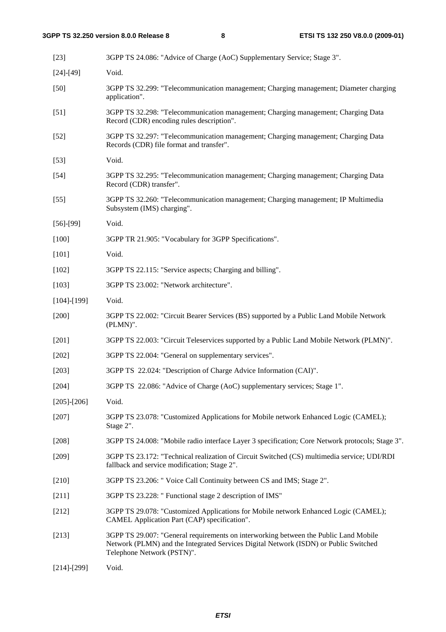| $[23]$            | 3GPP TS 24.086: "Advice of Charge (AoC) Supplementary Service; Stage 3".                                                                                                                                   |
|-------------------|------------------------------------------------------------------------------------------------------------------------------------------------------------------------------------------------------------|
| $[24] - [49]$     | Void.                                                                                                                                                                                                      |
| $[50]$            | 3GPP TS 32.299: "Telecommunication management; Charging management; Diameter charging<br>application".                                                                                                     |
| $[51]$            | 3GPP TS 32.298: "Telecommunication management; Charging management; Charging Data<br>Record (CDR) encoding rules description".                                                                             |
| $[52]$            | 3GPP TS 32.297: "Telecommunication management; Charging management; Charging Data<br>Records (CDR) file format and transfer".                                                                              |
| $[53]$            | Void.                                                                                                                                                                                                      |
| $[54]$            | 3GPP TS 32.295: "Telecommunication management; Charging management; Charging Data<br>Record (CDR) transfer".                                                                                               |
| $[55]$            | 3GPP TS 32.260: "Telecommunication management; Charging management; IP Multimedia<br>Subsystem (IMS) charging".                                                                                            |
| $[56]-[99]$       | Void.                                                                                                                                                                                                      |
| $[100]$           | 3GPP TR 21.905: "Vocabulary for 3GPP Specifications".                                                                                                                                                      |
| $[101]$           | Void.                                                                                                                                                                                                      |
| $[102]$           | 3GPP TS 22.115: "Service aspects; Charging and billing".                                                                                                                                                   |
| [103]             | 3GPP TS 23.002: "Network architecture".                                                                                                                                                                    |
| $[104]$ - $[199]$ | Void.                                                                                                                                                                                                      |
| $[200]$           | 3GPP TS 22.002: "Circuit Bearer Services (BS) supported by a Public Land Mobile Network<br>$(PLMN)$ ".                                                                                                     |
| $[201]$           | 3GPP TS 22.003: "Circuit Teleservices supported by a Public Land Mobile Network (PLMN)".                                                                                                                   |
| $[202]$           | 3GPP TS 22.004: "General on supplementary services".                                                                                                                                                       |
| $[203]$           | 3GPP TS 22.024: "Description of Charge Advice Information (CAI)".                                                                                                                                          |
| [204]             | 3GPP TS 22.086: "Advice of Charge (AoC) supplementary services; Stage 1".                                                                                                                                  |
| $[205]$ - $[206]$ | Void.                                                                                                                                                                                                      |
| $[207]$           | 3GPP TS 23.078: "Customized Applications for Mobile network Enhanced Logic (CAMEL);<br>Stage 2".                                                                                                           |
| $[208]$           | 3GPP TS 24.008: "Mobile radio interface Layer 3 specification; Core Network protocols; Stage 3".                                                                                                           |
| $[209]$           | 3GPP TS 23.172: "Technical realization of Circuit Switched (CS) multimedia service; UDI/RDI<br>fallback and service modification; Stage 2".                                                                |
| $[210]$           | 3GPP TS 23.206: " Voice Call Continuity between CS and IMS; Stage 2".                                                                                                                                      |
| $[211]$           | 3GPP TS 23.228: " Functional stage 2 description of IMS"                                                                                                                                                   |
| $[212]$           | 3GPP TS 29.078: "Customized Applications for Mobile network Enhanced Logic (CAMEL);<br>CAMEL Application Part (CAP) specification".                                                                        |
| [213]             | 3GPP TS 29.007: "General requirements on interworking between the Public Land Mobile<br>Network (PLMN) and the Integrated Services Digital Network (ISDN) or Public Switched<br>Telephone Network (PSTN)". |
|                   |                                                                                                                                                                                                            |

[214]-[299] Void.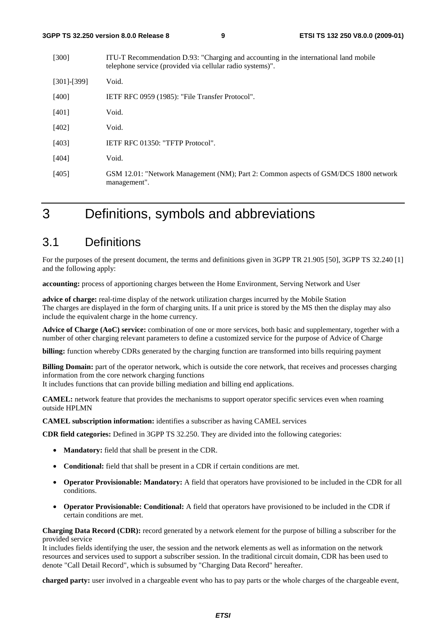| [300]             | ITU-T Recommendation D.93: "Charging and accounting in the international land mobile<br>telephone service (provided via cellular radio systems)". |
|-------------------|---------------------------------------------------------------------------------------------------------------------------------------------------|
| $[301]$ - $[399]$ | Void.                                                                                                                                             |
| [400]             | IETF RFC 0959 (1985): "File Transfer Protocol".                                                                                                   |
| [401]             | Void.                                                                                                                                             |
| [402]             | Void.                                                                                                                                             |
| [403]             | <b>IETF RFC 01350: "TFTP Protocol".</b>                                                                                                           |
| [404]             | Void.                                                                                                                                             |
| [405]             | GSM 12.01: "Network Management (NM); Part 2: Common aspects of GSM/DCS 1800 network<br>management".                                               |

### 3 Definitions, symbols and abbreviations

### 3.1 Definitions

For the purposes of the present document, the terms and definitions given in 3GPP TR 21.905 [50], 3GPP TS 32.240 [1] and the following apply:

**accounting:** process of apportioning charges between the Home Environment, Serving Network and User

**advice of charge:** real-time display of the network utilization charges incurred by the Mobile Station The charges are displayed in the form of charging units. If a unit price is stored by the MS then the display may also include the equivalent charge in the home currency.

**Advice of Charge (AoC) service:** combination of one or more services, both basic and supplementary, together with a number of other charging relevant parameters to define a customized service for the purpose of Advice of Charge

**billing:** function whereby CDRs generated by the charging function are transformed into bills requiring payment

**Billing Domain:** part of the operator network, which is outside the core network, that receives and processes charging information from the core network charging functions

It includes functions that can provide billing mediation and billing end applications.

**CAMEL:** network feature that provides the mechanisms to support operator specific services even when roaming outside HPLMN

**CAMEL subscription information:** identifies a subscriber as having CAMEL services

**CDR field categories:** Defined in 3GPP TS 32.250. They are divided into the following categories:

- **Mandatory:** field that shall be present in the CDR.
- **Conditional:** field that shall be present in a CDR if certain conditions are met.
- **Operator Provisionable: Mandatory:** A field that operators have provisioned to be included in the CDR for all conditions.
- **Operator Provisionable: Conditional:** A field that operators have provisioned to be included in the CDR if certain conditions are met.

**Charging Data Record (CDR):** record generated by a network element for the purpose of billing a subscriber for the provided service

It includes fields identifying the user, the session and the network elements as well as information on the network resources and services used to support a subscriber session. In the traditional circuit domain, CDR has been used to denote "Call Detail Record", which is subsumed by "Charging Data Record" hereafter.

**charged party:** user involved in a chargeable event who has to pay parts or the whole charges of the chargeable event,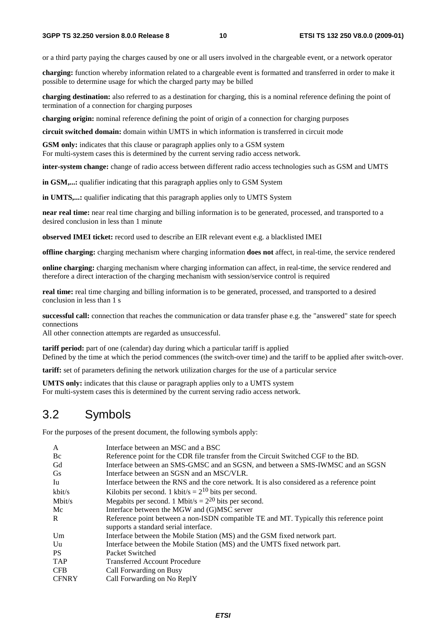or a third party paying the charges caused by one or all users involved in the chargeable event, or a network operator

**charging:** function whereby information related to a chargeable event is formatted and transferred in order to make it possible to determine usage for which the charged party may be billed

**charging destination:** also referred to as a destination for charging, this is a nominal reference defining the point of termination of a connection for charging purposes

**charging origin:** nominal reference defining the point of origin of a connection for charging purposes

**circuit switched domain:** domain within UMTS in which information is transferred in circuit mode

**GSM only:** indicates that this clause or paragraph applies only to a GSM system For multi-system cases this is determined by the current serving radio access network.

**inter-system change:** change of radio access between different radio access technologies such as GSM and UMTS

**in GSM,...:** qualifier indicating that this paragraph applies only to GSM System

**in UMTS,...:** qualifier indicating that this paragraph applies only to UMTS System

**near real time:** near real time charging and billing information is to be generated, processed, and transported to a desired conclusion in less than 1 minute

**observed IMEI ticket:** record used to describe an EIR relevant event e.g. a blacklisted IMEI

**offline charging:** charging mechanism where charging information **does not** affect, in real-time, the service rendered

**online charging:** charging mechanism where charging information can affect, in real-time, the service rendered and therefore a direct interaction of the charging mechanism with session/service control is required

**real time:** real time charging and billing information is to be generated, processed, and transported to a desired conclusion in less than 1 s

**successful call:** connection that reaches the communication or data transfer phase e.g. the "answered" state for speech connections

All other connection attempts are regarded as unsuccessful.

**tariff period:** part of one (calendar) day during which a particular tariff is applied Defined by the time at which the period commences (the switch-over time) and the tariff to be applied after switch-over.

**tariff:** set of parameters defining the network utilization charges for the use of a particular service

**UMTS only:** indicates that this clause or paragraph applies only to a UMTS system For multi-system cases this is determined by the current serving radio access network.

### 3.2 Symbols

For the purposes of the present document, the following symbols apply:

| A            | Interface between an MSC and a BSC                                                         |
|--------------|--------------------------------------------------------------------------------------------|
| Bc           | Reference point for the CDR file transfer from the Circuit Switched CGF to the BD.         |
| Gd           | Interface between an SMS-GMSC and an SGSN, and between a SMS-IWMSC and an SGSN             |
| <b>Gs</b>    | Interface between an SGSN and an MSC/VLR.                                                  |
| Iu           | Interface between the RNS and the core network. It is also considered as a reference point |
| kbit/s       | Kilobits per second. 1 kbit/s = $2^{10}$ bits per second.                                  |
| Mbit/s       | Megabits per second. 1 Mbit/s = $2^{20}$ bits per second.                                  |
| Mc           | Interface between the MGW and (G)MSC server                                                |
| $\mathbf{R}$ | Reference point between a non-ISDN compatible TE and MT. Typically this reference point    |
|              | supports a standard serial interface.                                                      |
| Um           | Interface between the Mobile Station (MS) and the GSM fixed network part.                  |
| Uu           | Interface between the Mobile Station (MS) and the UMTS fixed network part.                 |
| <b>PS</b>    | Packet Switched                                                                            |
| <b>TAP</b>   | <b>Transferred Account Procedure</b>                                                       |
| <b>CFB</b>   | Call Forwarding on Busy                                                                    |
| <b>CFNRY</b> | Call Forwarding on No ReplY                                                                |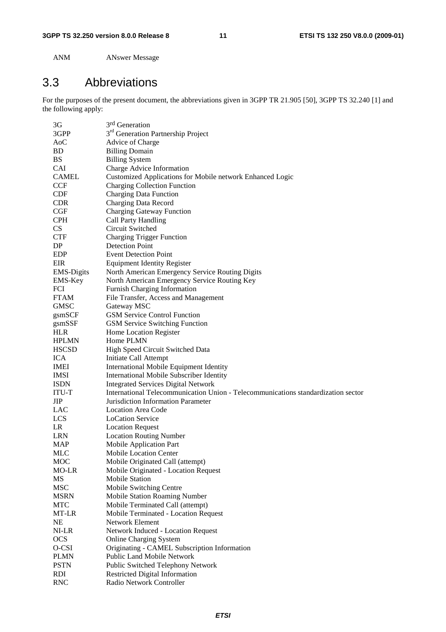ANM ANswer Message

### 3.3 Abbreviations

For the purposes of the present document, the abbreviations given in 3GPP TR 21.905 [50], 3GPP TS 32.240 [1] and the following apply:

| 3G                   | 3 <sup>rd</sup> Generation                                                        |
|----------------------|-----------------------------------------------------------------------------------|
| 3GPP                 | 3 <sup>rd</sup> Generation Partnership Project                                    |
| A <sub>0</sub> C     | Advice of Charge                                                                  |
| BD                   | <b>Billing Domain</b>                                                             |
| <b>BS</b>            | <b>Billing System</b>                                                             |
| <b>CAI</b>           | Charge Advice Information                                                         |
| <b>CAMEL</b>         | Customized Applications for Mobile network Enhanced Logic                         |
| <b>CCF</b>           | <b>Charging Collection Function</b>                                               |
| <b>CDF</b>           | <b>Charging Data Function</b>                                                     |
| <b>CDR</b>           | Charging Data Record                                                              |
| CGF                  | <b>Charging Gateway Function</b>                                                  |
| <b>CPH</b>           | Call Party Handling                                                               |
| <b>CS</b>            | Circuit Switched                                                                  |
| <b>CTF</b>           | <b>Charging Trigger Function</b>                                                  |
| DP                   | <b>Detection Point</b>                                                            |
| EDP                  | <b>Event Detection Point</b>                                                      |
| <b>EIR</b>           | <b>Equipment Identity Register</b>                                                |
| <b>EMS-Digits</b>    | North American Emergency Service Routing Digits                                   |
| EMS-Key              | North American Emergency Service Routing Key                                      |
| <b>FCI</b>           | Furnish Charging Information                                                      |
| <b>FTAM</b>          | File Transfer, Access and Management                                              |
| <b>GMSC</b>          | Gateway MSC                                                                       |
|                      | <b>GSM Service Control Function</b>                                               |
| gsmSCF               |                                                                                   |
| gsmSSF<br><b>HLR</b> | <b>GSM Service Switching Function</b>                                             |
|                      | Home Location Register                                                            |
| <b>HPLMN</b>         | Home PLMN                                                                         |
| <b>HSCSD</b>         | High Speed Circuit Switched Data                                                  |
| <b>ICA</b>           | Initiate Call Attempt                                                             |
| IMEI                 | International Mobile Equipment Identity                                           |
| <b>IMSI</b>          | <b>International Mobile Subscriber Identity</b>                                   |
| <b>ISDN</b>          | <b>Integrated Services Digital Network</b>                                        |
| ITU-T                | International Telecommunication Union - Telecommunications standardization sector |
| JIP                  | Jurisdiction Information Parameter                                                |
| LAC                  | <b>Location Area Code</b>                                                         |
| <b>LCS</b>           | <b>LoCation Service</b>                                                           |
| LR                   | <b>Location Request</b>                                                           |
| LRN                  | <b>Location Routing Number</b>                                                    |
| MAP                  | Mobile Application Part                                                           |
| <b>MLC</b>           | <b>Mobile Location Center</b>                                                     |
| <b>MOC</b>           | Mobile Originated Call (attempt)                                                  |
| MO-LR                | Mobile Originated - Location Request                                              |
| MS                   | <b>Mobile Station</b>                                                             |
| <b>MSC</b>           | Mobile Switching Centre                                                           |
| <b>MSRN</b>          | <b>Mobile Station Roaming Number</b>                                              |
| <b>MTC</b>           | Mobile Terminated Call (attempt)                                                  |
| MT-LR                | Mobile Terminated - Location Request                                              |
| NE                   | Network Element                                                                   |
| NI-LR                | Network Induced - Location Request                                                |
| <b>OCS</b>           | <b>Online Charging System</b>                                                     |
| O-CSI                | Originating - CAMEL Subscription Information                                      |
| <b>PLMN</b>          | Public Land Mobile Network                                                        |
| <b>PSTN</b>          | Public Switched Telephony Network                                                 |
| <b>RDI</b>           | <b>Restricted Digital Information</b>                                             |
| <b>RNC</b>           | Radio Network Controller                                                          |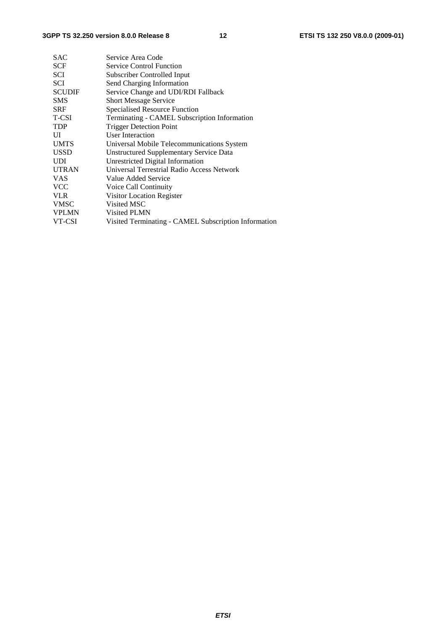| <b>SAC</b>    | Service Area Code                                    |
|---------------|------------------------------------------------------|
| <b>SCF</b>    | <b>Service Control Function</b>                      |
| SCI           | Subscriber Controlled Input                          |
| SCI           | Send Charging Information                            |
| <b>SCUDIF</b> | Service Change and UDI/RDI Fallback                  |
| <b>SMS</b>    | <b>Short Message Service</b>                         |
| <b>SRF</b>    | Specialised Resource Function                        |
| T-CSI         | Terminating - CAMEL Subscription Information         |
| <b>TDP</b>    | <b>Trigger Detection Point</b>                       |
| UI            | User Interaction                                     |
| <b>UMTS</b>   | Universal Mobile Telecommunications System           |
| <b>USSD</b>   | Unstructured Supplementary Service Data              |
| <b>UDI</b>    | Unrestricted Digital Information                     |
| <b>UTRAN</b>  | Universal Terrestrial Radio Access Network           |
| <b>VAS</b>    | Value Added Service                                  |
| <b>VCC</b>    | Voice Call Continuity                                |
| <b>VLR</b>    | Visitor Location Register                            |
| <b>VMSC</b>   | Visited MSC                                          |
| <b>VPLMN</b>  | Visited PLMN                                         |
| VT-CSI        | Visited Terminating - CAMEL Subscription Information |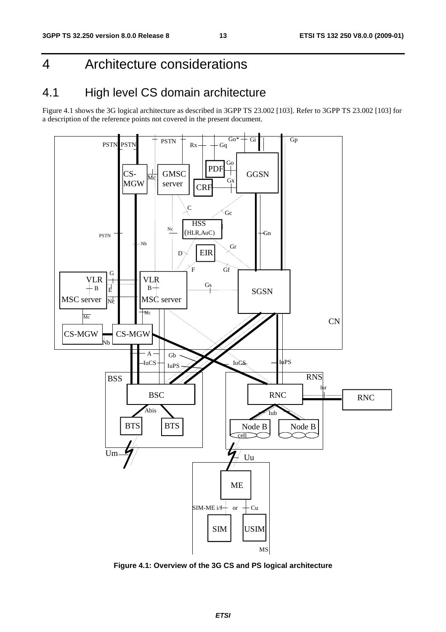### 4 Architecture considerations

### 4.1 High level CS domain architecture

Figure 4.1 shows the 3G logical architecture as described in 3GPP TS 23.002 [103]. Refer to 3GPP TS 23.002 [103] for a description of the reference points not covered in the present document.



**Figure 4.1: Overview of the 3G CS and PS logical architecture**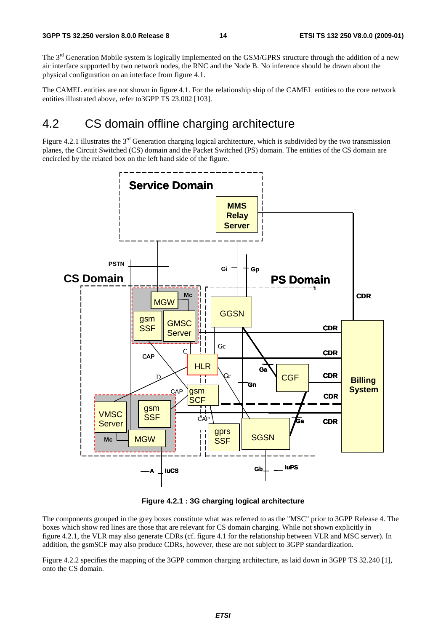The  $3<sup>rd</sup>$  Generation Mobile system is logically implemented on the GSM/GPRS structure through the addition of a new air interface supported by two network nodes, the RNC and the Node B. No inference should be drawn about the physical configuration on an interface from figure 4.1.

The CAMEL entities are not shown in figure 4.1. For the relationship ship of the CAMEL entities to the core network entities illustrated above, refer to3GPP TS 23.002 [103].

### 4.2 CS domain offline charging architecture

Figure 4.2.1 illustrates the  $3<sup>rd</sup>$  Generation charging logical architecture, which is subdivided by the two transmission planes, the Circuit Switched (CS) domain and the Packet Switched (PS) domain. The entities of the CS domain are encircled by the related box on the left hand side of the figure.



**Figure 4.2.1 : 3G charging logical architecture** 

The components grouped in the grey boxes constitute what was referred to as the "MSC" prior to 3GPP Release 4. The boxes which show red lines are those that are relevant for CS domain charging. While not shown explicitly in figure 4.2.1, the VLR may also generate CDRs (cf. figure 4.1 for the relationship between VLR and MSC server). In addition, the gsmSCF may also produce CDRs, however, these are not subject to 3GPP standardization.

Figure 4.2.2 specifies the mapping of the 3GPP common charging architecture, as laid down in 3GPP TS 32.240 [1], onto the CS domain.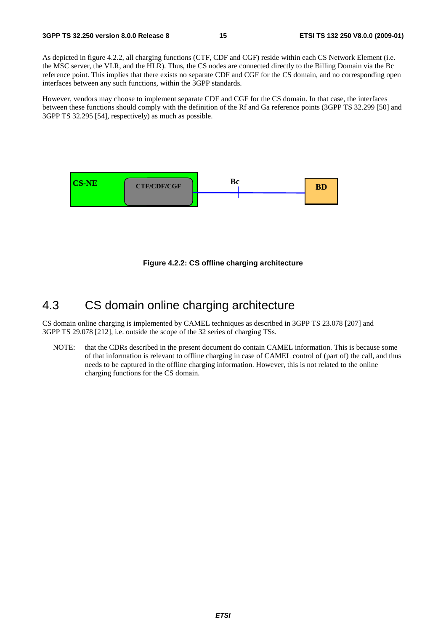As depicted in figure 4.2.2, all charging functions (CTF, CDF and CGF) reside within each CS Network Element (i.e. the MSC server, the VLR, and the HLR). Thus, the CS nodes are connected directly to the Billing Domain via the Bc reference point. This implies that there exists no separate CDF and CGF for the CS domain, and no corresponding open interfaces between any such functions, within the 3GPP standards.

However, vendors may choose to implement separate CDF and CGF for the CS domain. In that case, the interfaces between these functions should comply with the definition of the Rf and Ga reference points (3GPP TS 32.299 [50] and 3GPP TS 32.295 [54], respectively) as much as possible.



**Figure 4.2.2: CS offline charging architecture** 

### 4.3 CS domain online charging architecture

CS domain online charging is implemented by CAMEL techniques as described in 3GPP TS 23.078 [207] and 3GPP TS 29.078 [212], i.e. outside the scope of the 32 series of charging TSs.

NOTE: that the CDRs described in the present document do contain CAMEL information. This is because some of that information is relevant to offline charging in case of CAMEL control of (part of) the call, and thus needs to be captured in the offline charging information. However, this is not related to the online charging functions for the CS domain.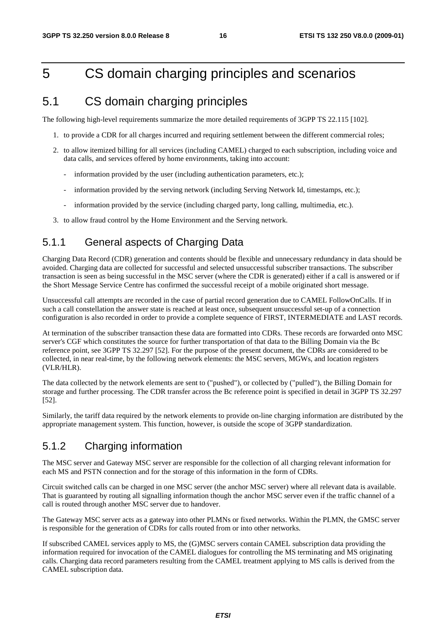### 5 CS domain charging principles and scenarios

### 5.1 CS domain charging principles

The following high-level requirements summarize the more detailed requirements of 3GPP TS 22.115 [102].

- 1. to provide a CDR for all charges incurred and requiring settlement between the different commercial roles;
- 2. to allow itemized billing for all services (including CAMEL) charged to each subscription, including voice and data calls, and services offered by home environments, taking into account:
	- information provided by the user (including authentication parameters, etc.);
	- information provided by the serving network (including Serving Network Id, timestamps, etc.);
	- information provided by the service (including charged party, long calling, multimedia, etc.).
- 3. to allow fraud control by the Home Environment and the Serving network.

### 5.1.1 General aspects of Charging Data

Charging Data Record (CDR) generation and contents should be flexible and unnecessary redundancy in data should be avoided. Charging data are collected for successful and selected unsuccessful subscriber transactions. The subscriber transaction is seen as being successful in the MSC server (where the CDR is generated) either if a call is answered or if the Short Message Service Centre has confirmed the successful receipt of a mobile originated short message.

Unsuccessful call attempts are recorded in the case of partial record generation due to CAMEL FollowOnCalls. If in such a call constellation the answer state is reached at least once, subsequent unsuccessful set-up of a connection configuration is also recorded in order to provide a complete sequence of FIRST, INTERMEDIATE and LAST records.

At termination of the subscriber transaction these data are formatted into CDRs. These records are forwarded onto MSC server's CGF which constitutes the source for further transportation of that data to the Billing Domain via the Bc reference point, see 3GPP TS 32.297 [52]. For the purpose of the present document, the CDRs are considered to be collected, in near real-time, by the following network elements: the MSC servers, MGWs, and location registers (VLR/HLR).

The data collected by the network elements are sent to ("pushed"), or collected by ("pulled"), the Billing Domain for storage and further processing. The CDR transfer across the Bc reference point is specified in detail in 3GPP TS 32.297 [52].

Similarly, the tariff data required by the network elements to provide on-line charging information are distributed by the appropriate management system. This function, however, is outside the scope of 3GPP standardization.

#### 5.1.2 Charging information

The MSC server and Gateway MSC server are responsible for the collection of all charging relevant information for each MS and PSTN connection and for the storage of this information in the form of CDRs.

Circuit switched calls can be charged in one MSC server (the anchor MSC server) where all relevant data is available. That is guaranteed by routing all signalling information though the anchor MSC server even if the traffic channel of a call is routed through another MSC server due to handover.

The Gateway MSC server acts as a gateway into other PLMNs or fixed networks. Within the PLMN, the GMSC server is responsible for the generation of CDRs for calls routed from or into other networks.

If subscribed CAMEL services apply to MS, the (G)MSC servers contain CAMEL subscription data providing the information required for invocation of the CAMEL dialogues for controlling the MS terminating and MS originating calls. Charging data record parameters resulting from the CAMEL treatment applying to MS calls is derived from the CAMEL subscription data.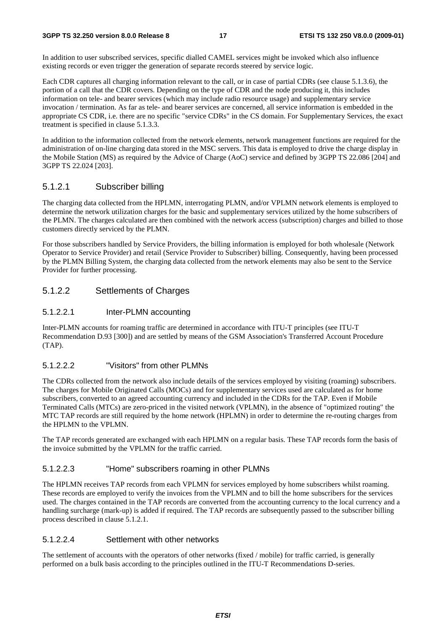In addition to user subscribed services, specific dialled CAMEL services might be invoked which also influence existing records or even trigger the generation of separate records steered by service logic.

Each CDR captures all charging information relevant to the call, or in case of partial CDRs (see clause 5.1.3.6), the portion of a call that the CDR covers. Depending on the type of CDR and the node producing it, this includes information on tele- and bearer services (which may include radio resource usage) and supplementary service invocation / termination. As far as tele- and bearer services are concerned, all service information is embedded in the appropriate CS CDR, i.e. there are no specific "service CDRs" in the CS domain. For Supplementary Services, the exact treatment is specified in clause 5.1.3.3.

In addition to the information collected from the network elements, network management functions are required for the administration of on-line charging data stored in the MSC servers. This data is employed to drive the charge display in the Mobile Station (MS) as required by the Advice of Charge (AoC) service and defined by 3GPP TS 22.086 [204] and 3GPP TS 22.024 [203].

#### 5.1.2.1 Subscriber billing

The charging data collected from the HPLMN, interrogating PLMN, and/or VPLMN network elements is employed to determine the network utilization charges for the basic and supplementary services utilized by the home subscribers of the PLMN. The charges calculated are then combined with the network access (subscription) charges and billed to those customers directly serviced by the PLMN.

For those subscribers handled by Service Providers, the billing information is employed for both wholesale (Network Operator to Service Provider) and retail (Service Provider to Subscriber) billing. Consequently, having been processed by the PLMN Billing System, the charging data collected from the network elements may also be sent to the Service Provider for further processing.

#### 5.1.2.2 Settlements of Charges

#### 5.1.2.2.1 Inter-PLMN accounting

Inter-PLMN accounts for roaming traffic are determined in accordance with ITU-T principles (see ITU-T Recommendation D.93 [300]) and are settled by means of the GSM Association's Transferred Account Procedure (TAP).

#### 5.1.2.2.2 "Visitors" from other PLMNs

The CDRs collected from the network also include details of the services employed by visiting (roaming) subscribers. The charges for Mobile Originated Calls (MOCs) and for supplementary services used are calculated as for home subscribers, converted to an agreed accounting currency and included in the CDRs for the TAP. Even if Mobile Terminated Calls (MTCs) are zero-priced in the visited network (VPLMN), in the absence of "optimized routing" the MTC TAP records are still required by the home network (HPLMN) in order to determine the re-routing charges from the HPLMN to the VPLMN.

The TAP records generated are exchanged with each HPLMN on a regular basis. These TAP records form the basis of the invoice submitted by the VPLMN for the traffic carried.

#### 5.1.2.2.3 "Home" subscribers roaming in other PLMNs

The HPLMN receives TAP records from each VPLMN for services employed by home subscribers whilst roaming. These records are employed to verify the invoices from the VPLMN and to bill the home subscribers for the services used. The charges contained in the TAP records are converted from the accounting currency to the local currency and a handling surcharge (mark-up) is added if required. The TAP records are subsequently passed to the subscriber billing process described in clause 5.1.2.1.

#### 5.1.2.2.4 Settlement with other networks

The settlement of accounts with the operators of other networks (fixed / mobile) for traffic carried, is generally performed on a bulk basis according to the principles outlined in the ITU-T Recommendations D-series.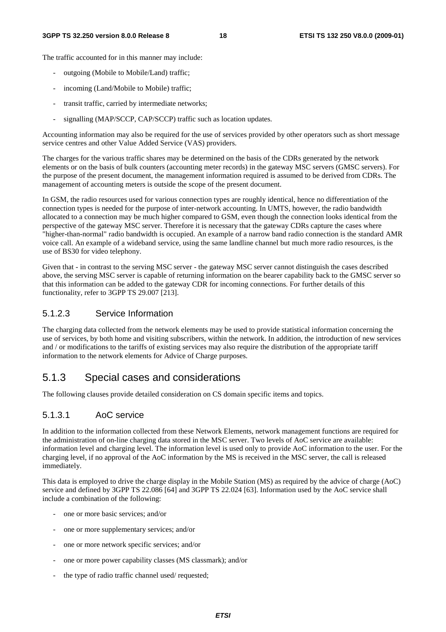The traffic accounted for in this manner may include:

- outgoing (Mobile to Mobile/Land) traffic;
- incoming (Land/Mobile to Mobile) traffic;
- transit traffic, carried by intermediate networks;
- signalling (MAP/SCCP, CAP/SCCP) traffic such as location updates.

Accounting information may also be required for the use of services provided by other operators such as short message service centres and other Value Added Service (VAS) providers.

The charges for the various traffic shares may be determined on the basis of the CDRs generated by the network elements or on the basis of bulk counters (accounting meter records) in the gateway MSC servers (GMSC servers). For the purpose of the present document, the management information required is assumed to be derived from CDRs. The management of accounting meters is outside the scope of the present document.

In GSM, the radio resources used for various connection types are roughly identical, hence no differentiation of the connection types is needed for the purpose of inter-network accounting. In UMTS, however, the radio bandwidth allocated to a connection may be much higher compared to GSM, even though the connection looks identical from the perspective of the gateway MSC server. Therefore it is necessary that the gateway CDRs capture the cases where "higher-than-normal" radio bandwidth is occupied. An example of a narrow band radio connection is the standard AMR voice call. An example of a wideband service, using the same landline channel but much more radio resources, is the use of BS30 for video telephony.

Given that - in contrast to the serving MSC server - the gateway MSC server cannot distinguish the cases described above, the serving MSC server is capable of returning information on the bearer capability back to the GMSC server so that this information can be added to the gateway CDR for incoming connections. For further details of this functionality, refer to 3GPP TS 29.007 [213].

#### 5.1.2.3 Service Information

The charging data collected from the network elements may be used to provide statistical information concerning the use of services, by both home and visiting subscribers, within the network. In addition, the introduction of new services and / or modifications to the tariffs of existing services may also require the distribution of the appropriate tariff information to the network elements for Advice of Charge purposes.

#### 5.1.3 Special cases and considerations

The following clauses provide detailed consideration on CS domain specific items and topics.

#### 5.1.3.1 AoC service

In addition to the information collected from these Network Elements, network management functions are required for the administration of on-line charging data stored in the MSC server. Two levels of AoC service are available: information level and charging level. The information level is used only to provide AoC information to the user. For the charging level, if no approval of the AoC information by the MS is received in the MSC server, the call is released immediately.

This data is employed to drive the charge display in the Mobile Station (MS) as required by the advice of charge (AoC) service and defined by 3GPP TS 22.086 [64] and 3GPP TS 22.024 [63]. Information used by the AoC service shall include a combination of the following:

- one or more basic services; and/or
- one or more supplementary services; and/or
- one or more network specific services; and/or
- one or more power capability classes (MS classmark); and/or
- the type of radio traffic channel used/ requested;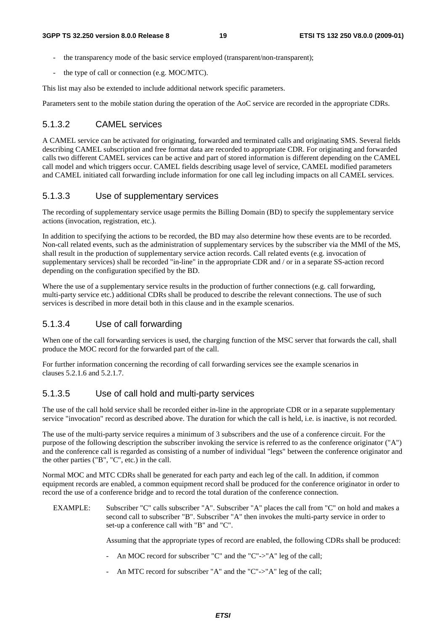- the transparency mode of the basic service employed (transparent/non-transparent);
- the type of call or connection (e.g. MOC/MTC).

This list may also be extended to include additional network specific parameters.

Parameters sent to the mobile station during the operation of the AoC service are recorded in the appropriate CDRs.

#### 5.1.3.2 CAMEL services

A CAMEL service can be activated for originating, forwarded and terminated calls and originating SMS. Several fields describing CAMEL subscription and free format data are recorded to appropriate CDR. For originating and forwarded calls two different CAMEL services can be active and part of stored information is different depending on the CAMEL call model and which triggers occur. CAMEL fields describing usage level of service, CAMEL modified parameters and CAMEL initiated call forwarding include information for one call leg including impacts on all CAMEL services.

#### 5.1.3.3 Use of supplementary services

The recording of supplementary service usage permits the Billing Domain (BD) to specify the supplementary service actions (invocation, registration, etc.).

In addition to specifying the actions to be recorded, the BD may also determine how these events are to be recorded. Non-call related events, such as the administration of supplementary services by the subscriber via the MMI of the MS, shall result in the production of supplementary service action records. Call related events (e.g. invocation of supplementary services) shall be recorded "in-line" in the appropriate CDR and / or in a separate SS-action record depending on the configuration specified by the BD.

Where the use of a supplementary service results in the production of further connections (e.g. call forwarding, multi-party service etc.) additional CDRs shall be produced to describe the relevant connections. The use of such services is described in more detail both in this clause and in the example scenarios.

#### 5.1.3.4 Use of call forwarding

When one of the call forwarding services is used, the charging function of the MSC server that forwards the call, shall produce the MOC record for the forwarded part of the call.

For further information concerning the recording of call forwarding services see the example scenarios in clauses 5.2.1.6 and 5.2.1.7.

#### 5.1.3.5 Use of call hold and multi-party services

The use of the call hold service shall be recorded either in-line in the appropriate CDR or in a separate supplementary service "invocation" record as described above. The duration for which the call is held, i.e. is inactive, is not recorded.

The use of the multi-party service requires a minimum of 3 subscribers and the use of a conference circuit. For the purpose of the following description the subscriber invoking the service is referred to as the conference originator ("A") and the conference call is regarded as consisting of a number of individual "legs" between the conference originator and the other parties ("B", "C", etc.) in the call.

Normal MOC and MTC CDRs shall be generated for each party and each leg of the call. In addition, if common equipment records are enabled, a common equipment record shall be produced for the conference originator in order to record the use of a conference bridge and to record the total duration of the conference connection.

EXAMPLE: Subscriber "C" calls subscriber "A". Subscriber "A" places the call from "C" on hold and makes a second call to subscriber "B". Subscriber "A" then invokes the multi-party service in order to set-up a conference call with "B" and "C".

Assuming that the appropriate types of record are enabled, the following CDRs shall be produced:

- An MOC record for subscriber "C" and the "C"->"A" leg of the call;
- An MTC record for subscriber "A" and the "C"->"A" leg of the call;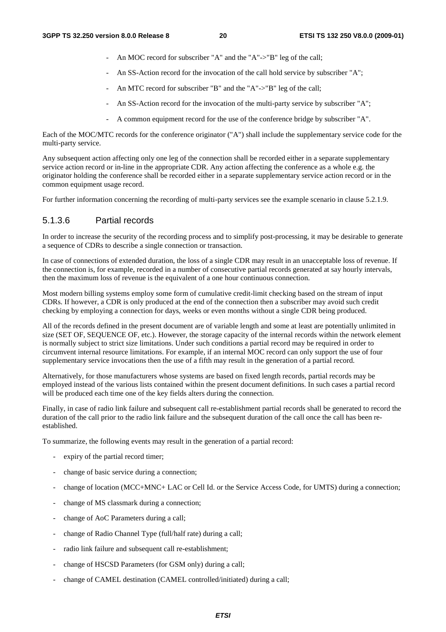- An MOC record for subscriber "A" and the "A"->"B" leg of the call:
- An SS-Action record for the invocation of the call hold service by subscriber "A";
- An MTC record for subscriber "B" and the "A"->"B" leg of the call;
- An SS-Action record for the invocation of the multi-party service by subscriber "A";
- A common equipment record for the use of the conference bridge by subscriber "A".

Each of the MOC/MTC records for the conference originator ("A") shall include the supplementary service code for the multi-party service.

Any subsequent action affecting only one leg of the connection shall be recorded either in a separate supplementary service action record or in-line in the appropriate CDR. Any action affecting the conference as a whole e.g. the originator holding the conference shall be recorded either in a separate supplementary service action record or in the common equipment usage record.

For further information concerning the recording of multi-party services see the example scenario in clause 5.2.1.9.

#### 5.1.3.6 Partial records

In order to increase the security of the recording process and to simplify post-processing, it may be desirable to generate a sequence of CDRs to describe a single connection or transaction.

In case of connections of extended duration, the loss of a single CDR may result in an unacceptable loss of revenue. If the connection is, for example, recorded in a number of consecutive partial records generated at say hourly intervals, then the maximum loss of revenue is the equivalent of a one hour continuous connection.

Most modern billing systems employ some form of cumulative credit-limit checking based on the stream of input CDRs. If however, a CDR is only produced at the end of the connection then a subscriber may avoid such credit checking by employing a connection for days, weeks or even months without a single CDR being produced.

All of the records defined in the present document are of variable length and some at least are potentially unlimited in size (SET OF, SEQUENCE OF, etc.). However, the storage capacity of the internal records within the network element is normally subject to strict size limitations. Under such conditions a partial record may be required in order to circumvent internal resource limitations. For example, if an internal MOC record can only support the use of four supplementary service invocations then the use of a fifth may result in the generation of a partial record.

Alternatively, for those manufacturers whose systems are based on fixed length records, partial records may be employed instead of the various lists contained within the present document definitions. In such cases a partial record will be produced each time one of the key fields alters during the connection.

Finally, in case of radio link failure and subsequent call re-establishment partial records shall be generated to record the duration of the call prior to the radio link failure and the subsequent duration of the call once the call has been reestablished.

To summarize, the following events may result in the generation of a partial record:

- expiry of the partial record timer;
- change of basic service during a connection;
- change of location (MCC+MNC+ LAC or Cell Id. or the Service Access Code, for UMTS) during a connection;
- change of MS classmark during a connection;
- change of AoC Parameters during a call;
- change of Radio Channel Type (full/half rate) during a call;
- radio link failure and subsequent call re-establishment;
- change of HSCSD Parameters (for GSM only) during a call;
- change of CAMEL destination (CAMEL controlled/initiated) during a call;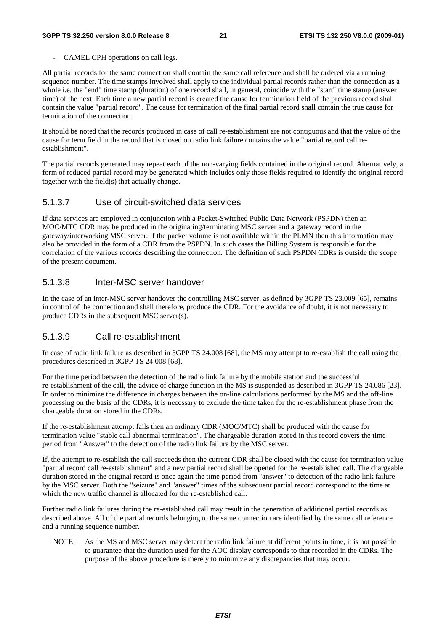CAMEL CPH operations on call legs.

All partial records for the same connection shall contain the same call reference and shall be ordered via a running sequence number. The time stamps involved shall apply to the individual partial records rather than the connection as a whole i.e. the "end" time stamp (duration) of one record shall, in general, coincide with the "start" time stamp (answer time) of the next. Each time a new partial record is created the cause for termination field of the previous record shall contain the value "partial record". The cause for termination of the final partial record shall contain the true cause for termination of the connection.

It should be noted that the records produced in case of call re-establishment are not contiguous and that the value of the cause for term field in the record that is closed on radio link failure contains the value "partial record call reestablishment".

The partial records generated may repeat each of the non-varying fields contained in the original record. Alternatively, a form of reduced partial record may be generated which includes only those fields required to identify the original record together with the field(s) that actually change.

#### 5.1.3.7 Use of circuit-switched data services

If data services are employed in conjunction with a Packet-Switched Public Data Network (PSPDN) then an MOC/MTC CDR may be produced in the originating/terminating MSC server and a gateway record in the gateway/interworking MSC server. If the packet volume is not available within the PLMN then this information may also be provided in the form of a CDR from the PSPDN. In such cases the Billing System is responsible for the correlation of the various records describing the connection. The definition of such PSPDN CDRs is outside the scope of the present document.

#### 5.1.3.8 Inter-MSC server handover

In the case of an inter-MSC server handover the controlling MSC server, as defined by 3GPP TS 23.009 [65], remains in control of the connection and shall therefore, produce the CDR. For the avoidance of doubt, it is not necessary to produce CDRs in the subsequent MSC server(s).

#### 5.1.3.9 Call re-establishment

In case of radio link failure as described in 3GPP TS 24.008 [68], the MS may attempt to re-establish the call using the procedures described in 3GPP TS 24.008 [68].

For the time period between the detection of the radio link failure by the mobile station and the successful re-establishment of the call, the advice of charge function in the MS is suspended as described in 3GPP TS 24.086 [23]. In order to minimize the difference in charges between the on-line calculations performed by the MS and the off-line processing on the basis of the CDRs, it is necessary to exclude the time taken for the re-establishment phase from the chargeable duration stored in the CDRs.

If the re-establishment attempt fails then an ordinary CDR (MOC/MTC) shall be produced with the cause for termination value "stable call abnormal termination". The chargeable duration stored in this record covers the time period from "Answer" to the detection of the radio link failure by the MSC server.

If, the attempt to re-establish the call succeeds then the current CDR shall be closed with the cause for termination value "partial record call re-establishment" and a new partial record shall be opened for the re-established call. The chargeable duration stored in the original record is once again the time period from "answer" to detection of the radio link failure by the MSC server. Both the "seizure" and "answer" times of the subsequent partial record correspond to the time at which the new traffic channel is allocated for the re-established call.

Further radio link failures during the re-established call may result in the generation of additional partial records as described above. All of the partial records belonging to the same connection are identified by the same call reference and a running sequence number.

NOTE: As the MS and MSC server may detect the radio link failure at different points in time, it is not possible to guarantee that the duration used for the AOC display corresponds to that recorded in the CDRs. The purpose of the above procedure is merely to minimize any discrepancies that may occur.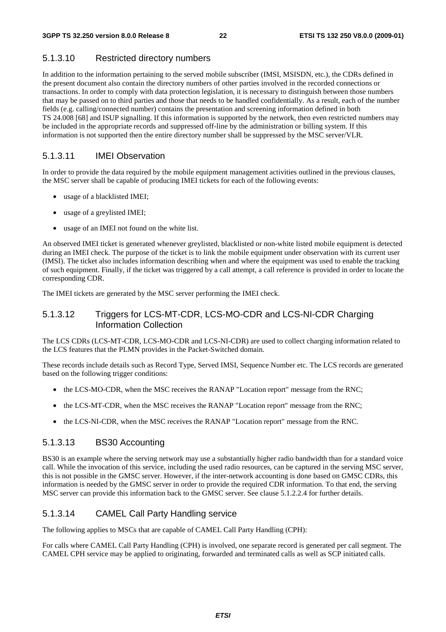#### 5.1.3.10 Restricted directory numbers

In addition to the information pertaining to the served mobile subscriber (IMSI, MSISDN, etc.), the CDRs defined in the present document also contain the directory numbers of other parties involved in the recorded connections or transactions. In order to comply with data protection legislation, it is necessary to distinguish between those numbers that may be passed on to third parties and those that needs to be handled confidentially. As a result, each of the number fields (e.g. calling/connected number) contains the presentation and screening information defined in both TS 24.008 [68] and ISUP signalling. If this information is supported by the network, then even restricted numbers may be included in the appropriate records and suppressed off-line by the administration or billing system. If this information is not supported then the entire directory number shall be suppressed by the MSC server/VLR.

#### 5.1.3.11 IMEI Observation

In order to provide the data required by the mobile equipment management activities outlined in the previous clauses, the MSC server shall be capable of producing IMEI tickets for each of the following events:

- usage of a blacklisted IMEI;
- usage of a greylisted IMEI;
- usage of an IMEI not found on the white list.

An observed IMEI ticket is generated whenever greylisted, blacklisted or non-white listed mobile equipment is detected during an IMEI check. The purpose of the ticket is to link the mobile equipment under observation with its current user (IMSI). The ticket also includes information describing when and where the equipment was used to enable the tracking of such equipment. Finally, if the ticket was triggered by a call attempt, a call reference is provided in order to locate the corresponding CDR.

The IMEI tickets are generated by the MSC server performing the IMEI check.

#### 5.1.3.12 Triggers for LCS-MT-CDR, LCS-MO-CDR and LCS-NI-CDR Charging Information Collection

The LCS CDRs (LCS-MT-CDR, LCS-MO-CDR and LCS-NI-CDR) are used to collect charging information related to the LCS features that the PLMN provides in the Packet-Switched domain.

These records include details such as Record Type, Served IMSI, Sequence Number etc. The LCS records are generated based on the following trigger conditions:

- the LCS-MO-CDR, when the MSC receives the RANAP "Location report" message from the RNC;
- the LCS-MT-CDR, when the MSC receives the RANAP "Location report" message from the RNC;
- the LCS-NI-CDR, when the MSC receives the RANAP "Location report" message from the RNC.

#### 5.1.3.13 BS30 Accounting

BS30 is an example where the serving network may use a substantially higher radio bandwidth than for a standard voice call. While the invocation of this service, including the used radio resources, can be captured in the serving MSC server, this is not possible in the GMSC server. However, if the inter-network accounting is done based on GMSC CDRs, this information is needed by the GMSC server in order to provide the required CDR information. To that end, the serving MSC server can provide this information back to the GMSC server. See clause 5.1.2.2.4 for further details.

#### 5.1.3.14 CAMEL Call Party Handling service

The following applies to MSCs that are capable of CAMEL Call Party Handling (CPH):

For calls where CAMEL Call Party Handling (CPH) is involved, one separate record is generated per call segment. The CAMEL CPH service may be applied to originating, forwarded and terminated calls as well as SCP initiated calls.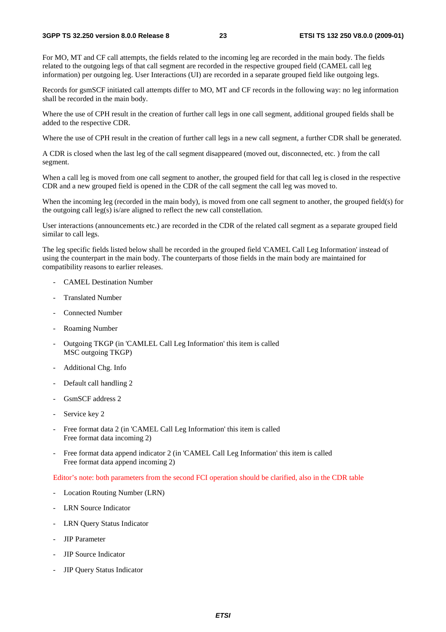For MO, MT and CF call attempts, the fields related to the incoming leg are recorded in the main body. The fields related to the outgoing legs of that call segment are recorded in the respective grouped field (CAMEL call leg information) per outgoing leg. User Interactions (UI) are recorded in a separate grouped field like outgoing legs.

Records for gsmSCF initiated call attempts differ to MO, MT and CF records in the following way: no leg information shall be recorded in the main body.

Where the use of CPH result in the creation of further call legs in one call segment, additional grouped fields shall be added to the respective CDR.

Where the use of CPH result in the creation of further call legs in a new call segment, a further CDR shall be generated.

A CDR is closed when the last leg of the call segment disappeared (moved out, disconnected, etc. ) from the call segment.

When a call leg is moved from one call segment to another, the grouped field for that call leg is closed in the respective CDR and a new grouped field is opened in the CDR of the call segment the call leg was moved to.

When the incoming leg (recorded in the main body), is moved from one call segment to another, the grouped field(s) for the outgoing call leg(s) is/are aligned to reflect the new call constellation.

User interactions (announcements etc.) are recorded in the CDR of the related call segment as a separate grouped field similar to call legs.

The leg specific fields listed below shall be recorded in the grouped field 'CAMEL Call Leg Information' instead of using the counterpart in the main body. The counterparts of those fields in the main body are maintained for compatibility reasons to earlier releases.

- CAMEL Destination Number
- Translated Number
- Connected Number
- Roaming Number
- Outgoing TKGP (in 'CAMLEL Call Leg Information' this item is called MSC outgoing TKGP)
- Additional Chg. Info
- Default call handling 2
- GsmSCF address 2
- Service key 2
- Free format data 2 (in 'CAMEL Call Leg Information' this item is called Free format data incoming 2)
- Free format data append indicator 2 (in 'CAMEL Call Leg Information' this item is called Free format data append incoming 2)

Editor's note: both parameters from the second FCI operation should be clarified, also in the CDR table

- Location Routing Number (LRN)
- LRN Source Indicator
- LRN Query Status Indicator
- JIP Parameter
- JIP Source Indicator
- JIP Query Status Indicator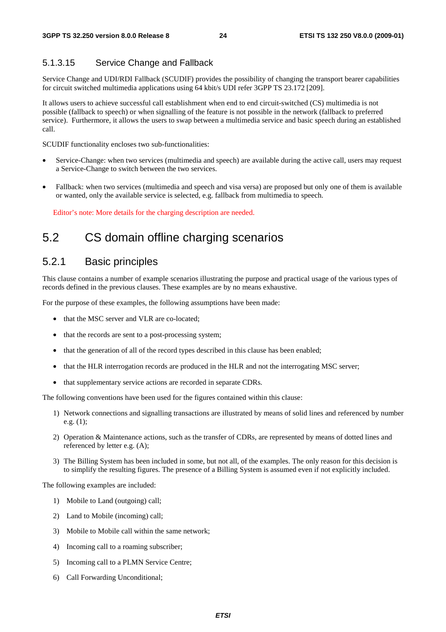#### 5.1.3.15 Service Change and Fallback

Service Change and UDI/RDI Fallback (SCUDIF) provides the possibility of changing the transport bearer capabilities for circuit switched multimedia applications using 64 kbit/s UDI refer 3GPP TS 23.172 [209].

It allows users to achieve successful call establishment when end to end circuit-switched (CS) multimedia is not possible (fallback to speech) or when signalling of the feature is not possible in the network (fallback to preferred service). Furthermore, it allows the users to swap between a multimedia service and basic speech during an established call.

SCUDIF functionality encloses two sub-functionalities:

- Service-Change: when two services (multimedia and speech) are available during the active call, users may request a Service-Change to switch between the two services.
- Fallback: when two services (multimedia and speech and visa versa) are proposed but only one of them is available or wanted, only the available service is selected, e.g. fallback from multimedia to speech.

Editor's note: More details for the charging description are needed.

### 5.2 CS domain offline charging scenarios

#### 5.2.1 Basic principles

This clause contains a number of example scenarios illustrating the purpose and practical usage of the various types of records defined in the previous clauses. These examples are by no means exhaustive.

For the purpose of these examples, the following assumptions have been made:

- that the MSC server and VLR are co-located:
- that the records are sent to a post-processing system;
- that the generation of all of the record types described in this clause has been enabled;
- that the HLR interrogation records are produced in the HLR and not the interrogating MSC server;
- that supplementary service actions are recorded in separate CDRs.

The following conventions have been used for the figures contained within this clause:

- 1) Network connections and signalling transactions are illustrated by means of solid lines and referenced by number e.g. (1);
- 2) Operation & Maintenance actions, such as the transfer of CDRs, are represented by means of dotted lines and referenced by letter e.g. (A);
- 3) The Billing System has been included in some, but not all, of the examples. The only reason for this decision is to simplify the resulting figures. The presence of a Billing System is assumed even if not explicitly included.

The following examples are included:

- 1) Mobile to Land (outgoing) call;
- 2) Land to Mobile (incoming) call;
- 3) Mobile to Mobile call within the same network;
- 4) Incoming call to a roaming subscriber;
- 5) Incoming call to a PLMN Service Centre;
- 6) Call Forwarding Unconditional;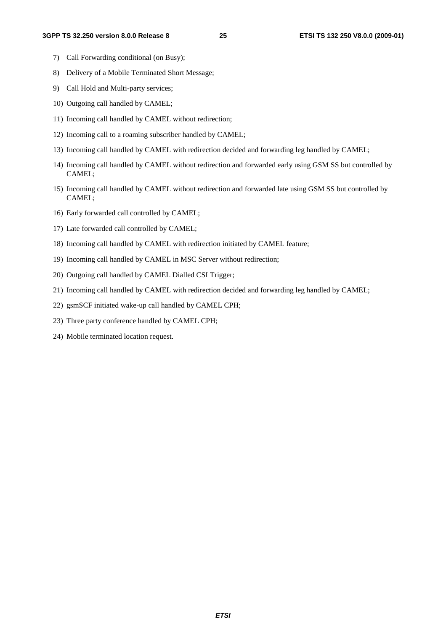- 7) Call Forwarding conditional (on Busy);
- 8) Delivery of a Mobile Terminated Short Message;
- 9) Call Hold and Multi-party services;
- 10) Outgoing call handled by CAMEL;
- 11) Incoming call handled by CAMEL without redirection;
- 12) Incoming call to a roaming subscriber handled by CAMEL;
- 13) Incoming call handled by CAMEL with redirection decided and forwarding leg handled by CAMEL;
- 14) Incoming call handled by CAMEL without redirection and forwarded early using GSM SS but controlled by CAMEL;
- 15) Incoming call handled by CAMEL without redirection and forwarded late using GSM SS but controlled by CAMEL;
- 16) Early forwarded call controlled by CAMEL;
- 17) Late forwarded call controlled by CAMEL;
- 18) Incoming call handled by CAMEL with redirection initiated by CAMEL feature;
- 19) Incoming call handled by CAMEL in MSC Server without redirection;
- 20) Outgoing call handled by CAMEL Dialled CSI Trigger;
- 21) Incoming call handled by CAMEL with redirection decided and forwarding leg handled by CAMEL;
- 22) gsmSCF initiated wake-up call handled by CAMEL CPH;
- 23) Three party conference handled by CAMEL CPH;
- 24) Mobile terminated location request.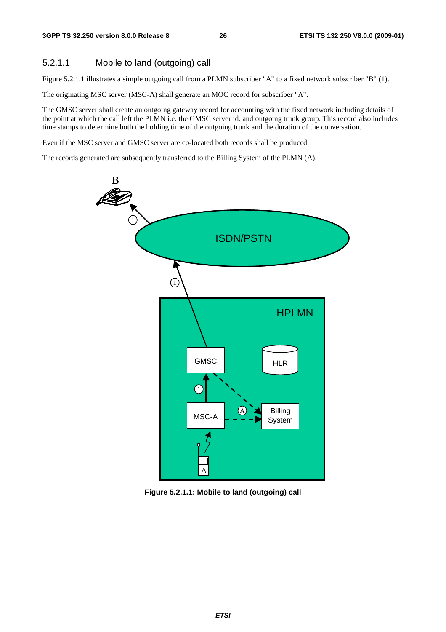#### 5.2.1.1 Mobile to land (outgoing) call

Figure 5.2.1.1 illustrates a simple outgoing call from a PLMN subscriber "A" to a fixed network subscriber "B" (1).

The originating MSC server (MSC-A) shall generate an MOC record for subscriber "A".

The GMSC server shall create an outgoing gateway record for accounting with the fixed network including details of the point at which the call left the PLMN i.e. the GMSC server id. and outgoing trunk group. This record also includes time stamps to determine both the holding time of the outgoing trunk and the duration of the conversation.

Even if the MSC server and GMSC server are co-located both records shall be produced.

The records generated are subsequently transferred to the Billing System of the PLMN (A).



**Figure 5.2.1.1: Mobile to land (outgoing) call**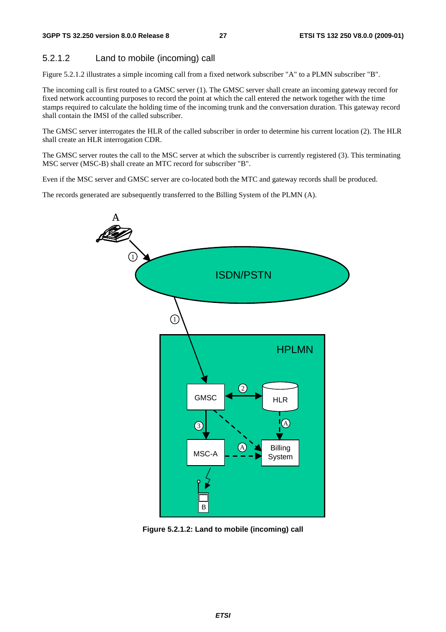#### 5.2.1.2 Land to mobile (incoming) call

Figure 5.2.1.2 illustrates a simple incoming call from a fixed network subscriber "A" to a PLMN subscriber "B".

The incoming call is first routed to a GMSC server (1). The GMSC server shall create an incoming gateway record for fixed network accounting purposes to record the point at which the call entered the network together with the time stamps required to calculate the holding time of the incoming trunk and the conversation duration. This gateway record shall contain the IMSI of the called subscriber.

The GMSC server interrogates the HLR of the called subscriber in order to determine his current location (2). The HLR shall create an HLR interrogation CDR.

The GMSC server routes the call to the MSC server at which the subscriber is currently registered (3). This terminating MSC server (MSC-B) shall create an MTC record for subscriber "B".

Even if the MSC server and GMSC server are co-located both the MTC and gateway records shall be produced.

The records generated are subsequently transferred to the Billing System of the PLMN (A).



**Figure 5.2.1.2: Land to mobile (incoming) call**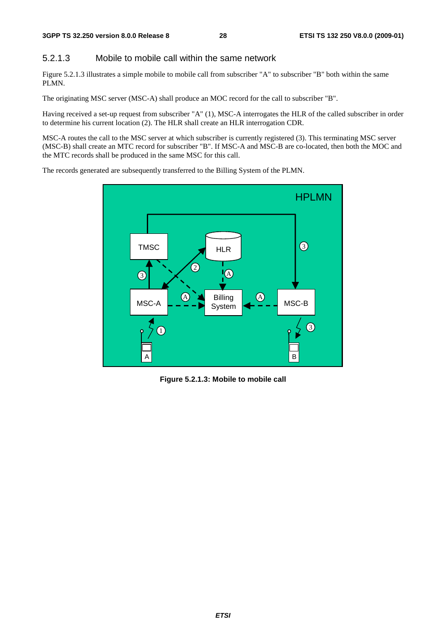#### 5.2.1.3 Mobile to mobile call within the same network

Figure 5.2.1.3 illustrates a simple mobile to mobile call from subscriber "A" to subscriber "B" both within the same PLMN.

The originating MSC server (MSC-A) shall produce an MOC record for the call to subscriber "B".

Having received a set-up request from subscriber "A" (1), MSC-A interrogates the HLR of the called subscriber in order to determine his current location (2). The HLR shall create an HLR interrogation CDR.

MSC-A routes the call to the MSC server at which subscriber is currently registered (3). This terminating MSC server (MSC-B) shall create an MTC record for subscriber "B". If MSC-A and MSC-B are co-located, then both the MOC and the MTC records shall be produced in the same MSC for this call.

The records generated are subsequently transferred to the Billing System of the PLMN.



**Figure 5.2.1.3: Mobile to mobile call**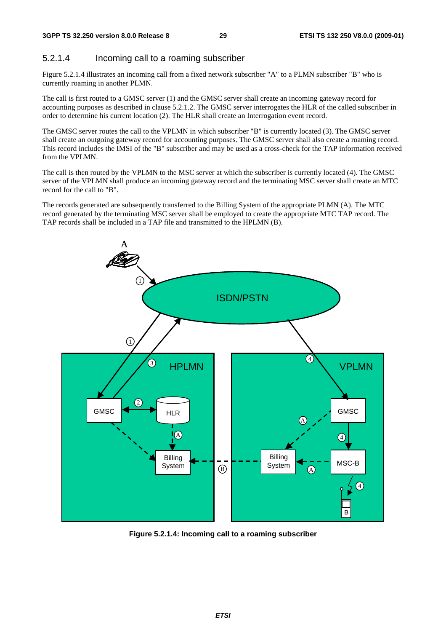#### 5.2.1.4 Incoming call to a roaming subscriber

Figure 5.2.1.4 illustrates an incoming call from a fixed network subscriber "A" to a PLMN subscriber "B" who is currently roaming in another PLMN.

The call is first routed to a GMSC server (1) and the GMSC server shall create an incoming gateway record for accounting purposes as described in clause 5.2.1.2. The GMSC server interrogates the HLR of the called subscriber in order to determine his current location (2). The HLR shall create an Interrogation event record.

The GMSC server routes the call to the VPLMN in which subscriber "B" is currently located (3). The GMSC server shall create an outgoing gateway record for accounting purposes. The GMSC server shall also create a roaming record. This record includes the IMSI of the "B" subscriber and may be used as a cross-check for the TAP information received from the VPLMN.

The call is then routed by the VPLMN to the MSC server at which the subscriber is currently located (4). The GMSC server of the VPLMN shall produce an incoming gateway record and the terminating MSC server shall create an MTC record for the call to "B".

The records generated are subsequently transferred to the Billing System of the appropriate PLMN (A). The MTC record generated by the terminating MSC server shall be employed to create the appropriate MTC TAP record. The TAP records shall be included in a TAP file and transmitted to the HPLMN (B).



**Figure 5.2.1.4: Incoming call to a roaming subscriber**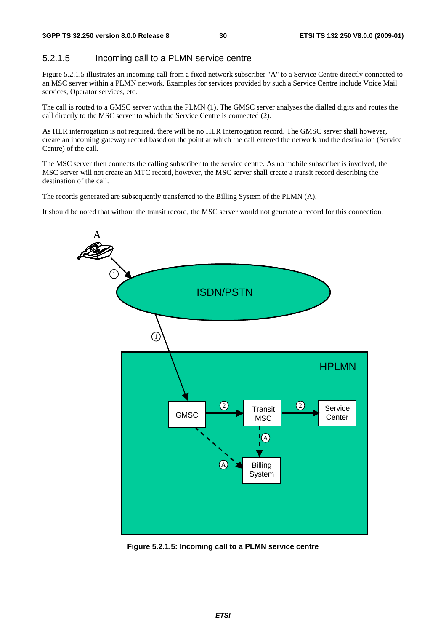#### 5.2.1.5 Incoming call to a PLMN service centre

Figure 5.2.1.5 illustrates an incoming call from a fixed network subscriber "A" to a Service Centre directly connected to an MSC server within a PLMN network. Examples for services provided by such a Service Centre include Voice Mail services, Operator services, etc.

The call is routed to a GMSC server within the PLMN (1). The GMSC server analyses the dialled digits and routes the call directly to the MSC server to which the Service Centre is connected (2).

As HLR interrogation is not required, there will be no HLR Interrogation record. The GMSC server shall however, create an incoming gateway record based on the point at which the call entered the network and the destination (Service Centre) of the call.

The MSC server then connects the calling subscriber to the service centre. As no mobile subscriber is involved, the MSC server will not create an MTC record, however, the MSC server shall create a transit record describing the destination of the call.

The records generated are subsequently transferred to the Billing System of the PLMN (A).

It should be noted that without the transit record, the MSC server would not generate a record for this connection.



**Figure 5.2.1.5: Incoming call to a PLMN service centre**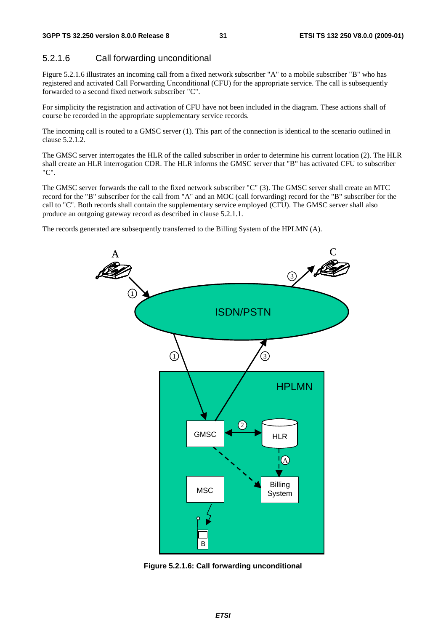#### 5.2.1.6 Call forwarding unconditional

Figure 5.2.1.6 illustrates an incoming call from a fixed network subscriber "A" to a mobile subscriber "B" who has registered and activated Call Forwarding Unconditional (CFU) for the appropriate service. The call is subsequently forwarded to a second fixed network subscriber "C".

For simplicity the registration and activation of CFU have not been included in the diagram. These actions shall of course be recorded in the appropriate supplementary service records.

The incoming call is routed to a GMSC server (1). This part of the connection is identical to the scenario outlined in clause 5.2.1.2.

The GMSC server interrogates the HLR of the called subscriber in order to determine his current location (2). The HLR shall create an HLR interrogation CDR. The HLR informs the GMSC server that "B" has activated CFU to subscriber "C".

The GMSC server forwards the call to the fixed network subscriber "C" (3). The GMSC server shall create an MTC record for the "B" subscriber for the call from "A" and an MOC (call forwarding) record for the "B" subscriber for the call to "C". Both records shall contain the supplementary service employed (CFU). The GMSC server shall also produce an outgoing gateway record as described in clause 5.2.1.1.

The records generated are subsequently transferred to the Billing System of the HPLMN (A).



**Figure 5.2.1.6: Call forwarding unconditional**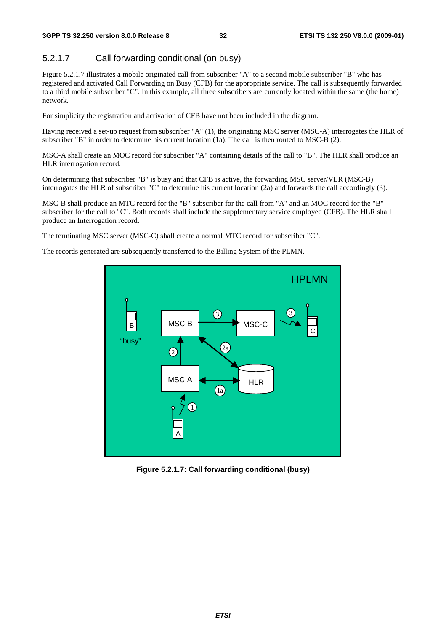#### 5.2.1.7 Call forwarding conditional (on busy)

Figure 5.2.1.7 illustrates a mobile originated call from subscriber "A" to a second mobile subscriber "B" who has registered and activated Call Forwarding on Busy (CFB) for the appropriate service. The call is subsequently forwarded to a third mobile subscriber "C". In this example, all three subscribers are currently located within the same (the home) network.

For simplicity the registration and activation of CFB have not been included in the diagram.

Having received a set-up request from subscriber "A" (1), the originating MSC server (MSC-A) interrogates the HLR of subscriber "B" in order to determine his current location (1a). The call is then routed to MSC-B (2).

MSC-A shall create an MOC record for subscriber "A" containing details of the call to "B". The HLR shall produce an HLR interrogation record.

On determining that subscriber "B" is busy and that CFB is active, the forwarding MSC server/VLR (MSC-B) interrogates the HLR of subscriber "C" to determine his current location (2a) and forwards the call accordingly (3).

MSC-B shall produce an MTC record for the "B" subscriber for the call from "A" and an MOC record for the "B" subscriber for the call to "C". Both records shall include the supplementary service employed (CFB). The HLR shall produce an Interrogation record.

The terminating MSC server (MSC-C) shall create a normal MTC record for subscriber "C".

The records generated are subsequently transferred to the Billing System of the PLMN.



**Figure 5.2.1.7: Call forwarding conditional (busy)**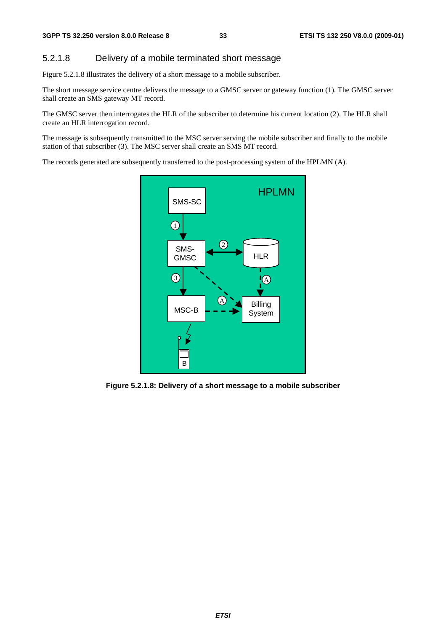#### 5.2.1.8 Delivery of a mobile terminated short message

Figure 5.2.1.8 illustrates the delivery of a short message to a mobile subscriber.

The short message service centre delivers the message to a GMSC server or gateway function (1). The GMSC server shall create an SMS gateway MT record.

The GMSC server then interrogates the HLR of the subscriber to determine his current location (2). The HLR shall create an HLR interrogation record.

The message is subsequently transmitted to the MSC server serving the mobile subscriber and finally to the mobile station of that subscriber (3). The MSC server shall create an SMS MT record.

The records generated are subsequently transferred to the post-processing system of the HPLMN (A).



**Figure 5.2.1.8: Delivery of a short message to a mobile subscriber**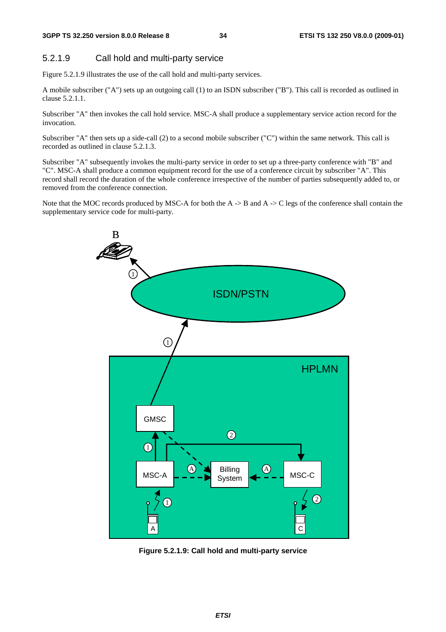#### 5.2.1.9 Call hold and multi-party service

Figure 5.2.1.9 illustrates the use of the call hold and multi-party services.

A mobile subscriber ("A") sets up an outgoing call (1) to an ISDN subscriber ("B"). This call is recorded as outlined in clause 5.2.1.1.

Subscriber "A" then invokes the call hold service. MSC-A shall produce a supplementary service action record for the invocation.

Subscriber "A" then sets up a side-call (2) to a second mobile subscriber ("C") within the same network. This call is recorded as outlined in clause 5.2.1.3.

Subscriber "A" subsequently invokes the multi-party service in order to set up a three-party conference with "B" and "C". MSC-A shall produce a common equipment record for the use of a conference circuit by subscriber "A". This record shall record the duration of the whole conference irrespective of the number of parties subsequently added to, or removed from the conference connection.

Note that the MOC records produced by MSC-A for both the A  $\rightarrow$  B and A  $\rightarrow$  C legs of the conference shall contain the supplementary service code for multi-party.



**Figure 5.2.1.9: Call hold and multi-party service**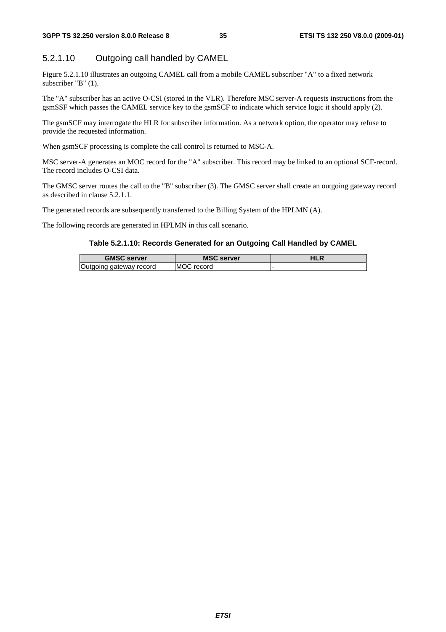### 5.2.1.10 Outgoing call handled by CAMEL

Figure 5.2.1.10 illustrates an outgoing CAMEL call from a mobile CAMEL subscriber "A" to a fixed network subscriber "B" (1).

The "A" subscriber has an active O-CSI (stored in the VLR). Therefore MSC server-A requests instructions from the gsmSSF which passes the CAMEL service key to the gsmSCF to indicate which service logic it should apply (2).

The gsmSCF may interrogate the HLR for subscriber information. As a network option, the operator may refuse to provide the requested information.

When gsmSCF processing is complete the call control is returned to MSC-A.

MSC server-A generates an MOC record for the "A" subscriber. This record may be linked to an optional SCF-record. The record includes O-CSI data.

The GMSC server routes the call to the "B" subscriber (3). The GMSC server shall create an outgoing gateway record as described in clause 5.2.1.1.

The generated records are subsequently transferred to the Billing System of the HPLMN (A).

The following records are generated in HPLMN in this call scenario.

#### **Table 5.2.1.10: Records Generated for an Outgoing Call Handled by CAMEL**

| <b>GMSC server</b>          | <b>MSC server</b>    | ח∟ו |
|-----------------------------|----------------------|-----|
| aateway record<br>oinc<br>и | <b>MOC</b><br>record |     |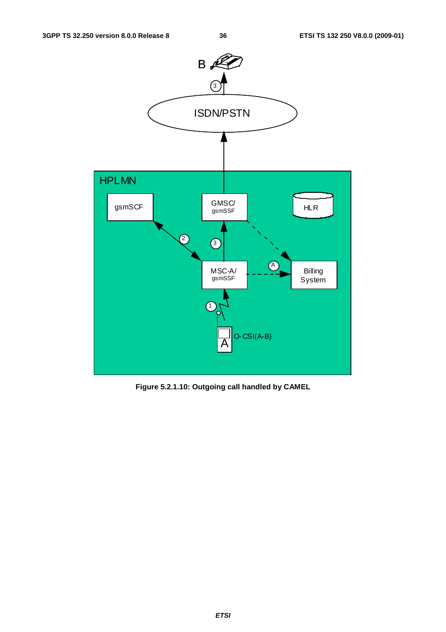

**Figure 5.2.1.10: Outgoing call handled by CAMEL**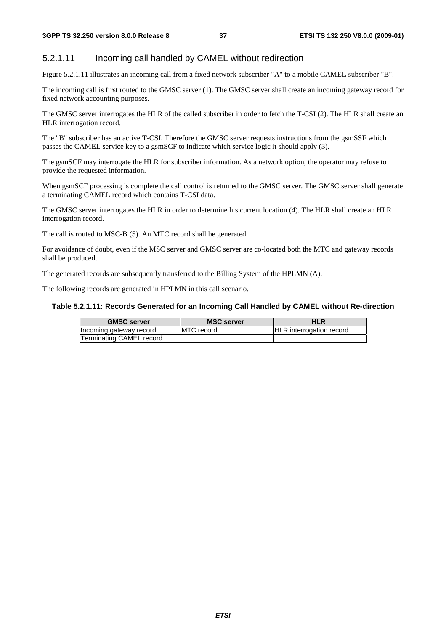#### 5.2.1.11 Incoming call handled by CAMEL without redirection

Figure 5.2.1.11 illustrates an incoming call from a fixed network subscriber "A" to a mobile CAMEL subscriber "B".

The incoming call is first routed to the GMSC server (1). The GMSC server shall create an incoming gateway record for fixed network accounting purposes.

The GMSC server interrogates the HLR of the called subscriber in order to fetch the T-CSI (2). The HLR shall create an HLR interrogation record.

The "B" subscriber has an active T-CSI. Therefore the GMSC server requests instructions from the gsmSSF which passes the CAMEL service key to a gsmSCF to indicate which service logic it should apply (3).

The gsmSCF may interrogate the HLR for subscriber information. As a network option, the operator may refuse to provide the requested information.

When gsmSCF processing is complete the call control is returned to the GMSC server. The GMSC server shall generate a terminating CAMEL record which contains T-CSI data.

The GMSC server interrogates the HLR in order to determine his current location (4). The HLR shall create an HLR interrogation record.

The call is routed to MSC-B (5). An MTC record shall be generated.

For avoidance of doubt, even if the MSC server and GMSC server are co-located both the MTC and gateway records shall be produced.

The generated records are subsequently transferred to the Billing System of the HPLMN (A).

The following records are generated in HPLMN in this call scenario.

#### **Table 5.2.1.11: Records Generated for an Incoming Call Handled by CAMEL without Re-direction**

| <b>GMSC server</b>       | <b>MSC server</b>  | HLR                             |
|--------------------------|--------------------|---------------------------------|
| Incoming gateway record  | <b>IMTC</b> record | <b>HLR</b> interrogation record |
| Terminating CAMEL record |                    |                                 |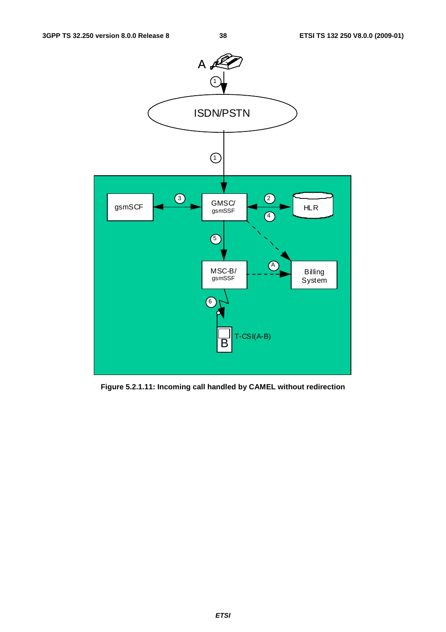

**Figure 5.2.1.11: Incoming call handled by CAMEL without redirection**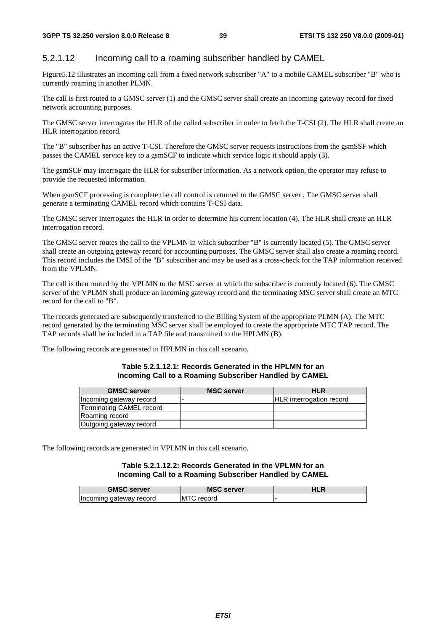## 5.2.1.12 Incoming call to a roaming subscriber handled by CAMEL

Figure5.12 illustrates an incoming call from a fixed network subscriber "A" to a mobile CAMEL subscriber "B" who is currently roaming in another PLMN.

The call is first routed to a GMSC server (1) and the GMSC server shall create an incoming gateway record for fixed network accounting purposes.

The GMSC server interrogates the HLR of the called subscriber in order to fetch the T-CSI (2). The HLR shall create an HLR interrogation record.

The "B" subscriber has an active T-CSI. Therefore the GMSC server requests instructions from the gsmSSF which passes the CAMEL service key to a gsmSCF to indicate which service logic it should apply (3).

The gsmSCF may interrogate the HLR for subscriber information. As a network option, the operator may refuse to provide the requested information.

When gsmSCF processing is complete the call control is returned to the GMSC server . The GMSC server shall generate a terminating CAMEL record which contains T-CSI data.

The GMSC server interrogates the HLR in order to determine his current location (4). The HLR shall create an HLR interrogation record.

The GMSC server routes the call to the VPLMN in which subscriber "B" is currently located (5). The GMSC server shall create an outgoing gateway record for accounting purposes. The GMSC server shall also create a roaming record. This record includes the IMSI of the "B" subscriber and may be used as a cross-check for the TAP information received from the VPLMN.

The call is then routed by the VPLMN to the MSC server at which the subscriber is currently located (6). The GMSC server of the VPLMN shall produce an incoming gateway record and the terminating MSC server shall create an MTC record for the call to "B".

The records generated are subsequently transferred to the Billing System of the appropriate PLMN (A). The MTC record generated by the terminating MSC server shall be employed to create the appropriate MTC TAP record. The TAP records shall be included in a TAP file and transmitted to the HPLMN (B).

The following records are generated in HPLMN in this call scenario.

#### **Table 5.2.1.12.1: Records Generated in the HPLMN for an Incoming Call to a Roaming Subscriber Handled by CAMEL**

| <b>GMSC server</b>       | <b>MSC server</b> | <b>HLR</b>                      |
|--------------------------|-------------------|---------------------------------|
| Incoming gateway record  |                   | <b>HLR</b> interrogation record |
| Terminating CAMEL record |                   |                                 |
| Roaming record           |                   |                                 |
| Outgoing gateway record  |                   |                                 |

The following records are generated in VPLMN in this call scenario.

#### **Table 5.2.1.12.2: Records Generated in the VPLMN for an Incoming Call to a Roaming Subscriber Handled by CAMEL**

| <b>GMSC server</b>      | <b>MSC server</b>   | HLR |
|-------------------------|---------------------|-----|
| Incoming gateway record | <b>MT</b><br>record |     |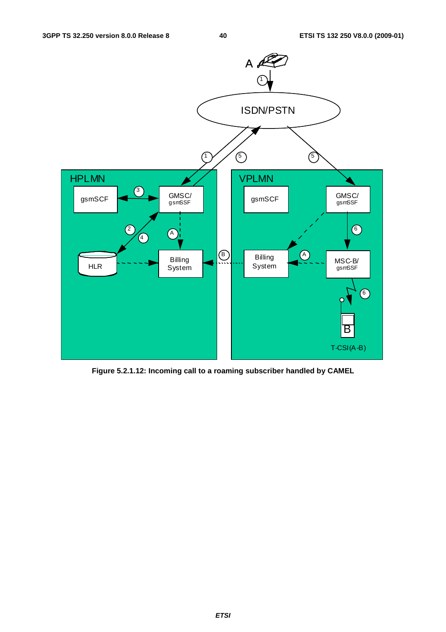

**Figure 5.2.1.12: Incoming call to a roaming subscriber handled by CAMEL**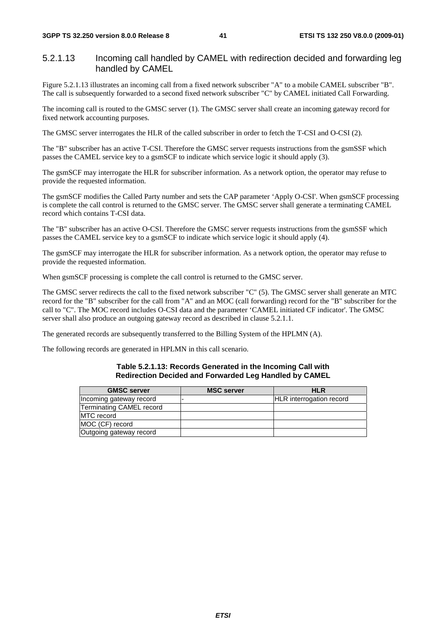#### 5.2.1.13 Incoming call handled by CAMEL with redirection decided and forwarding leg handled by CAMEL

Figure 5.2.1.13 illustrates an incoming call from a fixed network subscriber "A" to a mobile CAMEL subscriber "B". The call is subsequently forwarded to a second fixed network subscriber "C" by CAMEL initiated Call Forwarding.

The incoming call is routed to the GMSC server (1). The GMSC server shall create an incoming gateway record for fixed network accounting purposes.

The GMSC server interrogates the HLR of the called subscriber in order to fetch the T-CSI and O-CSI (2).

The "B" subscriber has an active T-CSI. Therefore the GMSC server requests instructions from the gsmSSF which passes the CAMEL service key to a gsmSCF to indicate which service logic it should apply (3).

The gsmSCF may interrogate the HLR for subscriber information. As a network option, the operator may refuse to provide the requested information.

The gsmSCF modifies the Called Party number and sets the CAP parameter 'Apply O-CSI'. When gsmSCF processing is complete the call control is returned to the GMSC server. The GMSC server shall generate a terminating CAMEL record which contains T-CSI data.

The "B" subscriber has an active O-CSI. Therefore the GMSC server requests instructions from the gsmSSF which passes the CAMEL service key to a gsmSCF to indicate which service logic it should apply (4).

The gsmSCF may interrogate the HLR for subscriber information. As a network option, the operator may refuse to provide the requested information.

When gsmSCF processing is complete the call control is returned to the GMSC server.

The GMSC server redirects the call to the fixed network subscriber "C" (5). The GMSC server shall generate an MTC record for the "B" subscriber for the call from "A" and an MOC (call forwarding) record for the "B" subscriber for the call to "C". The MOC record includes O-CSI data and the parameter 'CAMEL initiated CF indicator'. The GMSC server shall also produce an outgoing gateway record as described in clause 5.2.1.1.

The generated records are subsequently transferred to the Billing System of the HPLMN (A).

The following records are generated in HPLMN in this call scenario.

#### **Table 5.2.1.13: Records Generated in the Incoming Call with Redirection Decided and Forwarded Leg Handled by CAMEL**

| <b>GMSC</b> server       | <b>MSC server</b> | <b>HLR</b>                      |
|--------------------------|-------------------|---------------------------------|
| Incoming gateway record  |                   | <b>HLR</b> interrogation record |
| Terminating CAMEL record |                   |                                 |
| MTC record               |                   |                                 |
| MOC (CF) record          |                   |                                 |
| Outgoing gateway record  |                   |                                 |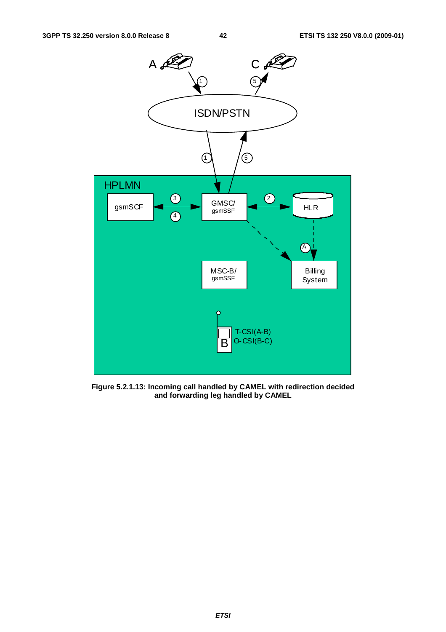

**Figure 5.2.1.13: Incoming call handled by CAMEL with redirection decided and forwarding leg handled by CAMEL**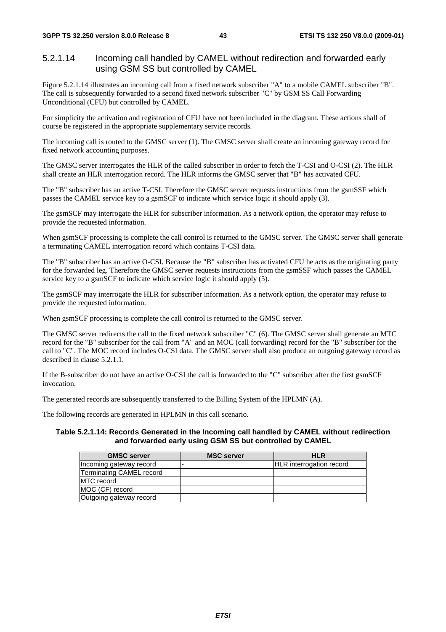#### 5.2.1.14 Incoming call handled by CAMEL without redirection and forwarded early using GSM SS but controlled by CAMEL

Figure 5.2.1.14 illustrates an incoming call from a fixed network subscriber "A" to a mobile CAMEL subscriber "B". The call is subsequently forwarded to a second fixed network subscriber "C" by GSM SS Call Forwarding Unconditional (CFU) but controlled by CAMEL.

For simplicity the activation and registration of CFU have not been included in the diagram. These actions shall of course be registered in the appropriate supplementary service records.

The incoming call is routed to the GMSC server (1). The GMSC server shall create an incoming gateway record for fixed network accounting purposes.

The GMSC server interrogates the HLR of the called subscriber in order to fetch the T-CSI and O-CSI (2). The HLR shall create an HLR interrogation record. The HLR informs the GMSC server that "B" has activated CFU.

The "B" subscriber has an active T-CSI. Therefore the GMSC server requests instructions from the gsmSSF which passes the CAMEL service key to a gsmSCF to indicate which service logic it should apply (3).

The gsmSCF may interrogate the HLR for subscriber information. As a network option, the operator may refuse to provide the requested information.

When gsmSCF processing is complete the call control is returned to the GMSC server. The GMSC server shall generate a terminating CAMEL interrogation record which contains T-CSI data.

The "B" subscriber has an active O-CSI. Because the "B" subscriber has activated CFU he acts as the originating party for the forwarded leg. Therefore the GMSC server requests instructions from the gsmSSF which passes the CAMEL service key to a gsmSCF to indicate which service logic it should apply (5).

The gsmSCF may interrogate the HLR for subscriber information. As a network option, the operator may refuse to provide the requested information.

When gsmSCF processing is complete the call control is returned to the GMSC server.

The GMSC server redirects the call to the fixed network subscriber "C" (6). The GMSC server shall generate an MTC record for the "B" subscriber for the call from "A" and an MOC (call forwarding) record for the "B" subscriber for the call to "C". The MOC record includes O-CSI data. The GMSC server shall also produce an outgoing gateway record as described in clause 5.2.1.1.

If the B-subscriber do not have an active O-CSI the call is forwarded to the "C" subscriber after the first gsmSCF invocation.

The generated records are subsequently transferred to the Billing System of the HPLMN (A).

The following records are generated in HPLMN in this call scenario.

#### **Table 5.2.1.14: Records Generated in the Incoming call handled by CAMEL without redirection and forwarded early using GSM SS but controlled by CAMEL**

| <b>GMSC server</b>              | <b>MSC server</b> | <b>HLR</b>                      |
|---------------------------------|-------------------|---------------------------------|
| Incoming gateway record         |                   | <b>HLR</b> interrogation record |
| <b>Terminating CAMEL record</b> |                   |                                 |
| <b>IMTC</b> record              |                   |                                 |
| MOC (CF) record                 |                   |                                 |
| Outgoing gateway record         |                   |                                 |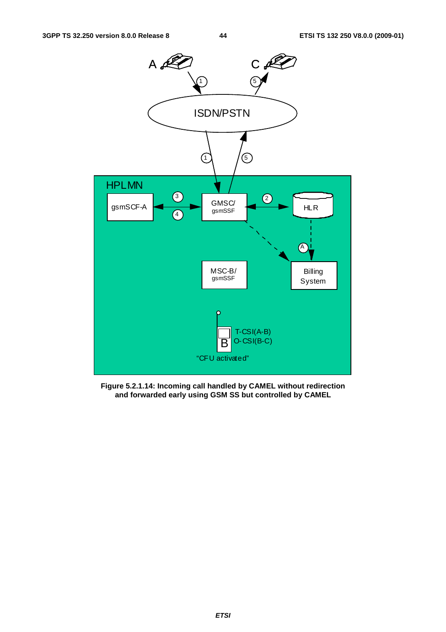

**Figure 5.2.1.14: Incoming call handled by CAMEL without redirection and forwarded early using GSM SS but controlled by CAMEL**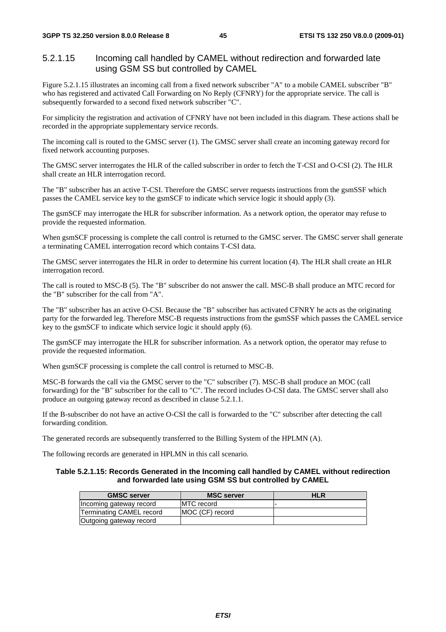#### 5.2.1.15 Incoming call handled by CAMEL without redirection and forwarded late using GSM SS but controlled by CAMEL

Figure 5.2.1.15 illustrates an incoming call from a fixed network subscriber "A" to a mobile CAMEL subscriber "B" who has registered and activated Call Forwarding on No Reply (CFNRY) for the appropriate service. The call is subsequently forwarded to a second fixed network subscriber "C".

For simplicity the registration and activation of CFNRY have not been included in this diagram. These actions shall be recorded in the appropriate supplementary service records.

The incoming call is routed to the GMSC server (1). The GMSC server shall create an incoming gateway record for fixed network accounting purposes.

The GMSC server interrogates the HLR of the called subscriber in order to fetch the T-CSI and O-CSI (2). The HLR shall create an HLR interrogation record.

The "B" subscriber has an active T-CSI. Therefore the GMSC server requests instructions from the gsmSSF which passes the CAMEL service key to the gsmSCF to indicate which service logic it should apply (3).

The gsmSCF may interrogate the HLR for subscriber information. As a network option, the operator may refuse to provide the requested information.

When gsmSCF processing is complete the call control is returned to the GMSC server. The GMSC server shall generate a terminating CAMEL interrogation record which contains T-CSI data.

The GMSC server interrogates the HLR in order to determine his current location (4). The HLR shall create an HLR interrogation record.

The call is routed to MSC-B (5). The "B" subscriber do not answer the call. MSC-B shall produce an MTC record for the "B" subscriber for the call from "A".

The "B" subscriber has an active O-CSI. Because the "B" subscriber has activated CFNRY he acts as the originating party for the forwarded leg. Therefore MSC-B requests instructions from the gsmSSF which passes the CAMEL service key to the gsmSCF to indicate which service logic it should apply (6).

The gsmSCF may interrogate the HLR for subscriber information. As a network option, the operator may refuse to provide the requested information.

When gsmSCF processing is complete the call control is returned to MSC-B.

MSC-B forwards the call via the GMSC server to the "C" subscriber (7). MSC-B shall produce an MOC (call forwarding) for the "B" subscriber for the call to "C". The record includes O-CSI data. The GMSC server shall also produce an outgoing gateway record as described in clause 5.2.1.1.

If the B-subscriber do not have an active O-CSI the call is forwarded to the "C" subscriber after detecting the call forwarding condition.

The generated records are subsequently transferred to the Billing System of the HPLMN (A).

The following records are generated in HPLMN in this call scenario.

#### **Table 5.2.1.15: Records Generated in the Incoming call handled by CAMEL without redirection and forwarded late using GSM SS but controlled by CAMEL**

| <b>GMSC server</b>       | <b>MSC server</b>  | <b>HLR</b> |
|--------------------------|--------------------|------------|
| Incoming gateway record  | <b>IMTC</b> record |            |
| Terminating CAMEL record | MOC (CF) record    |            |
| Outgoing gateway record  |                    |            |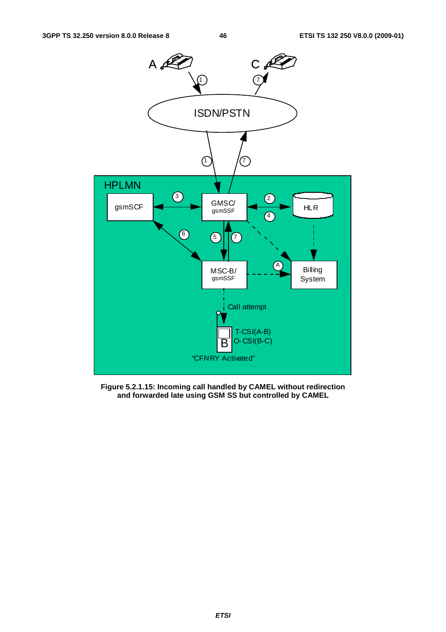

**Figure 5.2.1.15: Incoming call handled by CAMEL without redirection and forwarded late using GSM SS but controlled by CAMEL**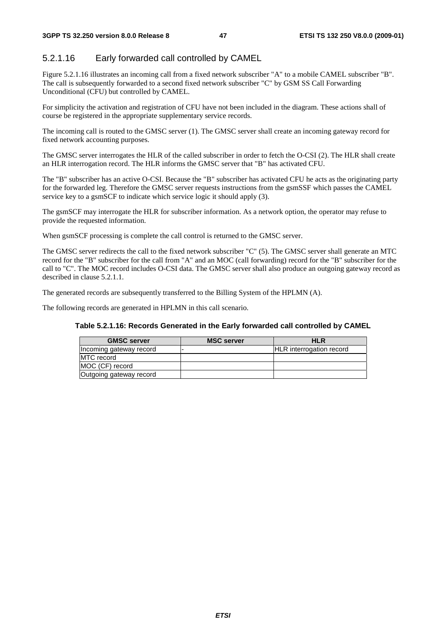## 5.2.1.16 Early forwarded call controlled by CAMEL

Figure 5.2.1.16 illustrates an incoming call from a fixed network subscriber "A" to a mobile CAMEL subscriber "B". The call is subsequently forwarded to a second fixed network subscriber "C" by GSM SS Call Forwarding Unconditional (CFU) but controlled by CAMEL.

For simplicity the activation and registration of CFU have not been included in the diagram. These actions shall of course be registered in the appropriate supplementary service records.

The incoming call is routed to the GMSC server (1). The GMSC server shall create an incoming gateway record for fixed network accounting purposes.

The GMSC server interrogates the HLR of the called subscriber in order to fetch the O-CSI (2). The HLR shall create an HLR interrogation record. The HLR informs the GMSC server that "B" has activated CFU.

The "B" subscriber has an active O-CSI. Because the "B" subscriber has activated CFU he acts as the originating party for the forwarded leg. Therefore the GMSC server requests instructions from the gsmSSF which passes the CAMEL service key to a gsmSCF to indicate which service logic it should apply (3).

The gsmSCF may interrogate the HLR for subscriber information. As a network option, the operator may refuse to provide the requested information.

When gsmSCF processing is complete the call control is returned to the GMSC server.

The GMSC server redirects the call to the fixed network subscriber "C" (5). The GMSC server shall generate an MTC record for the "B" subscriber for the call from "A" and an MOC (call forwarding) record for the "B" subscriber for the call to "C". The MOC record includes O-CSI data. The GMSC server shall also produce an outgoing gateway record as described in clause 5.2.1.1.

The generated records are subsequently transferred to the Billing System of the HPLMN (A).

The following records are generated in HPLMN in this call scenario.

| Table 5.2.1.16: Records Generated in the Early forwarded call controlled by CAMEL |
|-----------------------------------------------------------------------------------|
|-----------------------------------------------------------------------------------|

| <b>GMSC</b> server      | <b>MSC server</b> | HLR                             |
|-------------------------|-------------------|---------------------------------|
| Incoming gateway record |                   | <b>HLR</b> interrogation record |
| <b>MTC</b> record       |                   |                                 |
| IMOC (CF) record        |                   |                                 |
| Outgoing gateway record |                   |                                 |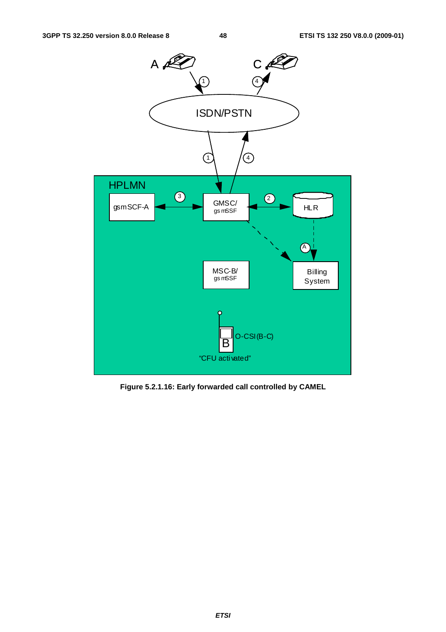

**Figure 5.2.1.16: Early forwarded call controlled by CAMEL**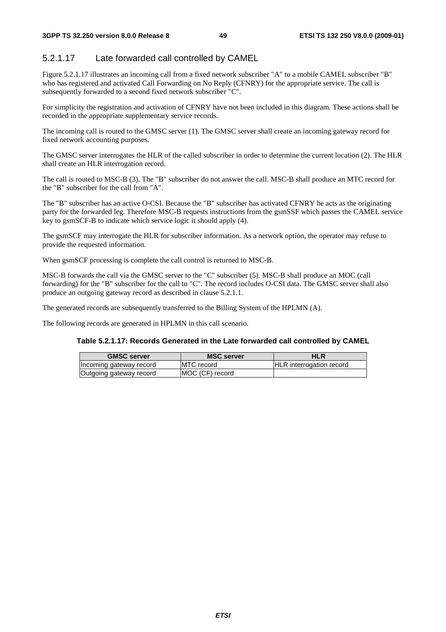## 5.2.1.17 Late forwarded call controlled by CAMEL

Figure 5.2.1.17 illustrates an incoming call from a fixed network subscriber "A" to a mobile CAMEL subscriber "B" who has registered and activated Call Forwarding on No Reply (CFNRY) for the appropriate service. The call is subsequently forwarded to a second fixed network subscriber "C".

For simplicity the registration and activation of CFNRY have not been included in this diagram. These actions shall be recorded in the appropriate supplementary service records.

The incoming call is routed to the GMSC server (1). The GMSC server shall create an incoming gateway record for fixed network accounting purposes.

The GMSC server interrogates the HLR of the called subscriber in order to determine the current location (2). The HLR shall create an HLR interrogation record.

The call is routed to MSC-B (3). The "B" subscriber do not answer the call. MSC-B shall produce an MTC record for the "B" subscriber for the call from "A".

The "B" subscriber has an active O-CSI. Because the "B" subscriber has activated CFNRY he acts as the originating party for the forwarded leg. Therefore MSC-B requests instructions from the gsmSSF which passes the CAMEL service key to gsmSCF-B to indicate which service logic it should apply (4).

The gsmSCF may interrogate the HLR for subscriber information. As a network option, the operator may refuse to provide the requested information.

When gsmSCF processing is complete the call control is returned to MSC-B.

MSC-B forwards the call via the GMSC server to the "C" subscriber (5). MSC-B shall produce an MOC (call forwarding) for the "B" subscriber for the call to "C". The record includes O-CSI data. The GMSC server shall also produce an outgoing gateway record as described in clause 5.2.1.1.

The generated records are subsequently transferred to the Billing System of the HPLMN (A).

The following records are generated in HPLMN in this call scenario.

#### **Table 5.2.1.17: Records Generated in the Late forwarded call controlled by CAMEL**

| <b>GMSC server</b>      | <b>MSC server</b>  | HLR                             |
|-------------------------|--------------------|---------------------------------|
| Incoming gateway record | <b>IMTC</b> record | <b>HLR</b> interrogation record |
| Outgoing gateway record | MOC (CF) record    |                                 |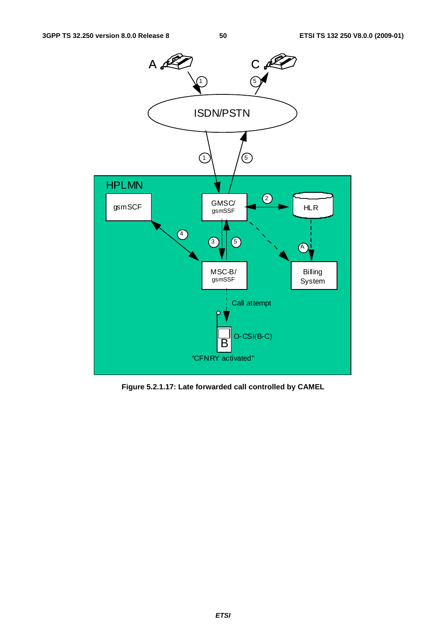

**Figure 5.2.1.17: Late forwarded call controlled by CAMEL**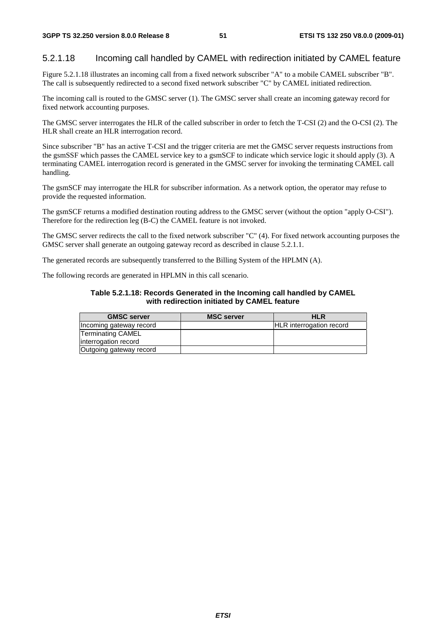### 5.2.1.18 Incoming call handled by CAMEL with redirection initiated by CAMEL feature

Figure 5.2.1.18 illustrates an incoming call from a fixed network subscriber "A" to a mobile CAMEL subscriber "B". The call is subsequently redirected to a second fixed network subscriber "C" by CAMEL initiated redirection.

The incoming call is routed to the GMSC server (1). The GMSC server shall create an incoming gateway record for fixed network accounting purposes.

The GMSC server interrogates the HLR of the called subscriber in order to fetch the T-CSI (2) and the O-CSI (2). The HLR shall create an HLR interrogation record.

Since subscriber "B" has an active T-CSI and the trigger criteria are met the GMSC server requests instructions from the gsmSSF which passes the CAMEL service key to a gsmSCF to indicate which service logic it should apply (3). A terminating CAMEL interrogation record is generated in the GMSC server for invoking the terminating CAMEL call handling.

The gsmSCF may interrogate the HLR for subscriber information. As a network option, the operator may refuse to provide the requested information.

The gsmSCF returns a modified destination routing address to the GMSC server (without the option "apply O-CSI"). Therefore for the redirection leg (B-C) the CAMEL feature is not invoked.

The GMSC server redirects the call to the fixed network subscriber "C" (4). For fixed network accounting purposes the GMSC server shall generate an outgoing gateway record as described in clause 5.2.1.1.

The generated records are subsequently transferred to the Billing System of the HPLMN (A).

The following records are generated in HPLMN in this call scenario.

#### **Table 5.2.1.18: Records Generated in the Incoming call handled by CAMEL with redirection initiated by CAMEL feature**

| <b>GMSC server</b>      | <b>MSC server</b> | <b>HLR</b>                      |
|-------------------------|-------------------|---------------------------------|
| Incoming gateway record |                   | <b>HLR</b> interrogation record |
| Terminating CAMEL       |                   |                                 |
| interrogation record    |                   |                                 |
| Outgoing gateway record |                   |                                 |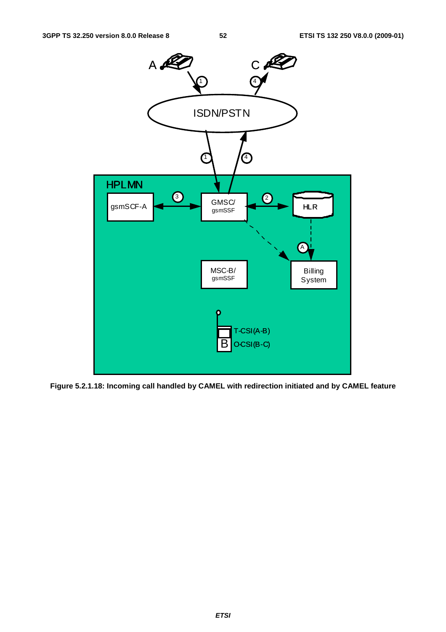

**Figure 5.2.1.18: Incoming call handled by CAMEL with redirection initiated and by CAMEL feature**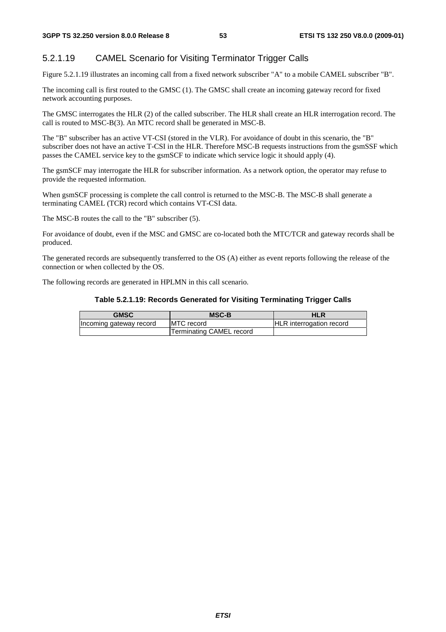# 5.2.1.19 CAMEL Scenario for Visiting Terminator Trigger Calls

Figure 5.2.1.19 illustrates an incoming call from a fixed network subscriber "A" to a mobile CAMEL subscriber "B".

The incoming call is first routed to the GMSC (1). The GMSC shall create an incoming gateway record for fixed network accounting purposes.

The GMSC interrogates the HLR (2) of the called subscriber. The HLR shall create an HLR interrogation record. The call is routed to MSC-B(3). An MTC record shall be generated in MSC-B.

The "B" subscriber has an active VT-CSI (stored in the VLR). For avoidance of doubt in this scenario, the "B" subscriber does not have an active T-CSI in the HLR. Therefore MSC-B requests instructions from the gsmSSF which passes the CAMEL service key to the gsmSCF to indicate which service logic it should apply (4).

The gsmSCF may interrogate the HLR for subscriber information. As a network option, the operator may refuse to provide the requested information.

When gsmSCF processing is complete the call control is returned to the MSC-B. The MSC-B shall generate a terminating CAMEL (TCR) record which contains VT-CSI data.

The MSC-B routes the call to the "B" subscriber (5).

For avoidance of doubt, even if the MSC and GMSC are co-located both the MTC/TCR and gateway records shall be produced.

The generated records are subsequently transferred to the OS (A) either as event reports following the release of the connection or when collected by the OS.

The following records are generated in HPLMN in this call scenario.

#### **Table 5.2.1.19: Records Generated for Visiting Terminating Trigger Calls**

| <b>GMSC</b>             | <b>MSC-B</b>             | HLR                             |
|-------------------------|--------------------------|---------------------------------|
| Incoming gateway record | <b>IMTC</b> record       | <b>HLR</b> interrogation record |
|                         | Terminating CAMEL record |                                 |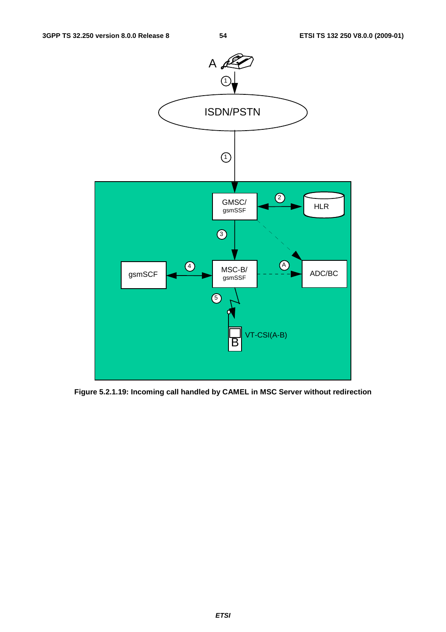

**Figure 5.2.1.19: Incoming call handled by CAMEL in MSC Server without redirection**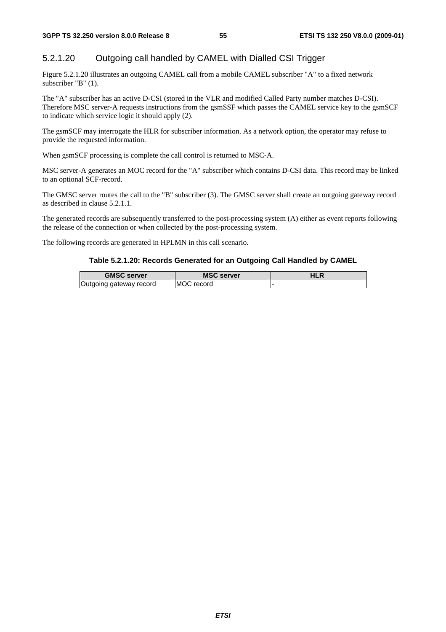## 5.2.1.20 Outgoing call handled by CAMEL with Dialled CSI Trigger

Figure 5.2.1.20 illustrates an outgoing CAMEL call from a mobile CAMEL subscriber "A" to a fixed network subscriber "B" (1).

The "A" subscriber has an active D-CSI (stored in the VLR and modified Called Party number matches D-CSI). Therefore MSC server-A requests instructions from the gsmSSF which passes the CAMEL service key to the gsmSCF to indicate which service logic it should apply (2).

The gsmSCF may interrogate the HLR for subscriber information. As a network option, the operator may refuse to provide the requested information.

When gsmSCF processing is complete the call control is returned to MSC-A.

MSC server-A generates an MOC record for the "A" subscriber which contains D-CSI data. This record may be linked to an optional SCF-record.

The GMSC server routes the call to the "B" subscriber (3). The GMSC server shall create an outgoing gateway record as described in clause 5.2.1.1.

The generated records are subsequently transferred to the post-processing system (A) either as event reports following the release of the connection or when collected by the post-processing system.

The following records are generated in HPLMN in this call scenario.

#### **Table 5.2.1.20: Records Generated for an Outgoing Call Handled by CAMEL**

| <b>GMSC server</b>      | <b>MSC server</b> | <b>HLR</b> |
|-------------------------|-------------------|------------|
| Outgoing gateway record | MOC record        |            |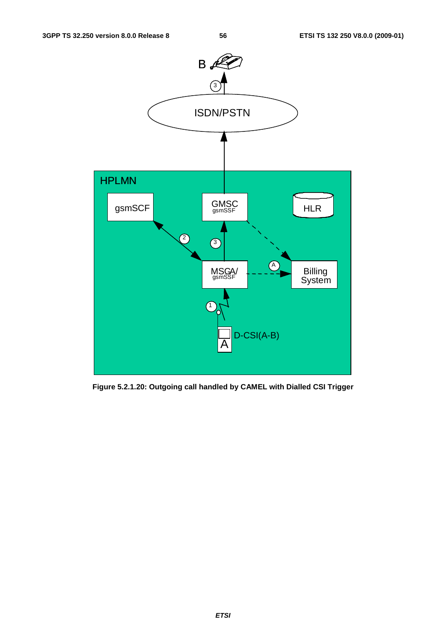

**Figure 5.2.1.20: Outgoing call handled by CAMEL with Dialled CSI Trigger**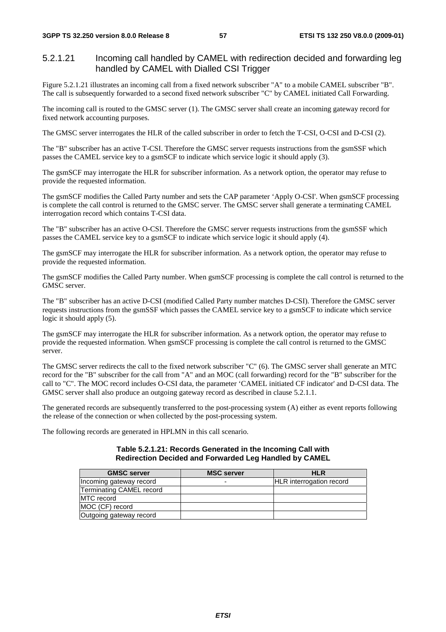## 5.2.1.21 Incoming call handled by CAMEL with redirection decided and forwarding leg handled by CAMEL with Dialled CSI Trigger

Figure 5.2.1.21 illustrates an incoming call from a fixed network subscriber "A" to a mobile CAMEL subscriber "B". The call is subsequently forwarded to a second fixed network subscriber "C" by CAMEL initiated Call Forwarding.

The incoming call is routed to the GMSC server (1). The GMSC server shall create an incoming gateway record for fixed network accounting purposes.

The GMSC server interrogates the HLR of the called subscriber in order to fetch the T-CSI, O-CSI and D-CSI (2).

The "B" subscriber has an active T-CSI. Therefore the GMSC server requests instructions from the gsmSSF which passes the CAMEL service key to a gsmSCF to indicate which service logic it should apply (3).

The gsmSCF may interrogate the HLR for subscriber information. As a network option, the operator may refuse to provide the requested information.

The gsmSCF modifies the Called Party number and sets the CAP parameter 'Apply O-CSI'. When gsmSCF processing is complete the call control is returned to the GMSC server. The GMSC server shall generate a terminating CAMEL interrogation record which contains T-CSI data.

The "B" subscriber has an active O-CSI. Therefore the GMSC server requests instructions from the gsmSSF which passes the CAMEL service key to a gsmSCF to indicate which service logic it should apply (4).

The gsmSCF may interrogate the HLR for subscriber information. As a network option, the operator may refuse to provide the requested information.

The gsmSCF modifies the Called Party number. When gsmSCF processing is complete the call control is returned to the GMSC server.

The "B" subscriber has an active D-CSI (modified Called Party number matches D-CSI). Therefore the GMSC server requests instructions from the gsmSSF which passes the CAMEL service key to a gsmSCF to indicate which service logic it should apply  $(5)$ .

The gsmSCF may interrogate the HLR for subscriber information. As a network option, the operator may refuse to provide the requested information. When gsmSCF processing is complete the call control is returned to the GMSC server.

The GMSC server redirects the call to the fixed network subscriber "C" (6). The GMSC server shall generate an MTC record for the "B" subscriber for the call from "A" and an MOC (call forwarding) record for the "B" subscriber for the call to "C". The MOC record includes O-CSI data, the parameter 'CAMEL initiated CF indicator' and D-CSI data. The GMSC server shall also produce an outgoing gateway record as described in clause 5.2.1.1.

The generated records are subsequently transferred to the post-processing system (A) either as event reports following the release of the connection or when collected by the post-processing system.

The following records are generated in HPLMN in this call scenario.

#### **Table 5.2.1.21: Records Generated in the Incoming Call with Redirection Decided and Forwarded Leg Handled by CAMEL**

| <b>GMSC server</b>       | <b>MSC server</b> | <b>HLR</b>               |
|--------------------------|-------------------|--------------------------|
| Incoming gateway record  |                   | HLR interrogation record |
| Terminating CAMEL record |                   |                          |
| <b>IMTC</b> record       |                   |                          |
| MOC (CF) record          |                   |                          |
| Outgoing gateway record  |                   |                          |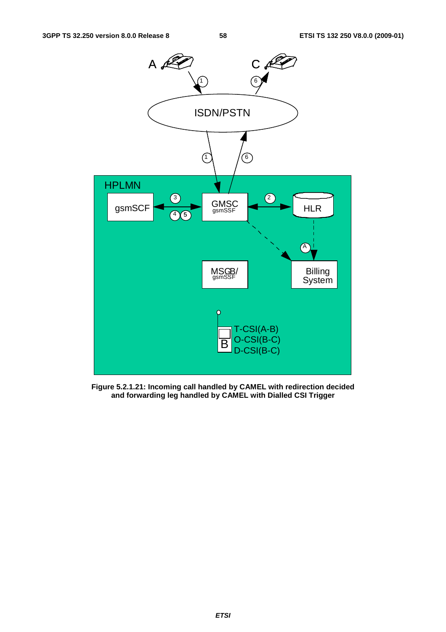

**Figure 5.2.1.21: Incoming call handled by CAMEL with redirection decided and forwarding leg handled by CAMEL with Dialled CSI Trigger**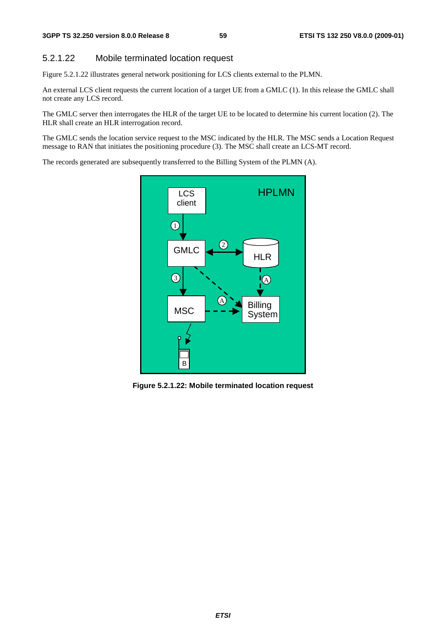#### 5.2.1.22 Mobile terminated location request

Figure 5.2.1.22 illustrates general network positioning for LCS clients external to the PLMN.

An external LCS client requests the current location of a target UE from a GMLC (1). In this release the GMLC shall not create any LCS record.

The GMLC server then interrogates the HLR of the target UE to be located to determine his current location (2). The HLR shall create an HLR interrogation record.

The GMLC sends the location service request to the MSC indicated by the HLR. The MSC sends a Location Request message to RAN that initiates the positioning procedure (3). The MSC shall create an LCS-MT record.

The records generated are subsequently transferred to the Billing System of the PLMN (A).



**Figure 5.2.1.22: Mobile terminated location request**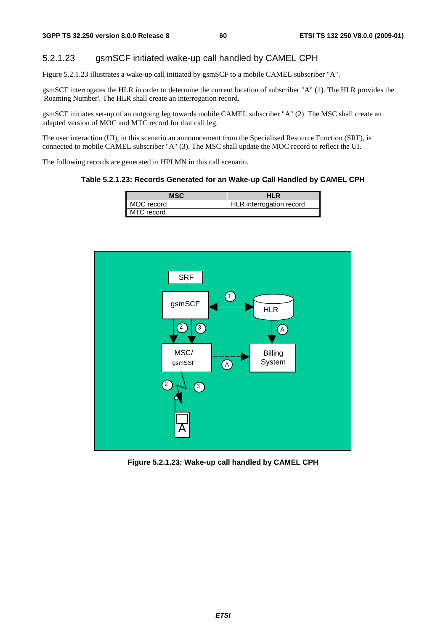## 5.2.1.23 gsmSCF initiated wake-up call handled by CAMEL CPH

Figure 5.2.1.23 illustrates a wake-up call initiated by gsmSCF to a mobile CAMEL subscriber "A".

gsmSCF interrogates the HLR in order to determine the current location of subscriber "A" (1). The HLR provides the 'Roaming Number'. The HLR shall create an interrogation record.

gsmSCF initiates set-up of an outgoing leg towards mobile CAMEL subscriber "A" (2). The MSC shall create an adapted version of MOC and MTC record for that call leg.

The user interaction (UI), in this scenario an announcement from the Specialised Resource Function (SRF), is connected to mobile CAMEL subscriber "A" (3). The MSC shall update the MOC record to reflect the UI.

The following records are generated in HPLMN in this call scenario.

#### **Table 5.2.1.23: Records Generated for an Wake-up Call Handled by CAMEL CPH**

| MSC        | <b>HLR</b>               |
|------------|--------------------------|
| MOC record | HLR interrogation record |
| MTC record |                          |



**Figure 5.2.1.23: Wake-up call handled by CAMEL CPH**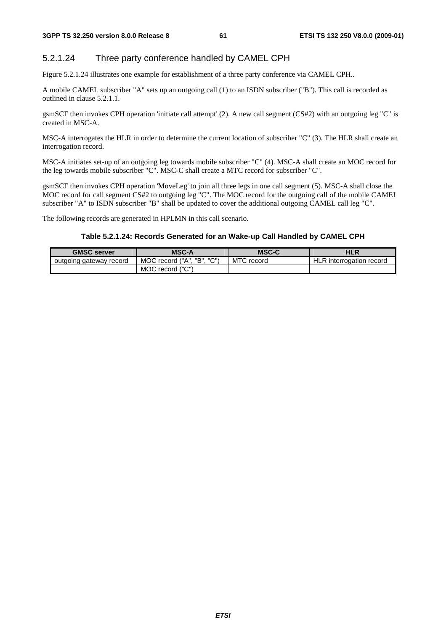# 5.2.1.24 Three party conference handled by CAMEL CPH

Figure 5.2.1.24 illustrates one example for establishment of a three party conference via CAMEL CPH..

A mobile CAMEL subscriber "A" sets up an outgoing call (1) to an ISDN subscriber ("B"). This call is recorded as outlined in clause 5.2.1.1.

gsmSCF then invokes CPH operation 'initiate call attempt' (2). A new call segment (CS#2) with an outgoing leg "C" is created in MSC-A.

MSC-A interrogates the HLR in order to determine the current location of subscriber "C" (3). The HLR shall create an interrogation record.

MSC-A initiates set-up of an outgoing leg towards mobile subscriber "C" (4). MSC-A shall create an MOC record for the leg towards mobile subscriber "C". MSC-C shall create a MTC record for subscriber "C".

gsmSCF then invokes CPH operation 'MoveLeg' to join all three legs in one call segment (5). MSC-A shall close the MOC record for call segment CS#2 to outgoing leg "C". The MOC record for the outgoing call of the mobile CAMEL subscriber "A" to ISDN subscriber "B" shall be updated to cover the additional outgoing CAMEL call leg "C".

The following records are generated in HPLMN in this call scenario.

#### **Table 5.2.1.24: Records Generated for an Wake-up Call Handled by CAMEL CPH**

| <b>GMSC server</b>      | <b>MSC-A</b>                   | <b>MSC-C</b> | HLR                      |
|-------------------------|--------------------------------|--------------|--------------------------|
| outgoing gateway record | ゠゠゚゚゚<br>MOC record ("A", "B", | MTC record   | HLR interrogation record |
|                         | MOC record ("C")               |              |                          |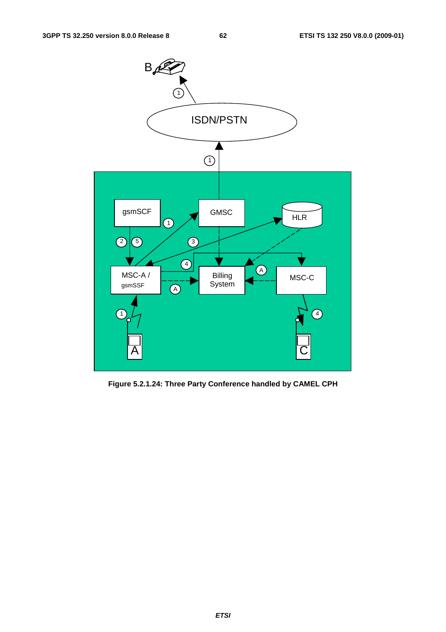

**Figure 5.2.1.24: Three Party Conference handled by CAMEL CPH**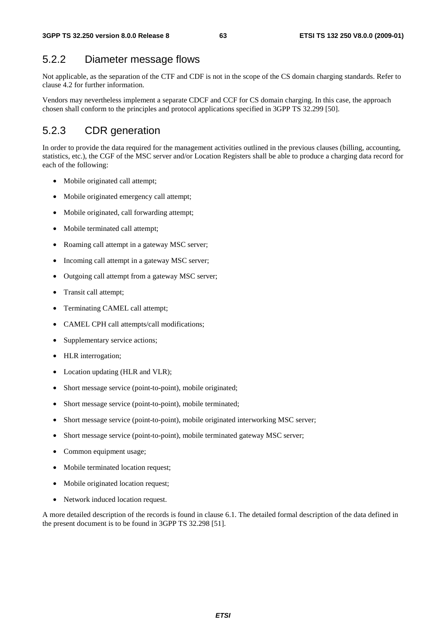# 5.2.2 Diameter message flows

Not applicable, as the separation of the CTF and CDF is not in the scope of the CS domain charging standards. Refer to clause 4.2 for further information.

Vendors may nevertheless implement a separate CDCF and CCF for CS domain charging. In this case, the approach chosen shall conform to the principles and protocol applications specified in 3GPP TS 32.299 [50].

# 5.2.3 CDR generation

In order to provide the data required for the management activities outlined in the previous clauses (billing, accounting, statistics, etc.), the CGF of the MSC server and/or Location Registers shall be able to produce a charging data record for each of the following:

- Mobile originated call attempt;
- Mobile originated emergency call attempt;
- Mobile originated, call forwarding attempt:
- Mobile terminated call attempt;
- Roaming call attempt in a gateway MSC server;
- Incoming call attempt in a gateway MSC server;
- Outgoing call attempt from a gateway MSC server;
- Transit call attempt;
- Terminating CAMEL call attempt;
- CAMEL CPH call attempts/call modifications;
- Supplementary service actions;
- HLR interrogation;
- Location updating (HLR and VLR);
- Short message service (point-to-point), mobile originated;
- Short message service (point-to-point), mobile terminated;
- Short message service (point-to-point), mobile originated interworking MSC server;
- Short message service (point-to-point), mobile terminated gateway MSC server;
- Common equipment usage;
- Mobile terminated location request;
- Mobile originated location request;
- Network induced location request.

A more detailed description of the records is found in clause 6.1. The detailed formal description of the data defined in the present document is to be found in 3GPP TS 32.298 [51].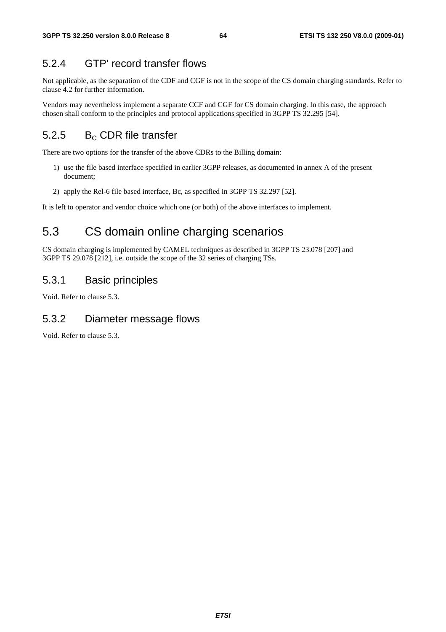# 5.2.4 GTP' record transfer flows

Not applicable, as the separation of the CDF and CGF is not in the scope of the CS domain charging standards. Refer to clause 4.2 for further information.

Vendors may nevertheless implement a separate CCF and CGF for CS domain charging. In this case, the approach chosen shall conform to the principles and protocol applications specified in 3GPP TS 32.295 [54].

# 5.2.5  $B<sub>c</sub>$  CDR file transfer

There are two options for the transfer of the above CDRs to the Billing domain:

- 1) use the file based interface specified in earlier 3GPP releases, as documented in annex A of the present document;
- 2) apply the Rel-6 file based interface, Bc, as specified in 3GPP TS 32.297 [52].

It is left to operator and vendor choice which one (or both) of the above interfaces to implement.

# 5.3 CS domain online charging scenarios

CS domain charging is implemented by CAMEL techniques as described in 3GPP TS 23.078 [207] and 3GPP TS 29.078 [212], i.e. outside the scope of the 32 series of charging TSs.

# 5.3.1 Basic principles

Void. Refer to clause 5.3.

# 5.3.2 Diameter message flows

Void. Refer to clause 5.3.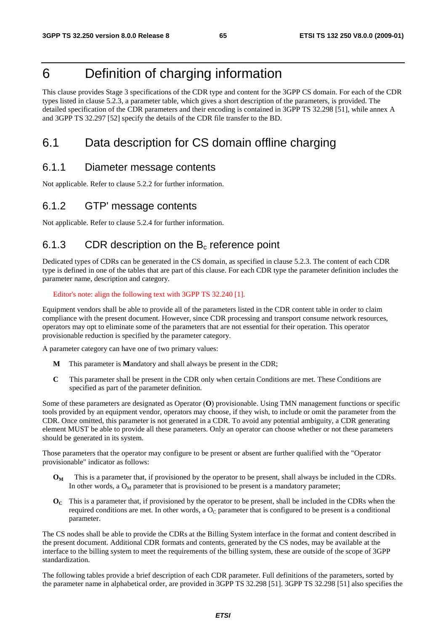# 6 Definition of charging information

This clause provides Stage 3 specifications of the CDR type and content for the 3GPP CS domain. For each of the CDR types listed in clause 5.2.3, a parameter table, which gives a short description of the parameters, is provided. The detailed specification of the CDR parameters and their encoding is contained in 3GPP TS 32.298 [51], while annex A and 3GPP TS 32.297 [52] specify the details of the CDR file transfer to the BD.

# 6.1 Data description for CS domain offline charging

# 6.1.1 Diameter message contents

Not applicable. Refer to clause 5.2.2 for further information.

# 6.1.2 GTP' message contents

Not applicable. Refer to clause 5.2.4 for further information.

# 6.1.3 CDR description on the  $B_c$  reference point

Dedicated types of CDRs can be generated in the CS domain, as specified in clause 5.2.3. The content of each CDR type is defined in one of the tables that are part of this clause. For each CDR type the parameter definition includes the parameter name, description and category.

Editor's note: align the following text with 3GPP TS 32.240 [1].

Equipment vendors shall be able to provide all of the parameters listed in the CDR content table in order to claim compliance with the present document. However, since CDR processing and transport consume network resources, operators may opt to eliminate some of the parameters that are not essential for their operation. This operator provisionable reduction is specified by the parameter category.

A parameter category can have one of two primary values:

- **M** This parameter is **M**andatory and shall always be present in the CDR;
- **C** This parameter shall be present in the CDR only when certain Conditions are met. These Conditions are specified as part of the parameter definition.

Some of these parameters are designated as Operator (**O**) provisionable. Using TMN management functions or specific tools provided by an equipment vendor, operators may choose, if they wish, to include or omit the parameter from the CDR. Once omitted, this parameter is not generated in a CDR. To avoid any potential ambiguity, a CDR generating element MUST be able to provide all these parameters. Only an operator can choose whether or not these parameters should be generated in its system.

Those parameters that the operator may configure to be present or absent are further qualified with the "Operator provisionable" indicator as follows:

- **OM** This is a parameter that, if provisioned by the operator to be present, shall always be included in the CDRs. In other words, a  $O_M$  parameter that is provisioned to be present is a mandatory parameter;
- **OC** This is a parameter that, if provisioned by the operator to be present, shall be included in the CDRs when the required conditions are met. In other words, a  $O<sub>C</sub>$  parameter that is configured to be present is a conditional parameter.

The CS nodes shall be able to provide the CDRs at the Billing System interface in the format and content described in the present document. Additional CDR formats and contents, generated by the CS nodes, may be available at the interface to the billing system to meet the requirements of the billing system, these are outside of the scope of 3GPP standardization.

The following tables provide a brief description of each CDR parameter. Full definitions of the parameters, sorted by the parameter name in alphabetical order, are provided in 3GPP TS 32.298 [51]. 3GPP TS 32.298 [51] also specifies the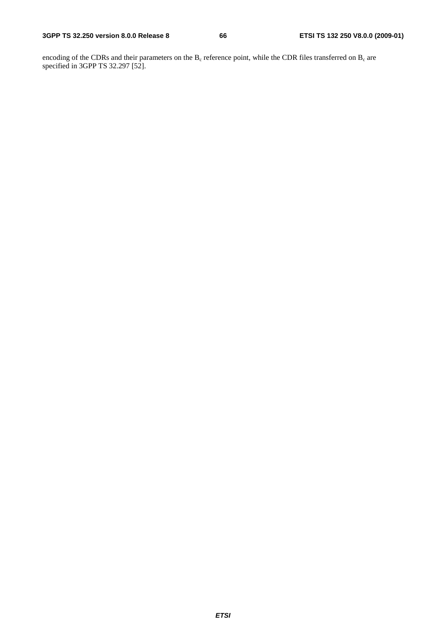encoding of the CDRs and their parameters on the  $B_c$  reference point, while the CDR files transferred on  $B_c$  are specified in 3GPP TS 32.297 [52].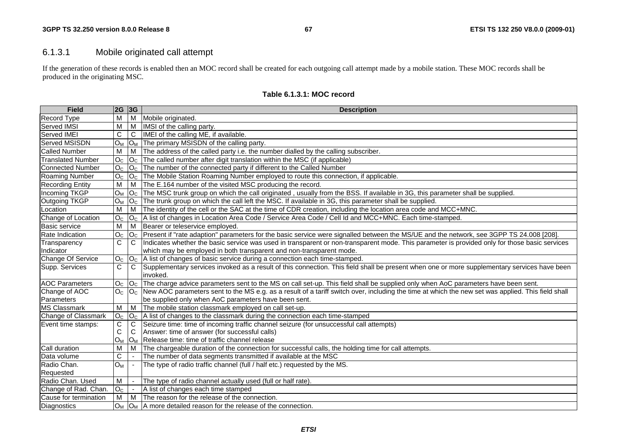# 6.1.3.1 Mobile originated call attempt

If the generation of these records is enabled then an MOC record shall be created for each outgoing call attempt made by a mobile station. These MOC records shall be produced in the originating MSC.

| <b>Field</b>             | 2G 3G              |                | <b>Description</b>                                                                                                                                       |
|--------------------------|--------------------|----------------|----------------------------------------------------------------------------------------------------------------------------------------------------------|
| Record Type              | M                  | M              | Mobile originated.                                                                                                                                       |
| Served IMSI              | M                  | M              | IMSI of the calling party.                                                                                                                               |
| Served IMEI              | C                  | C              | IMEI of the calling ME, if available.                                                                                                                    |
| Served MSISDN            | O <sub>M</sub>     | $O_M$          | The primary MSISDN of the calling party.                                                                                                                 |
| <b>Called Number</b>     | M                  | м              | The address of the called party i.e. the number dialled by the calling subscriber.                                                                       |
| <b>Translated Number</b> | O <sub>c</sub>     | O <sub>C</sub> | The called number after digit translation within the MSC (if applicable)                                                                                 |
| Connected Number         | O <sub>c</sub>     | O <sub>C</sub> | The number of the connected party if different to the Called Number                                                                                      |
| <b>Roaming Number</b>    | O <sub>C</sub>     | O <sub>c</sub> | The Mobile Station Roaming Number employed to route this connection, if applicable.                                                                      |
| <b>Recording Entity</b>  | м                  | M              | The E.164 number of the visited MSC producing the record.                                                                                                |
| <b>Incoming TKGP</b>     | $O_M$              | O <sub>C</sub> | The MSC trunk group on which the call originated, usually from the BSS. If available in 3G, this parameter shall be supplied.                            |
| Outgoing TKGP            | O <sub>M</sub>     | O <sub>C</sub> | The trunk group on which the call left the MSC. If available in 3G, this parameter shall be supplied.                                                    |
| Location                 | M                  | M              | The identity of the cell or the SAC at the time of CDR creation, including the location area code and MCC+MNC.                                           |
| Change of Location       | O <sub>c</sub>     | O <sub>C</sub> | A list of changes in Location Area Code / Service Area Code / Cell Id and MCC+MNC. Each time-stamped.                                                    |
| <b>Basic service</b>     | M                  | M              | Bearer or teleservice employed.                                                                                                                          |
| Rate Indication          | $\overline{O_{C}}$ | O <sub>c</sub> | Present if "rate adaption" parameters for the basic service were signalled between the MS/UE and the network, see 3GPP TS 24.008 [208].                  |
| Transparency             | $\mathsf C$        | C              | Indicates whether the basic service was used in transparent or non-transparent mode. This parameter is provided only for those basic services            |
| Indicator                |                    |                | which may be employed in both transparent and non-transparent mode.                                                                                      |
| Change Of Service        | O <sub>C</sub>     | O <sub>c</sub> | A list of changes of basic service during a connection each time-stamped.                                                                                |
| Supp. Services           | C                  | C              | Supplementary services invoked as a result of this connection. This field shall be present when one or more supplementary services have been<br>invoked. |
| <b>AOC Parameters</b>    | O <sub>C</sub>     | O <sub>c</sub> | The charge advice parameters sent to the MS on call set-up. This field shall be supplied only when AoC parameters have been sent.                        |
| Change of AOC            | $Oc$ $Oc$          |                | New AOC parameters sent to the MS e.g. as a result of a tariff switch over, including the time at which the new set was applied. This field shall        |
| Parameters               |                    |                | be supplied only when AoC parameters have been sent.                                                                                                     |
| <b>MS Classmark</b>      | $\overline{M}$     | $\overline{M}$ | The mobile station classmark employed on call set-up.                                                                                                    |
| Change of Classmark      | O <sub>C</sub>     | O <sub>c</sub> | A list of changes to the classmark during the connection each time-stamped                                                                               |
| Event time stamps:       | $\mathsf C$        | C              | Seizure time: time of incoming traffic channel seizure (for unsuccessful call attempts)                                                                  |
|                          | $\mathsf{C}$       | C              | Answer: time of answer (for successful calls)                                                                                                            |
|                          | $O_M$              | $O_M$          | Release time: time of traffic channel release                                                                                                            |
| Call duration            | M                  | M              | The chargeable duration of the connection for successful calls, the holding time for call attempts.                                                      |
| Data volume              | $\mathbf C$        |                | The number of data segments transmitted if available at the MSC                                                                                          |
| Radio Chan.              | $O_M$              |                | The type of radio traffic channel (full / half etc.) requested by the MS.                                                                                |
| Requested                |                    |                |                                                                                                                                                          |
| Radio Chan. Used         | M                  |                | The type of radio channel actually used (full or half rate).                                                                                             |
| Change of Rad. Chan.     | O <sub>C</sub>     |                | A list of changes each time stamped                                                                                                                      |
| Cause for termination    | M                  | M              | The reason for the release of the connection.                                                                                                            |
| Diagnostics              |                    |                | O <sub>M</sub>  O <sub>M</sub>  A more detailed reason for the release of the connection.                                                                |

#### **Table 6.1.3.1: MOC record**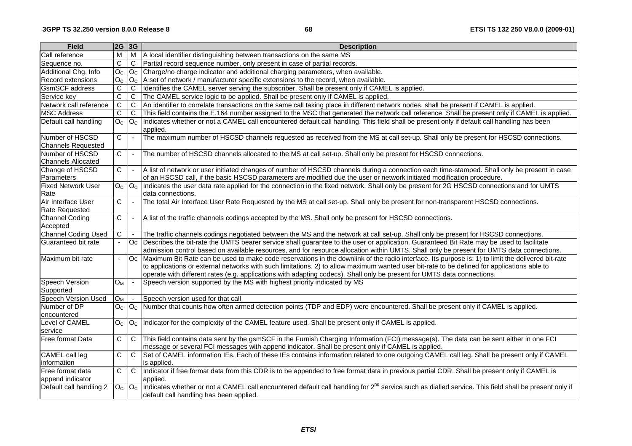| <b>Field</b>                                 | $ 2G $ 3G      |                          | <b>Description</b>                                                                                                                                                                                                                                                                                                                                                                                                          |
|----------------------------------------------|----------------|--------------------------|-----------------------------------------------------------------------------------------------------------------------------------------------------------------------------------------------------------------------------------------------------------------------------------------------------------------------------------------------------------------------------------------------------------------------------|
| Call reference                               | $\overline{M}$ |                          | M   A local identifier distinguishing between transactions on the same MS                                                                                                                                                                                                                                                                                                                                                   |
| Sequence no.                                 | C              | $\mathsf{C}$             | Partial record sequence number, only present in case of partial records.                                                                                                                                                                                                                                                                                                                                                    |
| Additional Chg. Info                         | O <sub>C</sub> |                          | $O_{C}$ Charge/no charge indicator and additional charging parameters, when available.                                                                                                                                                                                                                                                                                                                                      |
| Record extensions                            | O <sub>c</sub> |                          | $OC$ A set of network / manufacturer specific extensions to the record, when available.                                                                                                                                                                                                                                                                                                                                     |
| <b>GsmSCF</b> address                        | C              | $\mathsf C$              | Identifies the CAMEL server serving the subscriber. Shall be present only if CAMEL is applied.                                                                                                                                                                                                                                                                                                                              |
| Service key                                  | $\overline{C}$ | C                        | The CAMEL service logic to be applied. Shall be present only if CAMEL is applied.                                                                                                                                                                                                                                                                                                                                           |
| Network call reference                       | $\overline{C}$ | $\overline{C}$           | An identifier to correlate transactions on the same call taking place in different network nodes, shall be present if CAMEL is applied.                                                                                                                                                                                                                                                                                     |
| <b>MSC Address</b>                           | C              | C.                       | This field contains the E.164 number assigned to the MSC that generated the network call reference. Shall be present only if CAMEL is applied.                                                                                                                                                                                                                                                                              |
| Default call handling                        | O <sub>C</sub> | O <sub>C</sub>           | Indicates whether or not a CAMEL call encountered default call handling. This field shall be present only if default call handling has been<br>applied.                                                                                                                                                                                                                                                                     |
| Number of HSCSD<br>Channels Requested        | C              | $\blacksquare$           | The maximum number of HSCSD channels requested as received from the MS at call set-up. Shall only be present for HSCSD connections.                                                                                                                                                                                                                                                                                         |
| Number of HSCSD<br><b>Channels Allocated</b> | $\mathsf C$    | $\blacksquare$           | The number of HSCSD channels allocated to the MS at call set-up. Shall only be present for HSCSD connections.                                                                                                                                                                                                                                                                                                               |
| Change of HSCSD<br>Parameters                | C              | $\blacksquare$           | A list of network or user initiated changes of number of HSCSD channels during a connection each time-stamped. Shall only be present in case<br>of an HSCSD call, if the basic HSCSD parameters are modified due the user or network initiated modification procedure.                                                                                                                                                      |
| <b>Fixed Network User</b><br>Rate            | O <sub>c</sub> | O <sub>C</sub>           | Indicates the user data rate applied for the connection in the fixed network. Shall only be present for 2G HSCSD connections and for UMTS<br>data connections.                                                                                                                                                                                                                                                              |
| Air Interface User<br><b>Rate Requested</b>  | C              | $\blacksquare$           | The total Air Interface User Rate Requested by the MS at call set-up. Shall only be present for non-transparent HSCSD connections.                                                                                                                                                                                                                                                                                          |
| <b>Channel Coding</b><br>Accepted            | С              | $\overline{\phantom{a}}$ | A list of the traffic channels codings accepted by the MS. Shall only be present for HSCSD connections.                                                                                                                                                                                                                                                                                                                     |
| <b>Channel Coding Used</b>                   | C              |                          | The traffic channels codings negotiated between the MS and the network at call set-up. Shall only be present for HSCSD connections.                                                                                                                                                                                                                                                                                         |
| Guaranteed bit rate                          |                | Oc                       | Describes the bit-rate the UMTS bearer service shall guarantee to the user or application. Guaranteed Bit Rate may be used to facilitate<br>admission control based on available resources, and for resource allocation within UMTS. Shall only be present for UMTS data connections.                                                                                                                                       |
| Maximum bit rate                             | $\blacksquare$ | Oc                       | Maximum Bit Rate can be used to make code reservations in the downlink of the radio interface. Its purpose is: 1) to limit the delivered bit-rate<br>to applications or external networks with such limitations, 2) to allow maximum wanted user bit-rate to be defined for applications able to<br>operate with different rates (e.g. applications with adapting codecs). Shall only be present for UMTS data connections. |
| Speech Version<br>Supported                  | $O_{M}$        | $\blacksquare$           | Speech version supported by the MS with highest priority indicated by MS                                                                                                                                                                                                                                                                                                                                                    |
| <b>Speech Version Used</b>                   | $O_M$          |                          | Speech version used for that call                                                                                                                                                                                                                                                                                                                                                                                           |
| Number of DP<br>encountered                  | O <sub>C</sub> | O <sub>C</sub>           | Number that counts how often armed detection points (TDP and EDP) were encountered. Shall be present only if CAMEL is applied.                                                                                                                                                                                                                                                                                              |
| Level of CAMEL<br>service                    | O <sub>C</sub> |                          | O <sub>C</sub>  Indicator for the complexity of the CAMEL feature used. Shall be present only if CAMEL is applied.                                                                                                                                                                                                                                                                                                          |
| Free format Data                             | C              | C                        | This field contains data sent by the gsmSCF in the Furnish Charging Information (FCI) message(s). The data can be sent either in one FCI<br>message or several FCI messages with append indicator. Shall be present only if CAMEL is applied.                                                                                                                                                                               |
| CAMEL call leg<br>information                | C              | $\mathsf C$              | Set of CAMEL information IEs. Each of these IEs contains information related to one outgoing CAMEL call leg. Shall be present only if CAMEL<br>is applied.                                                                                                                                                                                                                                                                  |
| Free format data<br>append indicator         | C              | $\mathbf C$              | Indicator if free format data from this CDR is to be appended to free format data in previous partial CDR. Shall be present only if CAMEL is<br>applied.                                                                                                                                                                                                                                                                    |
| Default call handling 2                      | $O_c$ $ O_c $  |                          | Indicates whether or not a CAMEL call encountered default call handling for 2 <sup>nd</sup> service such as dialled service. This field shall be present only if<br>default call handling has been applied.                                                                                                                                                                                                                 |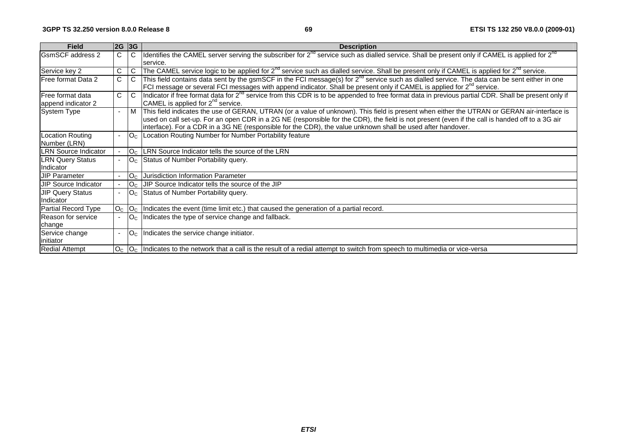| <b>Field</b>                | 2G 3G          |                                  | <b>Description</b>                                                                                                                                                                                                                                                                                                                                                                                            |
|-----------------------------|----------------|----------------------------------|---------------------------------------------------------------------------------------------------------------------------------------------------------------------------------------------------------------------------------------------------------------------------------------------------------------------------------------------------------------------------------------------------------------|
| <b>GsmSCF</b> address 2     | C              | C                                | Identifies the CAMEL server serving the subscriber for $2^{nd}$ service such as dialled service. Shall be present only if CAMEL is applied for $2^{nd}$                                                                                                                                                                                                                                                       |
|                             |                |                                  | service.                                                                                                                                                                                                                                                                                                                                                                                                      |
| Service key 2               | $\mathbf C$    | C                                | The CAMEL service logic to be applied for 2 <sup>nd</sup> service such as dialled service. Shall be present only if CAMEL is applied for 2 <sup>nd</sup> service.                                                                                                                                                                                                                                             |
| Free format Data 2          | $\overline{C}$ | C                                | This field contains data sent by the gsmSCF in the FCI message(s) for $2^{nd}$ service such as dialled service. The data can be sent either in one                                                                                                                                                                                                                                                            |
|                             |                |                                  | FCI message or several FCI messages with append indicator. Shall be present only if CAMEL is applied for 2 <sup>nd</sup> service.                                                                                                                                                                                                                                                                             |
| <b>Free format data</b>     | C              | C                                | Indicator if free format data for 2 <sup>nd</sup> service from this CDR is to be appended to free format data in previous partial CDR. Shall be present only if                                                                                                                                                                                                                                               |
| append indicator 2          |                |                                  | CAMEL is applied for 2 <sup>nd</sup> service.                                                                                                                                                                                                                                                                                                                                                                 |
| <b>System Type</b>          | $\blacksquare$ | M                                | This field indicates the use of GERAN, UTRAN (or a value of unknown). This field is present when either the UTRAN or GERAN air-interface is<br>used on call set-up. For an open CDR in a 2G NE (responsible for the CDR), the field is not present (even if the call is handed off to a 3G air<br>interface). For a CDR in a 3G NE (responsible for the CDR), the value unknown shall be used after handover. |
| <b>Location Routing</b>     | $\sim$         | $ O_C $                          | Location Routing Number for Number Portability feature                                                                                                                                                                                                                                                                                                                                                        |
| Number (LRN)                |                |                                  |                                                                                                                                                                                                                                                                                                                                                                                                               |
| <b>LRN Source Indicator</b> |                | O <sub>c</sub>                   | LRN Source Indicator tells the source of the LRN                                                                                                                                                                                                                                                                                                                                                              |
| <b>LRN Query Status</b>     |                | O <sub>c</sub>                   | Status of Number Portability query.                                                                                                                                                                                                                                                                                                                                                                           |
| Indicator                   |                |                                  |                                                                                                                                                                                                                                                                                                                                                                                                               |
| <b>JIP Parameter</b>        |                | O <sub>c</sub>                   | Jurisdiction Information Parameter                                                                                                                                                                                                                                                                                                                                                                            |
| UIP Source Indicator        |                | O <sub>c</sub>                   | JIP Source Indicator tells the source of the JIP                                                                                                                                                                                                                                                                                                                                                              |
| <b>JIP Query Status</b>     | $\blacksquare$ | $\overline{\text{O}}_{\text{C}}$ | Status of Number Portability query.                                                                                                                                                                                                                                                                                                                                                                           |
| Indicator                   |                |                                  |                                                                                                                                                                                                                                                                                                                                                                                                               |
| Partial Record Type         | O <sub>C</sub> | O <sub>C</sub>                   | Indicates the event (time limit etc.) that caused the generation of a partial record.                                                                                                                                                                                                                                                                                                                         |
| Reason for service          |                | O <sub>C</sub>                   | Indicates the type of service change and fallback.                                                                                                                                                                                                                                                                                                                                                            |
| change                      |                |                                  |                                                                                                                                                                                                                                                                                                                                                                                                               |
| Service change              | $\blacksquare$ | O <sub>C</sub>                   | Indicates the service change initiator.                                                                                                                                                                                                                                                                                                                                                                       |
| linitiator                  |                |                                  |                                                                                                                                                                                                                                                                                                                                                                                                               |
| <b>Redial Attempt</b>       |                |                                  | $ O_C $  Indicates to the network that a call is the result of a redial attempt to switch from speech to multimedia or vice-versa                                                                                                                                                                                                                                                                             |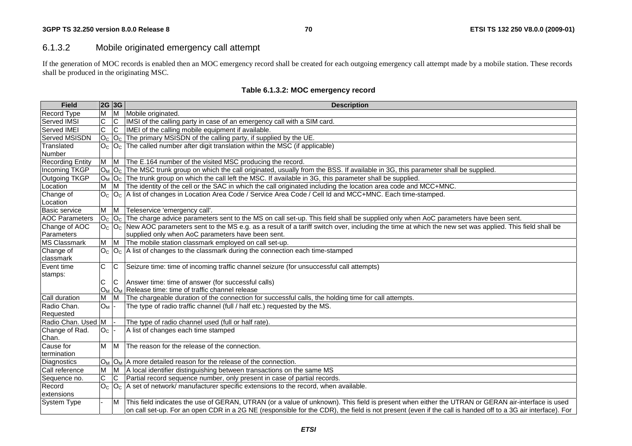# 6.1.3.2 Mobile originated emergency call attempt

If the generation of MOC records is enabled then an MOC emergency record shall be created for each outgoing emergency call attempt made by a mobile station. These records shall be produced in the originating MSC.

| <b>Field</b>                  | 2G 3G          |                         | <b>Description</b>                                                                                                                                                   |
|-------------------------------|----------------|-------------------------|----------------------------------------------------------------------------------------------------------------------------------------------------------------------|
| Record Type                   | M              | $\overline{M}$          | Mobile originated.                                                                                                                                                   |
| Served IMSI                   | $\overline{C}$ | $\overline{C}$          | IMSI of the calling party in case of an emergency call with a SIM card.                                                                                              |
| Served IMEI                   | $\overline{C}$ | $\overline{\mathsf{C}}$ | IMEI of the calling mobile equipment if available.                                                                                                                   |
| Served MSISDN                 |                |                         | $ O_{\rm C} O_{\rm C} $ The primary MSISDN of the calling party, if supplied by the UE.                                                                              |
| Translated                    |                |                         | $O_{C}$ $O_{C}$ The called number after digit translation within the MSC (if applicable)                                                                             |
| Number                        |                |                         |                                                                                                                                                                      |
| <b>Recording Entity</b>       | M              | M                       | The E.164 number of the visited MSC producing the record.                                                                                                            |
| Incoming TKGP                 |                |                         | $ O_M O_C $ The MSC trunk group on which the call originated, usually from the BSS. If available in 3G, this parameter shall be supplied.                            |
| Outgoing TKGP                 |                |                         | $ O_M O_C $ The trunk group on which the call left the MSC. If available in 3G, this parameter shall be supplied.                                                    |
| Location                      | м              | M                       | The identity of the cell or the SAC in which the call originated including the location area code and MCC+MNC.                                                       |
| Change of                     |                |                         | $ O_C O_C $ A list of changes in Location Area Code / Service Area Code / Cell Id and MCC+MNC. Each time-stamped.                                                    |
| Location                      |                |                         |                                                                                                                                                                      |
| Basic service                 | M M            |                         | Teleservice 'emergency call'.                                                                                                                                        |
| <b>AOC Parameters</b>         |                |                         | $ O_C $ $O_C $ The charge advice parameters sent to the MS on call set-up. This field shall be supplied only when AoC parameters have been sent.                     |
| Change of AOC                 |                |                         | $ O_C $ $ O_C $ New AOC parameters sent to the MS e.g. as a result of a tariff switch over, including the time at which the new set was applied. This field shall be |
| Parameters                    |                |                         | supplied only when AoC parameters have been sent.                                                                                                                    |
| <b>MS Classmark</b>           | М              | M                       | The mobile station classmark employed on call set-up.                                                                                                                |
| Change of                     |                |                         | $OC$  O <sub>c</sub>  A list of changes to the classmark during the connection each time-stamped                                                                     |
| classmark                     |                |                         |                                                                                                                                                                      |
| Event time                    | C              | IC.                     | Seizure time: time of incoming traffic channel seizure (for unsuccessful call attempts)                                                                              |
| stamps:                       |                |                         |                                                                                                                                                                      |
|                               | C              | C                       | Answer time: time of answer (for successful calls)                                                                                                                   |
|                               | O <sub>M</sub> |                         | $ O_M $ Release time: time of traffic channel release                                                                                                                |
| Call duration                 | M              | <b>IM</b>               | The chargeable duration of the connection for successful calls, the holding time for call attempts.                                                                  |
| Radio Chan.                   | $O_M$ -        |                         | The type of radio traffic channel (full / half etc.) requested by the MS.                                                                                            |
| Requested                     |                |                         |                                                                                                                                                                      |
| Radio Chan. Used M            |                |                         | The type of radio channel used (full or half rate).                                                                                                                  |
| Change of Rad.                | O <sub>C</sub> |                         | A list of changes each time stamped                                                                                                                                  |
| Chan.<br>Cause for            |                |                         | The reason for the release of the connection.                                                                                                                        |
|                               | M M            |                         |                                                                                                                                                                      |
| termination                   |                |                         | $O_M$ $O_M$ A more detailed reason for the release of the connection.                                                                                                |
| Diagnostics<br>Call reference | M              | M                       | A local identifier distinguishing between transactions on the same MS                                                                                                |
|                               | $\overline{C}$ | $\overline{C}$          | Partial record sequence number, only present in case of partial records.                                                                                             |
| Sequence no.<br>Record        |                |                         | $O_{C}$ $O_{C}$ A set of network/ manufacturer specific extensions to the record, when available.                                                                    |
| extensions                    |                |                         |                                                                                                                                                                      |
| <b>System Type</b>            |                | M                       | This field indicates the use of GERAN, UTRAN (or a value of unknown). This field is present when either the UTRAN or GERAN air-interface is used                     |
|                               |                |                         | on call set-up. For an open CDR in a 2G NE (responsible for the CDR), the field is not present (even if the call is handed off to a 3G air interface). For           |
|                               |                |                         |                                                                                                                                                                      |

#### **Table 6.1.3.2: MOC emergency record**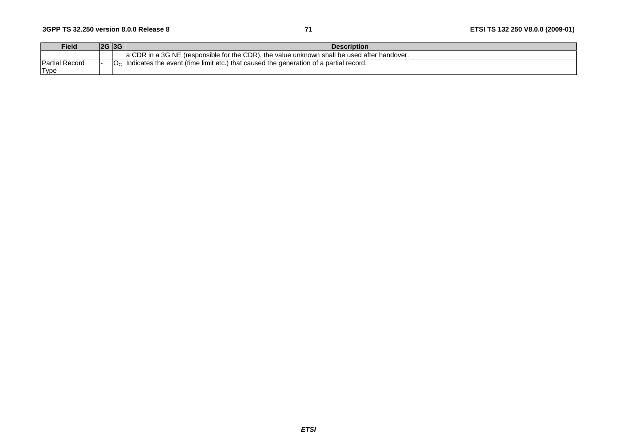| Field                                | 2G 3G | <b>Description</b>                                                                               |
|--------------------------------------|-------|--------------------------------------------------------------------------------------------------|
|                                      |       | a CDR in a 3G NE (responsible for the CDR), the value unknown shall be used after handover.      |
| <b>Partial Record</b><br><b>Type</b> |       | $\epsilon$ Indicates the event (time limit etc.) that caused the generation of a partial record. |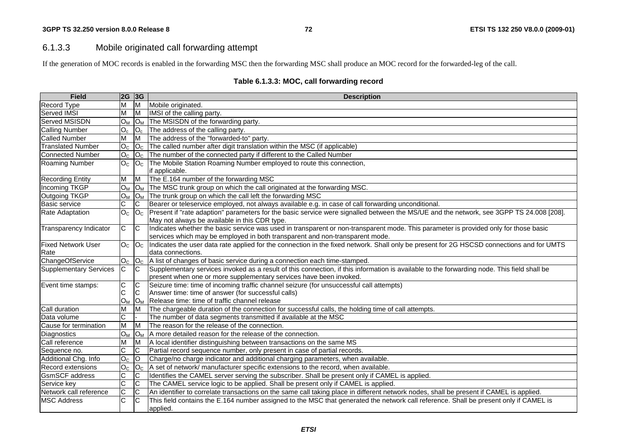## 6.1.3.3 Mobile originated call forwarding attempt

If the generation of MOC records is enabled in the forwarding MSC then the forwarding MSC shall produce an MOC record for the forwarded-leg of the call.

| <b>Field</b>                  | $ 2G $ 3G        |                         | <b>Description</b>                                                                                                                                |  |  |  |  |
|-------------------------------|------------------|-------------------------|---------------------------------------------------------------------------------------------------------------------------------------------------|--|--|--|--|
| Record Type                   | М                | M                       | Mobile originated.                                                                                                                                |  |  |  |  |
| <b>Served IMSI</b>            | M                | M                       | IMSI of the calling party.                                                                                                                        |  |  |  |  |
| Served MSISDN                 | $O_M$            | $O_M$                   | The MSISDN of the forwarding party.                                                                                                               |  |  |  |  |
| <b>Calling Number</b>         | $O_c$            | $O_c$                   | The address of the calling party.                                                                                                                 |  |  |  |  |
| <b>Called Number</b>          | М                | ΙM                      | The address of the "forwarded-to" party.                                                                                                          |  |  |  |  |
| <b>Translated Number</b>      | O <sub>C</sub>   | O <sub>C</sub>          | The called number after digit translation within the MSC (if applicable)                                                                          |  |  |  |  |
| <b>Connected Number</b>       | O <sub>C</sub>   | O <sub>C</sub>          | The number of the connected party if different to the Called Number                                                                               |  |  |  |  |
| Roaming Number                | O <sub>C</sub>   | O <sub>C</sub>          | The Mobile Station Roaming Number employed to route this connection,                                                                              |  |  |  |  |
|                               |                  |                         | if applicable.                                                                                                                                    |  |  |  |  |
| <b>Recording Entity</b>       | M                | $\overline{M}$          | The E.164 number of the forwarding MSC                                                                                                            |  |  |  |  |
| Incoming TKGP                 | $O_M$            | $O_M$                   | The MSC trunk group on which the call originated at the forwarding MSC.                                                                           |  |  |  |  |
| Outgoing TKGP                 | $O_M$            |                         | $ O_M $ The trunk group on which the call left the forwarding MSC                                                                                 |  |  |  |  |
| Basic service                 | C                | IC.                     | Bearer or teleservice employed, not always available e.g. in case of call forwarding unconditional.                                               |  |  |  |  |
| Rate Adaptation               | O <sub>C</sub>   |                         | $ O_C $ Present if "rate adaption" parameters for the basic service were signalled between the MS/UE and the network, see 3GPP TS 24.008 [208].   |  |  |  |  |
|                               |                  |                         | May not always be available in this CDR type.                                                                                                     |  |  |  |  |
| <b>Transparency Indicator</b> | $\mathsf{C}$     | $\overline{C}$          | Indicates whether the basic service was used in transparent or non-transparent mode. This parameter is provided only for those basic              |  |  |  |  |
|                               |                  |                         | services which may be employed in both transparent and non-transparent mode.                                                                      |  |  |  |  |
| <b>Fixed Network User</b>     | $\overline{O}_C$ |                         | $ O_C $ Indicates the user data rate applied for the connection in the fixed network. Shall only be present for 2G HSCSD connections and for UMTS |  |  |  |  |
| Rate                          |                  |                         | data connections.                                                                                                                                 |  |  |  |  |
| ChangeOfService               | O <sub>C</sub>   |                         | $ O_C $ A list of changes of basic service during a connection each time-stamped.                                                                 |  |  |  |  |
| <b>Supplementary Services</b> | $\mathsf{C}$     | <b>C</b>                | Supplementary services invoked as a result of this connection, if this information is available to the forwarding node. This field shall be       |  |  |  |  |
|                               |                  |                         | present when one or more supplementary services have been invoked.                                                                                |  |  |  |  |
| Event time stamps:            | C                | C                       | Seizure time: time of incoming traffic channel seizure (for unsuccessful call attempts)                                                           |  |  |  |  |
|                               | C                | $\mathsf{C}$            | Answer time: time of answer (for successful calls)                                                                                                |  |  |  |  |
|                               | O <sub>M</sub>   |                         | O <sub>M</sub> Release time: time of traffic channel release                                                                                      |  |  |  |  |
| Call duration                 | M                | M                       | The chargeable duration of the connection for successful calls, the holding time of call attempts.                                                |  |  |  |  |
| Data volume                   | $\overline{C}$   |                         | The number of data segments transmitted if available at the MSC                                                                                   |  |  |  |  |
| Cause for termination         | M                | $\overline{\mathsf{M}}$ | The reason for the release of the connection.                                                                                                     |  |  |  |  |
| Diagnostics                   | $O_M$            |                         | $ O_M $ A more detailed reason for the release of the connection.                                                                                 |  |  |  |  |
| Call reference                | M                | M                       | A local identifier distinguishing between transactions on the same MS                                                                             |  |  |  |  |
| Sequence no.                  | C                | C                       | Partial record sequence number, only present in case of partial records.                                                                          |  |  |  |  |
| Additional Chg. Info          | O <sub>C</sub>   | $\circ$                 | Charge/no charge indicator and additional charging parameters, when available.                                                                    |  |  |  |  |
| <b>Record extensions</b>      | $\overline{O}_C$ | O <sub>C</sub>          | A set of network/ manufacturer specific extensions to the record, when available.                                                                 |  |  |  |  |
| <b>GsmSCF</b> address         | $\overline{C}$   | C                       | Identifies the CAMEL server serving the subscriber. Shall be present only if CAMEL is applied.                                                    |  |  |  |  |
| Service key                   | $\overline{C}$   | $\overline{C}$          | The CAMEL service logic to be applied. Shall be present only if CAMEL is applied.                                                                 |  |  |  |  |
| Network call reference        | C                | ົດ                      | An identifier to correlate transactions on the same call taking place in different network nodes, shall be present if CAMEL is applied.           |  |  |  |  |
| <b>MSC Address</b>            | $\overline{C}$   | C                       | This field contains the E.164 number assigned to the MSC that generated the network call reference. Shall be present only if CAMEL is             |  |  |  |  |
|                               |                  |                         | applied.                                                                                                                                          |  |  |  |  |

## **Table 6.1.3.3: MOC, call forwarding record**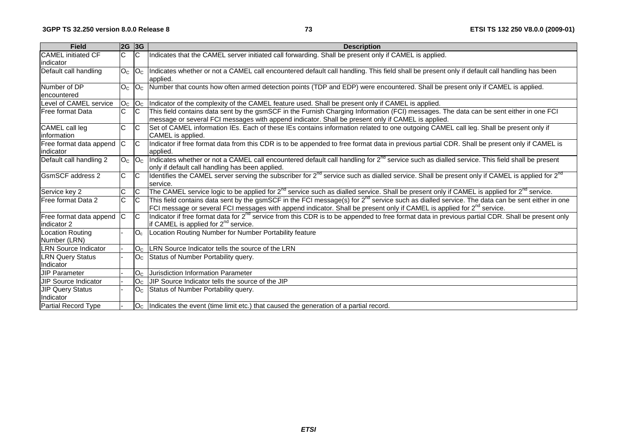| <b>Field</b>                            |                | 2G 3G            | <b>Description</b>                                                                                                                                                                                                                                                                      |  |  |  |  |
|-----------------------------------------|----------------|------------------|-----------------------------------------------------------------------------------------------------------------------------------------------------------------------------------------------------------------------------------------------------------------------------------------|--|--|--|--|
| <b>CAMEL</b> initiated CF<br>lindicator | C              | $\mathsf{C}$     | Indicates that the CAMEL server initiated call forwarding. Shall be present only if CAMEL is applied.                                                                                                                                                                                   |  |  |  |  |
| Default call handling                   | O <sub>C</sub> | O <sub>C</sub>   | Indicates whether or not a CAMEL call encountered default call handling. This field shall be present only if default call handling has been<br>applied.                                                                                                                                 |  |  |  |  |
| Number of DP<br>lencountered            | O <sub>C</sub> | O <sub>c</sub>   | Number that counts how often armed detection points (TDP and EDP) were encountered. Shall be present only if CAMEL is applied.                                                                                                                                                          |  |  |  |  |
| Level of CAMEL service                  | O <sub>C</sub> |                  | $ O_C $ Indicator of the complexity of the CAMEL feature used. Shall be present only if CAMEL is applied.                                                                                                                                                                               |  |  |  |  |
| Free format Data                        | C              | $\overline{C}$   | This field contains data sent by the gsmSCF in the Furnish Charging Information (FCI) messages. The data can be sent either in one FCI<br>message or several FCI messages with append indicator. Shall be present only if CAMEL is applied.                                             |  |  |  |  |
| CAMEL call leg<br>information           | $\mathsf{C}$   | $\overline{C}$   | Set of CAMEL information IEs. Each of these IEs contains information related to one outgoing CAMEL call leg. Shall be present only if<br>CAMEL is applied.                                                                                                                              |  |  |  |  |
| Free format data append<br>indicator    | C              | $\overline{C}$   | Indicator if free format data from this CDR is to be appended to free format data in previous partial CDR. Shall be present only if CAMEL is<br>applied.                                                                                                                                |  |  |  |  |
| Default call handling 2                 | O <sub>C</sub> | $\overline{O}_C$ | Indicates whether or not a CAMEL call encountered default call handling for 2 <sup>nd</sup> service such as dialled service. This field shall be present<br>only if default call handling has been applied.                                                                             |  |  |  |  |
| <b>GsmSCF</b> address 2                 | C.             | $\overline{C}$   | Identifies the CAMEL server serving the subscriber for 2 <sup>nd</sup> service such as dialled service. Shall be present only if CAMEL is applied for 2 <sup>nd</sup><br>service.                                                                                                       |  |  |  |  |
| Service key 2                           | $\mathsf{C}$   | $\overline{C}$   | The CAMEL service logic to be applied for 2 <sup>nd</sup> service such as dialled service. Shall be present only if CAMEL is applied for 2 <sup>nd</sup> service.                                                                                                                       |  |  |  |  |
| Free format Data 2                      | C.             | $\overline{C}$   | This field contains data sent by the gsmSCF in the FCI message(s) for $2^{nd}$ service such as dialled service. The data can be sent either in one<br>FCI message or several FCI messages with append indicator. Shall be present only if CAMEL is applied for 2 <sup>nd</sup> service. |  |  |  |  |
| Free format data append<br>indicator 2  | C              |                  | Indicator if free format data for 2 <sup>nd</sup> service from this CDR is to be appended to free format data in previous partial CDR. Shall be present only<br>if CAMEL is applied for 2 <sup>nd</sup> service.                                                                        |  |  |  |  |
| <b>Location Routing</b><br>Number (LRN) |                | $O_c$            | Location Routing Number for Number Portability feature                                                                                                                                                                                                                                  |  |  |  |  |
| <b>LRN Source Indicator</b>             |                |                  | O <sub>C</sub> LRN Source Indicator tells the source of the LRN                                                                                                                                                                                                                         |  |  |  |  |
| <b>LRN Query Status</b><br>Indicator    |                | O <sub>C</sub>   | Status of Number Portability query.                                                                                                                                                                                                                                                     |  |  |  |  |
| <b>JIP Parameter</b>                    |                | O <sub>C</sub>   | Jurisdiction Information Parameter                                                                                                                                                                                                                                                      |  |  |  |  |
| JIP Source Indicator                    |                | O <sub>C</sub>   | JIP Source Indicator tells the source of the JIP                                                                                                                                                                                                                                        |  |  |  |  |
| <b>JIP Query Status</b><br>Indicator    |                | O <sub>C</sub>   | Status of Number Portability query.                                                                                                                                                                                                                                                     |  |  |  |  |
| Partial Record Type                     |                |                  | $ O_{C} $ Indicates the event (time limit etc.) that caused the generation of a partial record.                                                                                                                                                                                         |  |  |  |  |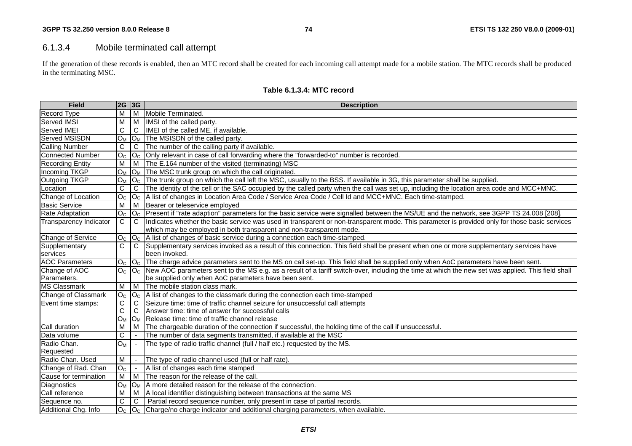## 6.1.3.4 Mobile terminated call attempt

If the generation of these records is enabled, then an MTC record shall be created for each incoming call attempt made for a mobile station. The MTC records shall be produced in the terminating MSC.

| <b>Field</b>                  | 2G 3G          |                       | <b>Description</b>                                                                                                                                               |  |  |  |  |  |
|-------------------------------|----------------|-----------------------|------------------------------------------------------------------------------------------------------------------------------------------------------------------|--|--|--|--|--|
| <b>Record Type</b>            | M              |                       | M Mobile Terminated.                                                                                                                                             |  |  |  |  |  |
| Served IMSI                   | M              | l M                   | IMSI of the called party.                                                                                                                                        |  |  |  |  |  |
| Served IMEI                   | C              | C                     | IMEI of the called ME, if available.                                                                                                                             |  |  |  |  |  |
| Served MSISDN                 | $O_M$          |                       | $ O_M $ The MSISDN of the called party.                                                                                                                          |  |  |  |  |  |
| <b>Calling Number</b>         | C              | C                     | The number of the calling party if available.                                                                                                                    |  |  |  |  |  |
| <b>Connected Number</b>       | O <sub>C</sub> | O <sub>c</sub>        | Only relevant in case of call forwarding where the "forwarded-to" number is recorded.                                                                            |  |  |  |  |  |
| <b>Recording Entity</b>       | M              | l M                   | The E.164 number of the visited (terminating) MSC                                                                                                                |  |  |  |  |  |
| Incoming TKGP                 | $O_M$          |                       | $ O_M $ The MSC trunk group on which the call originated.                                                                                                        |  |  |  |  |  |
| Outgoing TKGP                 | $O_M$          |                       | $ O_C $ The trunk group on which the call left the MSC, usually to the BSS. If available in 3G, this parameter shall be supplied.                                |  |  |  |  |  |
| Location                      | C              | C                     | The identity of the cell or the SAC occupied by the called party when the call was set up, including the location area code and MCC+MNC.                         |  |  |  |  |  |
| Change of Location            | O <sub>c</sub> | O <sub>c</sub>        | A list of changes in Location Area Code / Service Area Code / Cell Id and MCC+MNC. Each time-stamped.                                                            |  |  |  |  |  |
| <b>Basic Service</b>          | M              | l M                   | Bearer or teleservice employed                                                                                                                                   |  |  |  |  |  |
| <b>Rate Adaptation</b>        | O <sub>C</sub> | O <sub>c</sub>        | Present if "rate adaption" parameters for the basic service were signalled between the MS/UE and the network, see 3GPP TS 24.008 [208].                          |  |  |  |  |  |
| <b>Transparency Indicator</b> | C              | C                     | Indicates whether the basic service was used in transparent or non-transparent mode. This parameter is provided only for those basic services                    |  |  |  |  |  |
|                               |                |                       | which may be employed in both transparent and non-transparent mode.                                                                                              |  |  |  |  |  |
| Change of Service             | O <sub>C</sub> | O <sub>c</sub>        | A list of changes of basic service during a connection each time-stamped.                                                                                        |  |  |  |  |  |
| Supplementary                 | C              | C                     | Supplementary services invoked as a result of this connection. This field shall be present when one or more supplementary services have                          |  |  |  |  |  |
| services                      |                |                       | been invoked.                                                                                                                                                    |  |  |  |  |  |
| <b>AOC Parameters</b>         | O <sub>C</sub> |                       | O <sub>C</sub>   The charge advice parameters sent to the MS on call set-up. This field shall be supplied only when AoC parameters have been sent.               |  |  |  |  |  |
| Change of AOC                 | O <sub>C</sub> |                       | O <sub>C</sub> New AOC parameters sent to the MS e.g. as a result of a tariff switch-over, including the time at which the new set was applied. This field shall |  |  |  |  |  |
| Parameters.                   |                |                       | be supplied only when AoC parameters have been sent.                                                                                                             |  |  |  |  |  |
| <b>MS Classmark</b>           | M              | M                     | The mobile station class mark.                                                                                                                                   |  |  |  |  |  |
| Change of Classmark           | O <sub>c</sub> | O <sub>C</sub>        | A list of changes to the classmark during the connection each time-stamped                                                                                       |  |  |  |  |  |
| Event time stamps:            | C              | C                     | Seizure time: time of traffic channel seizure for unsuccessful call attempts                                                                                     |  |  |  |  |  |
|                               | C              | C                     | Answer time: time of answer for successful calls                                                                                                                 |  |  |  |  |  |
|                               | $O_M$          | <b>O</b> <sub>M</sub> | Release time: time of traffic channel release                                                                                                                    |  |  |  |  |  |
| Call duration                 | м              | M                     | The chargeable duration of the connection if successful, the holding time of the call if unsuccessful.                                                           |  |  |  |  |  |
| Data volume                   | $\mathsf{C}$   |                       | The number of data segments transmitted, if available at the MSC                                                                                                 |  |  |  |  |  |
| Radio Chan.                   | $O_M$          |                       | The type of radio traffic channel (full / half etc.) requested by the MS.                                                                                        |  |  |  |  |  |
| Requested                     |                |                       |                                                                                                                                                                  |  |  |  |  |  |
| Radio Chan. Used              | M              |                       | The type of radio channel used (full or half rate).                                                                                                              |  |  |  |  |  |
| Change of Rad. Chan           | O <sub>c</sub> |                       | A list of changes each time stamped                                                                                                                              |  |  |  |  |  |
| Cause for termination         | M              | M                     | The reason for the release of the call.                                                                                                                          |  |  |  |  |  |
| Diagnostics                   | $O_M$          | $O_M$                 | A more detailed reason for the release of the connection.                                                                                                        |  |  |  |  |  |
| Call reference                | M              | M                     | A local identifier distinguishing between transactions at the same MS                                                                                            |  |  |  |  |  |
| Sequence no.                  | С              | C                     | Partial record sequence number, only present in case of partial records.                                                                                         |  |  |  |  |  |
| Additional Chg. Info          | O <sub>C</sub> |                       | $ O_C $ Charge/no charge indicator and additional charging parameters, when available.                                                                           |  |  |  |  |  |

#### **Table 6.1.3.4: MTC record**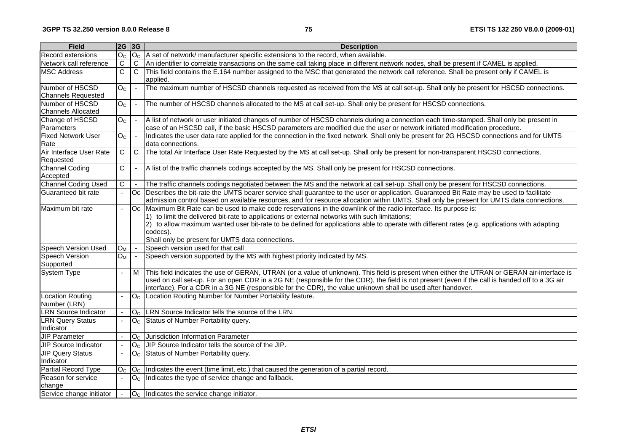| <b>Field</b>                                 | 2G 3G                    |                          | <b>Description</b>                                                                                                                                                                                                                                                                                                                                                                                                                     |  |  |  |  |  |
|----------------------------------------------|--------------------------|--------------------------|----------------------------------------------------------------------------------------------------------------------------------------------------------------------------------------------------------------------------------------------------------------------------------------------------------------------------------------------------------------------------------------------------------------------------------------|--|--|--|--|--|
| <b>Record extensions</b>                     | O <sub>C</sub>           |                          | $ O_{C} $ A set of network/ manufacturer specific extensions to the record, when available.                                                                                                                                                                                                                                                                                                                                            |  |  |  |  |  |
| Network call reference                       | C                        | $\mathbf C$              | An identifier to correlate transactions on the same call taking place in different network nodes, shall be present if CAMEL is applied.                                                                                                                                                                                                                                                                                                |  |  |  |  |  |
| <b>MSC Address</b>                           | $\overline{\text{c}}$    | $\mathsf{C}$             | This field contains the E.164 number assigned to the MSC that generated the network call reference. Shall be present only if CAMEL is<br>applied.                                                                                                                                                                                                                                                                                      |  |  |  |  |  |
| Number of HSCSD<br><b>Channels Requested</b> | $\overline{O_{C}}$       |                          | The maximum number of HSCSD channels requested as received from the MS at call set-up. Shall only be present for HSCSD connections.                                                                                                                                                                                                                                                                                                    |  |  |  |  |  |
| Number of HSCSD<br><b>Channels Allocated</b> | O <sub>C</sub>           | $\overline{\phantom{a}}$ | The number of HSCSD channels allocated to the MS at call set-up. Shall only be present for HSCSD connections.                                                                                                                                                                                                                                                                                                                          |  |  |  |  |  |
| Change of HSCSD<br>Parameters                | O <sub>c</sub>           |                          | A list of network or user initiated changes of number of HSCSD channels during a connection each time-stamped. Shall only be present in<br>case of an HSCSD call, if the basic HSCSD parameters are modified due the user or network initiated modification procedure.                                                                                                                                                                 |  |  |  |  |  |
| <b>Fixed Network User</b><br>Rate            | O <sub>c</sub>           |                          | Indicates the user data rate applied for the connection in the fixed network. Shall only be present for 2G HSCSD connections and for UMTS<br>data connections.                                                                                                                                                                                                                                                                         |  |  |  |  |  |
| Air Interface User Rate<br>Requested         | C                        | $\mathsf{C}$             | The total Air Interface User Rate Requested by the MS at call set-up. Shall only be present for non-transparent HSCSD connections.                                                                                                                                                                                                                                                                                                     |  |  |  |  |  |
| Channel Coding<br>Accepted                   | C                        | $\overline{\phantom{a}}$ | A list of the traffic channels codings accepted by the MS. Shall only be present for HSCSD connections.                                                                                                                                                                                                                                                                                                                                |  |  |  |  |  |
| <b>Channel Coding Used</b>                   | С                        |                          | The traffic channels codings negotiated between the MS and the network at call set-up. Shall only be present for HSCSD connections.                                                                                                                                                                                                                                                                                                    |  |  |  |  |  |
| Guaranteed bit rate                          |                          | Oc                       | Describes the bit-rate the UMTS bearer service shall guarantee to the user or application. Guaranteed Bit Rate may be used to facilitate<br>admission control based on available resources, and for resource allocation within UMTS. Shall only be present for UMTS data connections.                                                                                                                                                  |  |  |  |  |  |
| Maximum bit rate                             | $\sim$                   |                          | Oc Maximum Bit Rate can be used to make code reservations in the downlink of the radio interface. Its purpose is:<br>(1) to limit the delivered bit-rate to applications or external networks with such limitations;<br>(2) to allow maximum wanted user bit-rate to be defined for applications able to operate with different rates (e.g. applications with adapting<br>codecs).<br>Shall only be present for UMTS data connections. |  |  |  |  |  |
| <b>Speech Version Used</b>                   | $O_M$                    |                          | Speech version used for that call                                                                                                                                                                                                                                                                                                                                                                                                      |  |  |  |  |  |
| <b>Speech Version</b><br>Supported           | $O_M$                    |                          | Speech version supported by the MS with highest priority indicated by MS.                                                                                                                                                                                                                                                                                                                                                              |  |  |  |  |  |
| System Type                                  | $\blacksquare$           | M                        | This field indicates the use of GERAN, UTRAN (or a value of unknown). This field is present when either the UTRAN or GERAN air-interface is<br>used on call set-up. For an open CDR in a 2G NE (responsible for the CDR), the field is not present (even if the call is handed off to a 3G air<br>interface). For a CDR in a 3G NE (responsible for the CDR), the value unknown shall be used after handover.                          |  |  |  |  |  |
| Location Routing<br>Number (LRN)             | $\overline{\phantom{a}}$ |                          | O <sub>C</sub> Location Routing Number for Number Portability feature.                                                                                                                                                                                                                                                                                                                                                                 |  |  |  |  |  |
| <b>LRN</b> Source Indicator                  |                          |                          | O <sub>C</sub> LRN Source Indicator tells the source of the LRN.                                                                                                                                                                                                                                                                                                                                                                       |  |  |  |  |  |
| <b>LRN Query Status</b><br>Indicator         | $\blacksquare$           |                          | O <sub>C</sub> Status of Number Portability query.                                                                                                                                                                                                                                                                                                                                                                                     |  |  |  |  |  |
| <b>JIP Parameter</b>                         | $\overline{a}$           | O <sub>C</sub>           | Jurisdiction Information Parameter                                                                                                                                                                                                                                                                                                                                                                                                     |  |  |  |  |  |
| <b>JIP Source Indicator</b>                  |                          | O <sub>C</sub>           | JIP Source Indicator tells the source of the JIP.                                                                                                                                                                                                                                                                                                                                                                                      |  |  |  |  |  |
| <b>JIP</b> Query Status<br>Indicator         | $\overline{a}$           |                          | O <sub>c</sub> Status of Number Portability query.                                                                                                                                                                                                                                                                                                                                                                                     |  |  |  |  |  |
| Partial Record Type                          | O <sub>C</sub>           | O <sub>C</sub>           | Indicates the event (time limit, etc.) that caused the generation of a partial record.                                                                                                                                                                                                                                                                                                                                                 |  |  |  |  |  |
| Reason for service<br>change                 |                          |                          | $ O_C $ Indicates the type of service change and fallback.                                                                                                                                                                                                                                                                                                                                                                             |  |  |  |  |  |
| Service change initiator                     | $\overline{\phantom{a}}$ |                          | $OC$ Indicates the service change initiator.                                                                                                                                                                                                                                                                                                                                                                                           |  |  |  |  |  |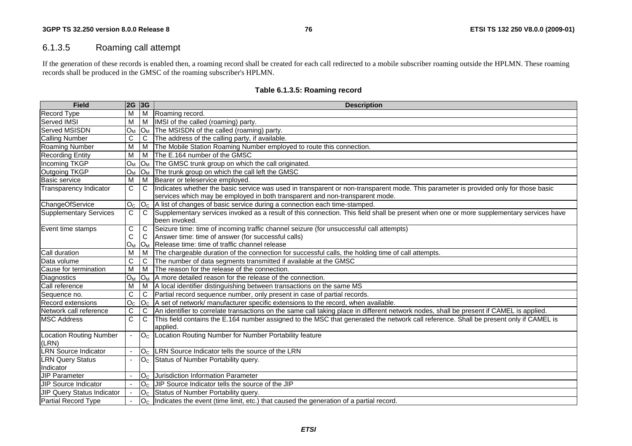## 6.1.3.5 Roaming call attempt

If the generation of these records is enabled then, a roaming record shall be created for each call redirected to a mobile subscriber roaming outside the HPLMN. These roaming records shall be produced in the GMSC of the roaming subscriber's HPLMN.

| <b>Field</b>                   | 2G 3G          |                | <b>Description</b>                                                                                                                                |
|--------------------------------|----------------|----------------|---------------------------------------------------------------------------------------------------------------------------------------------------|
| <b>Record Type</b>             | M              | M              | Roaming record.                                                                                                                                   |
| Served IMSI                    | M              | M              | IMSI of the called (roaming) party.                                                                                                               |
| Served MSISDN                  | Oм             |                | $ O_M $ The MSISDN of the called (roaming) party.                                                                                                 |
| <b>Calling Number</b>          | С              | C              | The address of the calling party, if available.                                                                                                   |
| <b>Roaming Number</b>          | M              | M              | The Mobile Station Roaming Number employed to route this connection.                                                                              |
| <b>Recording Entity</b>        | M              | M              | The E.164 number of the GMSC                                                                                                                      |
| Incoming TKGP                  | $O_M$          |                | $ O_M $ The GMSC trunk group on which the call originated.                                                                                        |
| Outgoing TKGP                  | O <sub>M</sub> |                | $ O_M $ The trunk group on which the call left the GMSC                                                                                           |
| Basic service                  | M              | M              | Bearer or teleservice employed.                                                                                                                   |
| <b>Transparency Indicator</b>  | $\mathsf C$    | $\mathsf{C}$   | Indicates whether the basic service was used in transparent or non-transparent mode. This parameter is provided only for those basic              |
|                                |                |                | services which may be employed in both transparent and non-transparent mode.                                                                      |
| ChangeOfService                |                |                | $O_{C}$  O <sub>C</sub>  A list of changes of basic service during a connection each time-stamped.                                                |
| <b>Supplementary Services</b>  | $\mathsf{C}$   | C              | Supplementary services invoked as a result of this connection. This field shall be present when one or more supplementary services have           |
|                                |                |                | been invoked.                                                                                                                                     |
| Event time stamps              | С              | $\mathsf{C}$   | Seizure time: time of incoming traffic channel seizure (for unsuccessful call attempts)                                                           |
|                                | $\mathsf{C}$   | C              | Answer time: time of answer (for successful calls)                                                                                                |
|                                | $O_M$          |                | O <sub>M</sub> Release time: time of traffic channel release                                                                                      |
| Call duration                  | M              | M              | The chargeable duration of the connection for successful calls, the holding time of call attempts.                                                |
| Data volume                    | C              | C              | The number of data segments transmitted if available at the GMSC                                                                                  |
| Cause for termination          | M              | M              | The reason for the release of the connection.                                                                                                     |
| Diagnostics                    | Oм             |                | $ O_M $ A more detailed reason for the release of the connection.                                                                                 |
| Call reference                 | M              | M              | A local identifier distinguishing between transactions on the same MS                                                                             |
| Sequence no.                   | C              | C              | Partial record sequence number, only present in case of partial records.                                                                          |
| Record extensions              | O <sub>C</sub> |                | $ O_C $ A set of network/ manufacturer specific extensions to the record, when available.                                                         |
| Network call reference         | $\mathsf C$    | C              | An identifier to correlate transactions on the same call taking place in different network nodes, shall be present if CAMEL is applied.           |
| <b>MSC Address</b>             | $\mathbf C$    | C              | This field contains the E.164 number assigned to the MSC that generated the network call reference. Shall be present only if CAMEL is<br>applied. |
| <b>Location Routing Number</b> |                | O <sub>C</sub> | Location Routing Number for Number Portability feature                                                                                            |
| (LRN)                          |                |                |                                                                                                                                                   |
| <b>LRN Source Indicator</b>    |                | O <sub>C</sub> | LRN Source Indicator tells the source of the LRN                                                                                                  |
| <b>LRN Query Status</b>        |                | O <sub>C</sub> | Status of Number Portability query.                                                                                                               |
| Indicator                      |                |                |                                                                                                                                                   |
| JIP Parameter                  |                | O <sub>C</sub> | Jurisdiction Information Parameter                                                                                                                |
| UIP Source Indicator           |                | O <sub>C</sub> | UIP Source Indicator tells the source of the JIP                                                                                                  |
| JIP Query Status Indicator     |                | O <sub>C</sub> | Status of Number Portability query.                                                                                                               |
| Partial Record Type            |                | O <sub>C</sub> | Indicates the event (time limit, etc.) that caused the generation of a partial record.                                                            |

## **Table 6.1.3.5: Roaming record**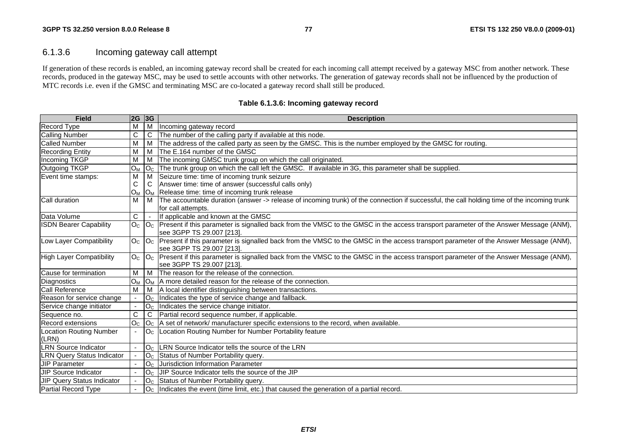# 6.1.3.6 Incoming gateway call attempt

If generation of these records is enabled, an incoming gateway record shall be created for each incoming call attempt received by a gateway MSC from another network. These records, produced in the gateway MSC, may be used to settle accounts with other networks. The generation of gateway records shall not be influenced by the production of MTC records i.e. even if the GMSC and terminating MSC are co-located a gateway record shall still be produced.

| <b>Field</b>                      | 2G 3G          |                            | <b>Description</b>                                                                                                                          |  |  |  |  |
|-----------------------------------|----------------|----------------------------|---------------------------------------------------------------------------------------------------------------------------------------------|--|--|--|--|
| <b>Record Type</b>                | M              | M                          | Incoming gateway record                                                                                                                     |  |  |  |  |
| <b>Calling Number</b>             | C              | C                          | The number of the calling party if available at this node.                                                                                  |  |  |  |  |
| <b>Called Number</b>              | M              | M                          | The address of the called party as seen by the GMSC. This is the number employed by the GMSC for routing.                                   |  |  |  |  |
| <b>Recording Entity</b>           | M              | M                          | The E.164 number of the GMSC                                                                                                                |  |  |  |  |
| Incoming TKGP                     | M              | M                          | The incoming GMSC trunk group on which the call originated.                                                                                 |  |  |  |  |
| Outgoing TKGP                     | $O_M$          | $\mathsf{IO}_{\mathsf{C}}$ | The trunk group on which the call left the GMSC. If available in 3G, this parameter shall be supplied.                                      |  |  |  |  |
| Event time stamps:                | M              | M                          | Seizure time: time of incoming trunk seizure                                                                                                |  |  |  |  |
|                                   | C              | C                          | Answer time: time of answer (successful calls only)                                                                                         |  |  |  |  |
|                                   | $O_M$          | $O_M$                      | Release time: time of incoming trunk release                                                                                                |  |  |  |  |
| Call duration                     | M              | M                          | The accountable duration (answer -> release of incoming trunk) of the connection if successful, the call holding time of the incoming trunk |  |  |  |  |
|                                   |                |                            | for call attempts.                                                                                                                          |  |  |  |  |
| Data Volume                       | $\overline{C}$ |                            | If applicable and known at the GMSC                                                                                                         |  |  |  |  |
| <b>ISDN Bearer Capability</b>     | O <sub>C</sub> | $ O_{C} $                  | Present if this parameter is signalled back from the VMSC to the GMSC in the access transport parameter of the Answer Message (ANM),        |  |  |  |  |
|                                   |                |                            | see 3GPP TS 29.007 [213].                                                                                                                   |  |  |  |  |
| Low Layer Compatibility           | O <sub>C</sub> | O <sub>c</sub>             | Present if this parameter is signalled back from the VMSC to the GMSC in the access transport parameter of the Answer Message (ANM),        |  |  |  |  |
|                                   |                |                            | see 3GPP TS 29.007 [213].                                                                                                                   |  |  |  |  |
| High Layer Compatibility          |                | $O_c$ $O_c$                | Present if this parameter is signalled back from the VMSC to the GMSC in the access transport parameter of the Answer Message (ANM),        |  |  |  |  |
|                                   |                |                            | see 3GPP TS 29.007 [213].                                                                                                                   |  |  |  |  |
| Cause for termination             | M              | M                          | The reason for the release of the connection.                                                                                               |  |  |  |  |
| Diagnostics                       | $O_M$          | $O_M$                      | A more detailed reason for the release of the connection.                                                                                   |  |  |  |  |
| <b>Call Reference</b>             | $\overline{M}$ | M                          | A local identifier distinguishing between transactions.                                                                                     |  |  |  |  |
| Reason for service change         |                | O <sub>c</sub>             | Indicates the type of service change and fallback.                                                                                          |  |  |  |  |
| Service change initiator          | $\blacksquare$ | O <sub>C</sub>             | Indicates the service change initiator.                                                                                                     |  |  |  |  |
| Sequence no.                      | С              | C                          | Partial record sequence number, if applicable.                                                                                              |  |  |  |  |
| Record extensions                 | O <sub>c</sub> | O <sub>c</sub>             | A set of network/ manufacturer specific extensions to the record, when available.                                                           |  |  |  |  |
| <b>Location Routing Number</b>    |                | O <sub>c</sub>             | Location Routing Number for Number Portability feature                                                                                      |  |  |  |  |
| (LRN)                             |                |                            |                                                                                                                                             |  |  |  |  |
| <b>LRN Source Indicator</b>       |                | O <sub>c</sub>             | LRN Source Indicator tells the source of the LRN                                                                                            |  |  |  |  |
| <b>LRN Query Status Indicator</b> |                | O <sub>C</sub>             | Status of Number Portability query.                                                                                                         |  |  |  |  |
| <b>IJIP Parameter</b>             |                | O <sub>C</sub>             | Jurisdiction Information Parameter                                                                                                          |  |  |  |  |
| <b>JIP Source Indicator</b>       | $\blacksquare$ | O <sub>C</sub>             | UIP Source Indicator tells the source of the JIP                                                                                            |  |  |  |  |
| JIP Query Status Indicator        |                | O <sub>c</sub>             | Status of Number Portability query.                                                                                                         |  |  |  |  |
| Partial Record Type               |                | O <sub>C</sub>             | Indicates the event (time limit, etc.) that caused the generation of a partial record.                                                      |  |  |  |  |

**Table 6.1.3.6: Incoming gateway record**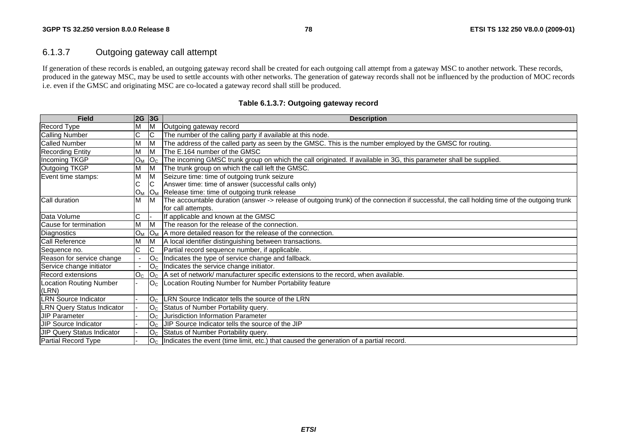# 6.1.3.7 Outgoing gateway call attempt

If generation of these records is enabled, an outgoing gateway record shall be created for each outgoing call attempt from a gateway MSC to another network. These records, produced in the gateway MSC, may be used to settle accounts with other networks. The generation of gateway records shall not be influenced by the production of MOC records i.e. even if the GMSC and originating MSC are co-located a gateway record shall still be produced.

| <b>Field</b>                      | 2G             | 3G             | <b>Description</b>                                                                                                                          |
|-----------------------------------|----------------|----------------|---------------------------------------------------------------------------------------------------------------------------------------------|
| <b>Record Type</b>                |                |                | Outgoing gateway record                                                                                                                     |
| Calling Number                    | С              |                | The number of the calling party if available at this node.                                                                                  |
| <b>Called Number</b>              | М              | ΙM             | The address of the called party as seen by the GMSC. This is the number employed by the GMSC for routing.                                   |
| <b>Recording Entity</b>           | М              | M              | The E.164 number of the GMSC                                                                                                                |
| Incoming TKGP                     | $O_{M}$        | O <sub>C</sub> | The incoming GMSC trunk group on which the call originated. If available in 3G, this parameter shall be supplied.                           |
| Outgoing TKGP                     | М              |                | The trunk group on which the call left the GMSC.                                                                                            |
| Event time stamps:                | M              |                | Seizure time: time of outgoing trunk seizure                                                                                                |
|                                   | С              |                | Answer time: time of answer (successful calls only)                                                                                         |
|                                   | $O_M$          |                | O <sub>M</sub> Release time: time of outgoing trunk release                                                                                 |
| Call duration                     | М              | ΙM             | The accountable duration (answer -> release of outgoing trunk) of the connection if successful, the call holding time of the outgoing trunk |
|                                   |                |                | lfor call attempts.                                                                                                                         |
| Data Volume                       | C              |                | If applicable and known at the GMSC                                                                                                         |
| Cause for termination             |                |                | The reason for the release of the connection.                                                                                               |
| Diagnostics                       | $O_{M}$        | O <sub>M</sub> | A more detailed reason for the release of the connection.                                                                                   |
| <b>Call Reference</b>             | М              |                | A local identifier distinguishing between transactions.                                                                                     |
| Sequence no.                      | C              | IC.            | Partial record sequence number, if applicable.                                                                                              |
| Reason for service change         |                | O <sub>C</sub> | Indicates the type of service change and fallback.                                                                                          |
| Service change initiator          |                |                | $Oc$  Indicates the service change initiator.                                                                                               |
| <b>Record extensions</b>          | O <sub>C</sub> |                | $ O_C $ A set of network/ manufacturer specific extensions to the record, when available.                                                   |
| <b>Location Routing Number</b>    |                | O <sub>C</sub> | Location Routing Number for Number Portability feature                                                                                      |
| (LRN)                             |                |                |                                                                                                                                             |
| <b>LRN Source Indicator</b>       |                | O <sub>c</sub> | LRN Source Indicator tells the source of the LRN                                                                                            |
| <b>LRN Query Status Indicator</b> |                |                | O <sub>C</sub> Status of Number Portability query.                                                                                          |
| <b>JIP Parameter</b>              |                | O <sub>C</sub> | Jurisdiction Information Parameter                                                                                                          |
| <b>JIP Source Indicator</b>       |                | O <sub>C</sub> | JIP Source Indicator tells the source of the JIP                                                                                            |
| JIP Query Status Indicator        |                |                | O <sub>C</sub> Status of Number Portability query.                                                                                          |
| Partial Record Type               |                |                | $O_{C}$  Indicates the event (time limit, etc.) that caused the generation of a partial record.                                             |

#### **Table 6.1.3.7: Outgoing gateway record**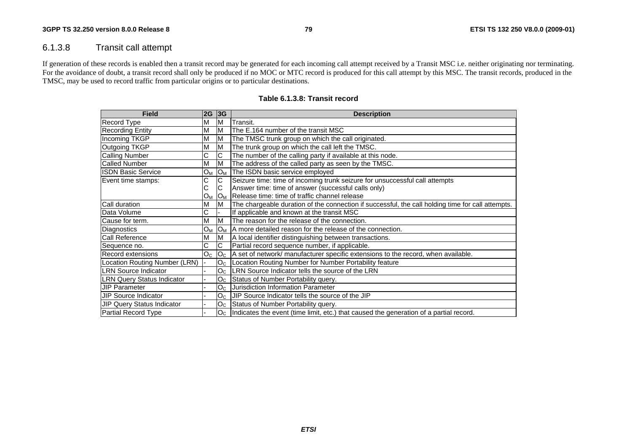## 6.1.3.8 Transit call attempt

If generation of these records is enabled then a transit record may be generated for each incoming call attempt received by a Transit MSC i.e. neither originating nor terminating. For the avoidance of doubt, a transit record shall only be produced if no MOC or MTC record is produced for this call attempt by this MSC. The transit records, produced in the TMSC, may be used to record traffic from particular origins or to particular destinations.

| <b>Field</b>                      | 2G 3G |                | <b>Description</b>                                                                                |
|-----------------------------------|-------|----------------|---------------------------------------------------------------------------------------------------|
| <b>Record Type</b>                | м     | M              | Transit.                                                                                          |
| <b>Recording Entity</b>           | М     | ΙM             | The E.164 number of the transit MSC                                                               |
| <b>Incoming TKGP</b>              | М     | ΙM             | The TMSC trunk group on which the call originated.                                                |
| <b>Outgoing TKGP</b>              | M     | M              | The trunk group on which the call left the TMSC.                                                  |
| <b>Calling Number</b>             | С     | C              | The number of the calling party if available at this node.                                        |
| <b>Called Number</b>              | м     | M              | The address of the called party as seen by the TMSC.                                              |
| <b>ISDN Basic Service</b>         | Oм    | O <sub>M</sub> | The ISDN basic service employed                                                                   |
| Event time stamps:                | U     | С              | Seizure time: time of incoming trunk seizure for unsuccessful call attempts                       |
|                                   | С     |                | Answer time: time of answer (successful calls only)                                               |
|                                   | Ом    | O <sub>M</sub> | Release time: time of traffic channel release                                                     |
| Call duration                     | М     | M              | The chargeable duration of the connection if successful, the call holding time for call attempts. |
| Data Volume                       | С     |                | If applicable and known at the transit MSC                                                        |
| Cause for term.                   | м     | M              | The reason for the release of the connection.                                                     |
| Diagnostics                       | Oм    |                | $ O_M $   A more detailed reason for the release of the connection.                               |
| <b>Call Reference</b>             | М     | ΙM             | A local identifier distinguishing between transactions.                                           |
| Sequence no.                      |       | C              | Partial record sequence number, if applicable.                                                    |
| <b>Record extensions</b>          | Oc    |                | $ O_{C} $ A set of network/ manufacturer specific extensions to the record, when available.       |
| Location Routing Number (LRN)     |       |                | O <sub>C</sub>   Location Routing Number for Number Portability feature                           |
| <b>LRN Source Indicator</b>       |       |                | O <sub>C</sub> LRN Source Indicator tells the source of the LRN                                   |
| <b>LRN Query Status Indicator</b> |       |                | $O_{C}$ Status of Number Portability query.                                                       |
| <b>JIP Parameter</b>              |       |                | O <sub>C</sub> Jurisdiction Information Parameter                                                 |
| <b>JIP Source Indicator</b>       |       |                | $OC$ JJIP Source Indicator tells the source of the JIP                                            |
| JIP Query Status Indicator        |       |                | $OC$ Status of Number Portability query.                                                          |
| Partial Record Type               |       |                | $O_{C}$  Indicates the event (time limit, etc.) that caused the generation of a partial record.   |

#### **Table 6.1.3.8: Transit record**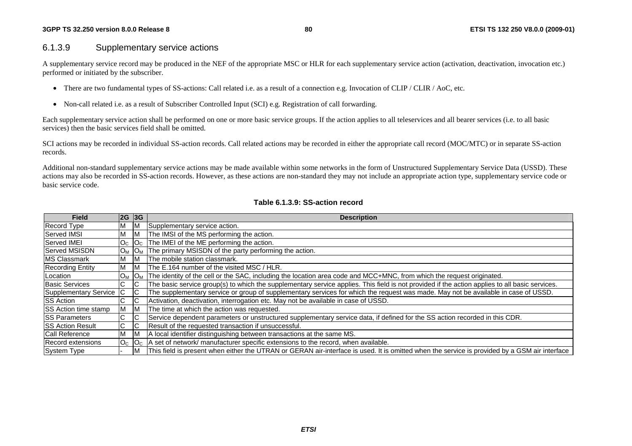## 6.1.3.9 Supplementary service actions

A supplementary service record may be produced in the NEF of the appropriate MSC or HLR for each supplementary service action (activation, deactivation, invocation etc.) performed or initiated by the subscriber.

- •There are two fundamental types of SS-actions: Call related i.e. as a result of a connection e.g. Invocation of CLIP / CLIR / AoC, etc.
- Non-call related i.e. as a result of Subscriber Controlled Input (SCI) e.g. Registration of call forwarding.

Each supplementary service action shall be performed on one or more basic service groups. If the action applies to all teleservices and all bearer services (i.e. to all basic services) then the basic services field shall be omitted.

SCI actions may be recorded in individual SS-action records. Call related actions may be recorded in either the appropriate call record (MOC/MTC) or in separate SS-action records.

Additional non-standard supplementary service actions may be made available within some networks in the form of Unstructured Supplementary Service Data (USSD). These actions may also be recorded in SS-action records. However, as these actions are non-standard they may not include an appropriate action type, supplementary service code or basic service code.

### **Table 6.1.3.9: SS-action record**

| <b>Field</b>                | $ 2G $ 3G      |                | <b>Description</b>                                                                                                                             |
|-----------------------------|----------------|----------------|------------------------------------------------------------------------------------------------------------------------------------------------|
| Record Type                 | M              | M              | Supplementary service action.                                                                                                                  |
| Served IMSI                 | М              | ΙM             | The IMSI of the MS performing the action.                                                                                                      |
| Served IMEI                 | O <sub>C</sub> | O <sub>c</sub> | The IMEI of the ME performing the action.                                                                                                      |
| Served MSISDN               | $O_M$          | <b>OM</b>      | The primary MSISDN of the party performing the action.                                                                                         |
| <b>MS Classmark</b>         | М              | ιм             | The mobile station classmark.                                                                                                                  |
| <b>Recording Entity</b>     | М              | ΙM             | The E.164 number of the visited MSC / HLR.                                                                                                     |
| Location                    | $O_M$          | $O_M$          | The identity of the cell or the SAC, including the location area code and MCC+MNC, from which the request originated.                          |
| <b>Basic Services</b>       | C              | IС             | The basic service group(s) to which the supplementary service applies. This field is not provided if the action applies to all basic services. |
| Supplementary Service       | IC.            | C              | The supplementary service or group of supplementary services for which the request was made. May not be available in case of USSD.             |
| <b>SS Action</b>            | C              | C              | Activation, deactivation, interrogation etc. May not be available in case of USSD.                                                             |
| <b>SS Action time stamp</b> | M              | ΙM             | The time at which the action was requested.                                                                                                    |
| <b>ISS Parameters</b>       | C              | IС             | Service dependent parameters or unstructured supplementary service data, if defined for the SS action recorded in this CDR.                    |
| <b>ISS Action Result</b>    | C              | IС             | Result of the requested transaction if unsuccessful.                                                                                           |
| <b>Call Reference</b>       | M              | M              | A local identifier distinguishing between transactions at the same MS.                                                                         |
| Record extensions           | O <sub>c</sub> | O <sub>c</sub> | A set of network/ manufacturer specific extensions to the record, when available.                                                              |
| System Type                 |                | M              | This field is present when either the UTRAN or GERAN air-interface is used. It is omitted when the service is provided by a GSM air interface  |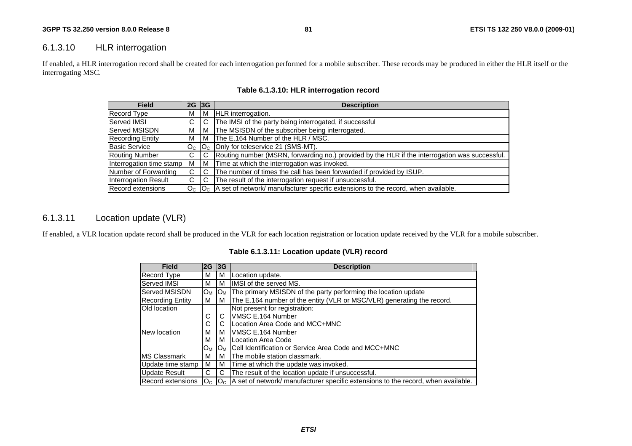## 6.1.3.10 HLR interrogation

If enabled, a HLR interrogation record shall be created for each interrogation performed for a mobile subscriber. These records may be produced in either the HLR itself or the interrogating MSC.

| <b>Field</b>             | 2G 3G |     | <b>Description</b>                                                                                         |
|--------------------------|-------|-----|------------------------------------------------------------------------------------------------------------|
| <b>Record Type</b>       | м     | l M | HLR interrogation.                                                                                         |
| Served IMSI              | C.    | - C | The IMSI of the party being interrogated, if successful                                                    |
| Served MSISDN            | м     | l M | The MSISDN of the subscriber being interrogated.                                                           |
| <b>Recording Entity</b>  | м     | l M | The E.164 Number of the HLR / MSC.                                                                         |
| <b>Basic Service</b>     |       |     | $O_{C}$ $ O_{C}$ $ Only$ for teleservice 21 (SMS-MT).                                                      |
| <b>Routing Number</b>    | C.    | l C | Routing number (MSRN, forwarding no.) provided by the HLR if the interrogation was successful.             |
| Interrogation time stamp | М     | l M | Time at which the interrogation was invoked.                                                               |
| Number of Forwarding     | C.    | C   | The number of times the call has been forwarded if provided by ISUP.                                       |
| Interrogation Result     | C.    | C   | The result of the interrogation request if unsuccessful.                                                   |
| Record extensions        |       |     | $O_{C}$  O <sub>C</sub>  A set of network/ manufacturer specific extensions to the record, when available. |

## **Table 6.1.3.10: HLR interrogation record**

# 6.1.3.11 Location update (VLR)

If enabled, a VLR location update record shall be produced in the VLR for each location registration or location update received by the VLR for a mobile subscriber.

| Table 6.1.3.11: Location update (VLR) record |  |  |  |  |
|----------------------------------------------|--|--|--|--|
|----------------------------------------------|--|--|--|--|

| <b>Field</b>             | 2G    | 3G    | <b>Description</b>                                                                                             |
|--------------------------|-------|-------|----------------------------------------------------------------------------------------------------------------|
| <b>Record Type</b>       | м     | м     | Location update.                                                                                               |
| Served IMSI              | м     | м     | IMSI of the served MS.                                                                                         |
| <b>Served MSISDN</b>     | Oм    | $O_M$ | The primary MSISDN of the party performing the location update                                                 |
| <b>Recording Entity</b>  | м     | м     | The E.164 number of the entity (VLR or MSC/VLR) generating the record.                                         |
| Old location             |       |       | Not present for registration:                                                                                  |
|                          | C     | C     | VMSC E.164 Number                                                                                              |
|                          | С     | С     | Location Area Code and MCC+MNC                                                                                 |
| New location             | м     | м     | VMSC E.164 Number                                                                                              |
|                          | м     | м     | Location Area Code                                                                                             |
|                          | $O_M$ | $O_M$ | ICell Identification or Service Area Code and MCC+MNC                                                          |
| <b>MS Classmark</b>      | м     | м     | The mobile station classmark.                                                                                  |
| Update time stamp        | м     | м     | Time at which the update was invoked.                                                                          |
| Update Result            | C     | C     | The result of the location update if unsuccessful.                                                             |
| <b>Record extensions</b> |       |       | $\rm O_{C}$  O <sub>C</sub>  A set of network/ manufacturer specific extensions to the record, when available. |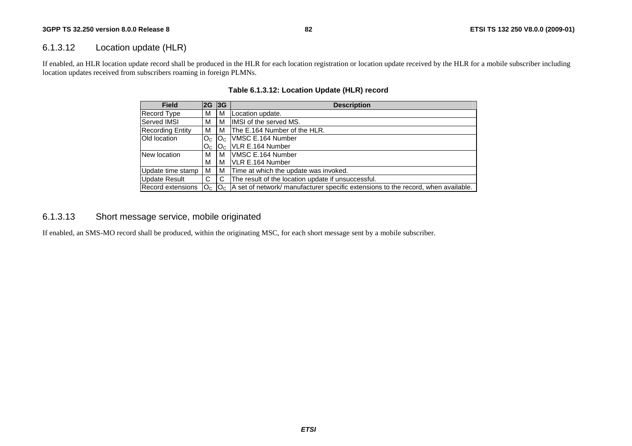## 6.1.3.12 Location update (HLR)

If enabled, an HLR location update record shall be produced in the HLR for each location registration or location update received by the HLR for a mobile subscriber including location updates received from subscribers roaming in foreign PLMNs.

| <b>Field</b>            | 2G 3G          |       | <b>Description</b>                                                                                |
|-------------------------|----------------|-------|---------------------------------------------------------------------------------------------------|
| <b>Record Type</b>      | м              | м     | Location update.                                                                                  |
| Served IMSI             | М              | м     | IIMSI of the served MS.                                                                           |
| <b>Recording Entity</b> | м              | м     | The E.164 Number of the HLR.                                                                      |
| Old location            | $OC$ $OC$      |       | <b>VMSC E.164 Number</b>                                                                          |
|                         | O <sub>C</sub> | $O_C$ | VLR E.164 Number                                                                                  |
| New location            | м              | M     | VMSC E.164 Number                                                                                 |
|                         | м              | м     | VLR E.164 Number                                                                                  |
| Update time stamp       | м              | м     | Time at which the update was invoked.                                                             |
| <b>Update Result</b>    | C              | C     | The result of the location update if unsuccessful.                                                |
| Record extensions       |                |       | $ O_{C} O_{C} $ A set of network/ manufacturer specific extensions to the record, when available. |

## **Table 6.1.3.12: Location Update (HLR) record**

## 6.1.3.13 Short message service, mobile originated

If enabled, an SMS-MO record shall be produced, within the originating MSC, for each short message sent by a mobile subscriber.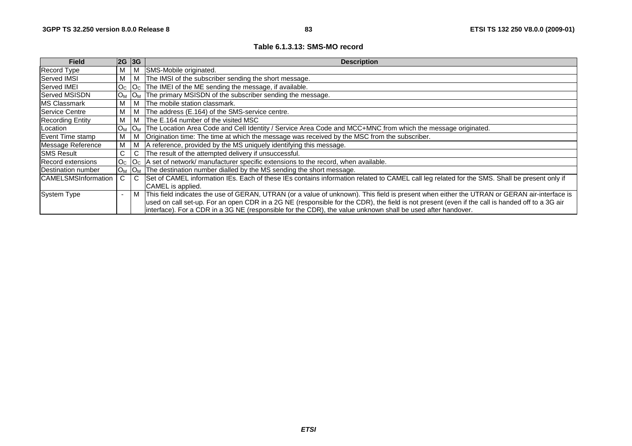#### **Table 6.1.3.13: SMS-MO record**

| <b>Field</b>               | 2G 3G          |                                      | <b>Description</b>                                                                                                                              |
|----------------------------|----------------|--------------------------------------|-------------------------------------------------------------------------------------------------------------------------------------------------|
| Record Type                | M              | м                                    | SMS-Mobile originated.                                                                                                                          |
| Served IMSI                | M              | м                                    | The IMSI of the subscriber sending the short message.                                                                                           |
| Served IMEI                | O <sub>C</sub> | O <sub>c</sub>                       | The IMEI of the ME sending the message, if available.                                                                                           |
| <b>Served MSISDN</b>       | $O_M$          | 10 <sub>M</sub>                      | The primary MSISDN of the subscriber sending the message.                                                                                       |
| <b>MS Classmark</b>        | M              | M                                    | The mobile station classmark.                                                                                                                   |
| Service Centre             | M              | M                                    | The address (E.164) of the SMS-service centre.                                                                                                  |
| <b>Recording Entity</b>    | M              | M                                    | The E.164 number of the visited MSC                                                                                                             |
| Location                   | $O_M$          | $O_M$                                | The Location Area Code and Cell Identity / Service Area Code and MCC+MNC_from which the message originated.                                     |
| Event Time stamp           | м              | м                                    | Origination time: The time at which the message was received by the MSC from the subscriber.                                                    |
| Message Reference          | м              |                                      | A reference, provided by the MS uniquely identifying this message.                                                                              |
| <b>SMS Result</b>          | С              |                                      | The result of the attempted delivery if unsuccessful.                                                                                           |
| Record extensions          | O <sub>C</sub> | $\overline{\mathsf{O}}_{\mathsf{C}}$ | A set of network/ manufacturer specific extensions to the record, when available.                                                               |
| <b>IDestination number</b> | $O_M$          | $IO_{M}$                             | The destination number dialled by the MS sending the short message.                                                                             |
| <b>CAMELSMSInformation</b> |                |                                      | Set of CAMEL information IEs. Each of these IEs contains information related to CAMEL call leg related for the SMS. Shall be present only if    |
|                            |                |                                      | CAMEL is applied.                                                                                                                               |
| System Type                |                | M                                    | This field indicates the use of GERAN, UTRAN (or a value of unknown). This field is present when either the UTRAN or GERAN air-interface is     |
|                            |                |                                      | used on call set-up. For an open CDR in a 2G NE (responsible for the CDR), the field is not present (even if the call is handed off to a 3G air |
|                            |                |                                      | interface). For a CDR in a 3G NE (responsible for the CDR), the value unknown shall be used after handover.                                     |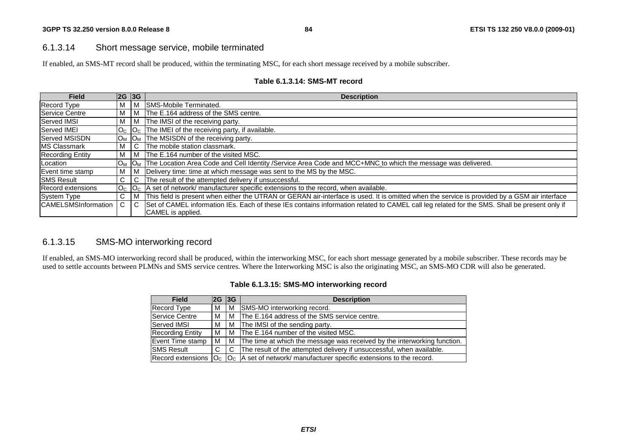## 6.1.3.14 Short message service, mobile terminated

If enabled, an SMS-MT record shall be produced, within the terminating MSC, for each short message received by a mobile subscriber.

| <b>Field</b>               |              | $2G$ 3G     | <b>Description</b>                                                                                                                            |
|----------------------------|--------------|-------------|-----------------------------------------------------------------------------------------------------------------------------------------------|
| <b>Record Type</b>         |              | l M         | SMS-Mobile Terminated.                                                                                                                        |
| Service Centre             | м            | I M         | The E.164 address of the SMS centre.                                                                                                          |
| <b>Served IMSI</b>         | M            | I M         | The IMSI of the receiving party.                                                                                                              |
| <b>Served IMEI</b>         | $OC$ $OC$    |             | The IMEI of the receiving party, if available.                                                                                                |
| Served MSISDN              | $O_M$ $O_M$  |             | The MSISDN of the receiving party.                                                                                                            |
| <b>MS Classmark</b>        |              |             | The mobile station classmark.                                                                                                                 |
| <b>Recording Entity</b>    | M            | l M         | The E.164 number of the visited MSC.                                                                                                          |
| Location                   |              | $O_M$ $O_M$ | The Location Area Code and Cell Identity /Service Area Code and MCC+MNC to which the message was delivered.                                   |
| Event time stamp           | M            | l M         | Delivery time: time at which message was sent to the MS by the MSC.                                                                           |
| <b>SMS Result</b>          | ⌒            |             | The result of the attempted delivery if unsuccessful.                                                                                         |
| Record extensions          |              |             | $ O_{C} $ $ O_{C} $ A set of network/ manufacturer specific extensions to the record, when available.                                         |
| <b>System Type</b>         | $\mathsf{C}$ | l M         | This field is present when either the UTRAN or GERAN air-interface is used. It is omitted when the service is provided by a GSM air interface |
| <b>CAMELSMSInformation</b> |              |             | Set of CAMEL information IEs. Each of these IEs contains information related to CAMEL call leg related for the SMS. Shall be present only if  |
|                            |              |             | CAMEL is applied.                                                                                                                             |

## **Table 6.1.3.14: SMS-MT record**

## 6.1.3.15 SMS-MO interworking record

If enabled, an SMS-MO interworking record shall be produced, within the interworking MSC, for each short message generated by a mobile subscriber. These records may be used to settle accounts between PLMNs and SMS service centres. Where the Interworking MSC is also the originating MSC, an SMS-MO CDR will also be generated.

| <b>Field</b>             |   | $2G$ 3G | <b>Description</b>                                                                    |
|--------------------------|---|---------|---------------------------------------------------------------------------------------|
| <b>Record Type</b>       | м | м       | SMS-MO interworking record.                                                           |
| Service Centre           | м |         | M The E.164 address of the SMS service centre.                                        |
| Served IMSI              | м |         | M The IMSI of the sending party.                                                      |
| Recording Entity         | м |         | M The E.164 number of the visited MSC.                                                |
| <b>IEvent Time stamp</b> | м |         | M The time at which the message was received by the interworking function.            |
| <b>SMS Result</b>        | C |         | C The result of the attempted delivery if unsuccessful, when available.               |
| Record extensions        |   |         | $ O_{C} $ $ O_{C} $ a set of network/ manufacturer specific extensions to the record. |

#### **Table 6.1.3.15: SMS-MO interworking record**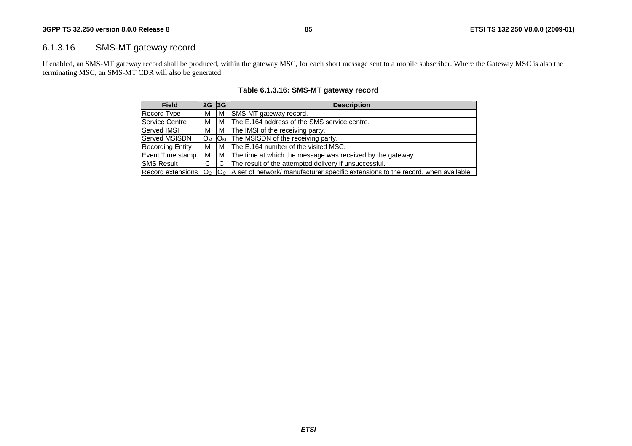## 6.1.3.16 SMS-MT gateway record

If enabled, an SMS-MT gateway record shall be produced, within the gateway MSC, for each short message sent to a mobile subscriber. Where the Gateway MSC is also the terminating MSC, an SMS-MT CDR will also be generated.

| <b>Field</b>             | 2G             | 3G                    | <b>Description</b>                                                                        |
|--------------------------|----------------|-----------------------|-------------------------------------------------------------------------------------------|
| Record Type              | м              | M                     | <b>SMS-MT</b> gateway record.                                                             |
| Service Centre           | М              | м                     | The E.164 address of the SMS service centre.                                              |
| <b>Served IMSI</b>       | м              | M                     | The IMSI of the receiving party.                                                          |
| lServed MSISDN           | O <sub>M</sub> | <b>O</b> <sub>M</sub> | The MSISDN of the receiving party.                                                        |
| Recording Entity         | м              | м                     | The E.164 number of the visited MSC.                                                      |
| Event Time stamp         | м              | м                     | The time at which the message was received by the gateway.                                |
| <b>ISMS Result</b>       |                | C                     | The result of the attempted delivery if unsuccessful.                                     |
| Record extensions $ OC $ |                |                       | $ O_C $ A set of network/ manufacturer specific extensions to the record, when available. |

## **Table 6.1.3.16: SMS-MT gateway record**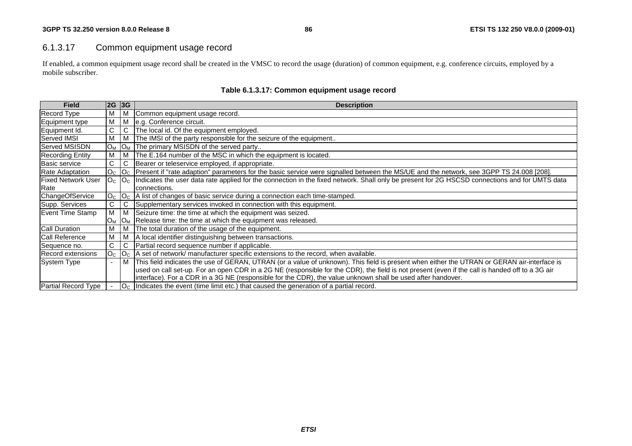## 6.1.3.17 Common equipment usage record

If enabled, a common equipment usage record shall be created in the VMSC to record the usage (duration) of common equipment, e.g. conference circuits, employed by a mobile subscriber.

| <b>Field</b>              | 2G 3G       |       | <b>Description</b>                                                                                                                                                             |
|---------------------------|-------------|-------|--------------------------------------------------------------------------------------------------------------------------------------------------------------------------------|
| Record Type               | м           | м     | Common equipment usage record.                                                                                                                                                 |
| Equipment type            | M           | M     | e.g. Conference circuit.                                                                                                                                                       |
| Equipment Id.             | C           | C     | The local id. Of the equipment employed.                                                                                                                                       |
| <b>Served IMSI</b>        | M           | м     | The IMSI of the party responsible for the seizure of the equipment                                                                                                             |
| <b>Served MSISDN</b>      | $O_M$ $O_M$ |       | The primary MSISDN of the served party                                                                                                                                         |
| <b>Recording Entity</b>   | м           | M     | The E.164 number of the MSC in which the equipment is located.                                                                                                                 |
| <b>Basic service</b>      | C           | C     | Bearer or teleservice employed, if appropriate.                                                                                                                                |
| <b>Rate Adaptation</b>    | $Oc$ $Oc$   |       | Present if "rate adaption" parameters for the basic service were signalled between the MS/UE and the network, see 3GPP TS 24.008 [208].                                        |
| <b>Fixed Network User</b> |             |       | O <sub>C</sub>  O <sub>C</sub>  Indicates the user data rate applied for the connection in the fixed network. Shall only be present for 2G HSCSD connections and for UMTS data |
| Rate                      |             |       | connections.                                                                                                                                                                   |
| ChangeOfService           |             |       | $ O_C $ $ O_C $ A list of changes of basic service during a connection each time-stamped.                                                                                      |
| Supp. Services            | C           | C     | Supplementary services invoked in connection with this equipment.                                                                                                              |
| Event Time Stamp          | М           | M     | Seizure time: the time at which the equipment was seized.                                                                                                                      |
|                           | $O_{M}$     | $O_M$ | Release time: the time at which the equipment was released.                                                                                                                    |
| <b>Call Duration</b>      | М           | м     | The total duration of the usage of the equipment.                                                                                                                              |
| <b>Call Reference</b>     | м           | м     | A local identifier distinguishing between transactions.                                                                                                                        |
| Sequence no.              | C.          | C     | Partial record sequence number if applicable.                                                                                                                                  |
| Record extensions         |             |       | $ O_{C} O_{C} $ A set of network/ manufacturer specific extensions to the record, when available.                                                                              |
| System Type               |             | M     | This field indicates the use of GERAN, UTRAN (or a value of unknown). This field is present when either the UTRAN or GERAN air-interface is                                    |
|                           |             |       | used on call set-up. For an open CDR in a 2G NE (responsible for the CDR), the field is not present (even if the call is handed off to a 3G air                                |
|                           |             |       | interface). For a CDR in a 3G NE (responsible for the CDR), the value unknown shall be used after handover.                                                                    |
| Partial Record Type       |             |       | $ O_{C} $ Indicates the event (time limit etc.) that caused the generation of a partial record.                                                                                |

## **Table 6.1.3.17: Common equipment usage record**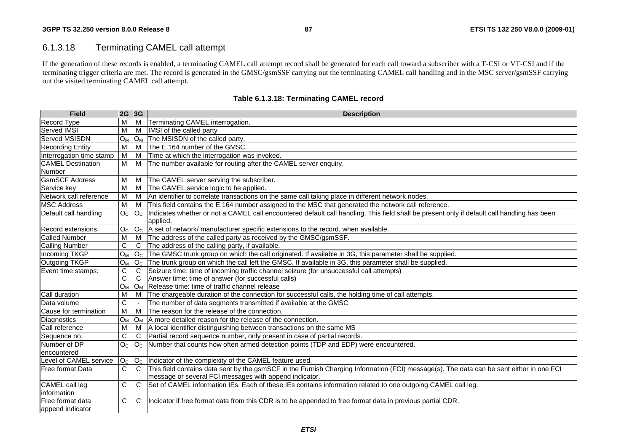# 6.1.3.18 Terminating CAMEL call attempt

If the generation of these records is enabled, a terminating CAMEL call attempt record shall be generated for each call toward a subscriber with a T-CSI or VT-CSI and if the terminating trigger criteria are met. The record is generated in the GMSC/gsmSSF carrying out the terminating CAMEL call handling and in the MSC server/gsmSSF carrying out the visited terminating CAMEL call attempt.

| <b>Field</b>             | <b>2G 3G</b>     |                | <b>Description</b>                                                                                                                          |
|--------------------------|------------------|----------------|---------------------------------------------------------------------------------------------------------------------------------------------|
| Record Type              | M                |                | M Terminating CAMEL interrogation.                                                                                                          |
| Served IMSI              | M                | M              | IMSI of the called party                                                                                                                    |
| Served MSISDN            | $O_M$            |                | $O_M$ The MSISDN of the called party.                                                                                                       |
| <b>Recording Entity</b>  | $\overline{M}$   |                | M The E.164 number of the GMSC.                                                                                                             |
| Interrogation time stamp | M                |                | M Time at which the interrogation was invoked.                                                                                              |
| <b>CAMEL Destination</b> | M                |                | M The number available for routing after the CAMEL server enquiry.                                                                          |
| Number                   |                  |                |                                                                                                                                             |
| <b>GsmSCF Address</b>    | M                |                | M The CAMEL server serving the subscriber.                                                                                                  |
| Service key              | M                |                | M The CAMEL service logic to be applied.                                                                                                    |
| Network call reference   | M                |                | M   An identifier to correlate transactions on the same call taking place in different network nodes.                                       |
| <b>MSC Address</b>       | M                |                | M This field contains the E.164 number assigned to the MSC that generated the network call reference.                                       |
| Default call handling    | O <sub>C</sub>   | O <sub>c</sub> | Indicates whether or not a CAMEL call encountered default call handling. This field shall be present only if default call handling has been |
|                          |                  |                | applied.                                                                                                                                    |
| Record extensions        |                  |                | $ O_{C} $ $ O_{C} $ A set of network/ manufacturer specific extensions to the record, when available.                                       |
| <b>Called Number</b>     | м                |                | M   The address of the called party as received by the GMSC/gsmSSF.                                                                         |
| <b>Calling Number</b>    | C.               |                | C The address of the calling party, if available.                                                                                           |
| Incoming TKGP            | O <sub>M</sub>   |                | $ O_C $ The GMSC trunk group on which the call originated. If available in 3G, this parameter shall be supplied.                            |
| Outgoing TKGP            | $O_M$            |                | $ O_C $ The trunk group on which the call left the GMSC. If available in 3G, this parameter shall be supplied.                              |
| Event time stamps:       | C                | C              | Seizure time: time of incoming traffic channel seizure (for unsuccessful call attempts)                                                     |
|                          | C                | C              | Answer time: time of answer (for successful calls)                                                                                          |
|                          | $O_M$            |                | O <sub>M</sub> Release time: time of traffic channel release                                                                                |
| Call duration            | M                |                | M  The chargeable duration of the connection for successful calls, the holding time of call attempts.                                       |
| Data volume              | C                |                | The number of data segments transmitted if available at the GMSC                                                                            |
| Cause for termination    | $\overline{M}$   |                | M The reason for the release of the connection.                                                                                             |
| Diagnostics              | $O_M$            |                | $ O_M $ A more detailed reason for the release of the connection.                                                                           |
| Call reference           | M                |                | M   A local identifier distinguishing between transactions on the same MS                                                                   |
| Sequence no.             | C                |                | C   Partial record sequence number, only present in case of partial records.                                                                |
| Number of DP             | $\overline{O^C}$ | O <sub>C</sub> | Number that counts how often armed detection points (TDP and EDP) were encountered.                                                         |
| encountered              |                  |                |                                                                                                                                             |
| Level of CAMEL service   |                  |                | $ O_{C} $ $ O_{C} $ Indicator of the complexity of the CAMEL feature used.                                                                  |
| Free format Data         | C                |                | C This field contains data sent by the gsmSCF in the Furnish Charging Information (FCI) message(s). The data can be sent either in one FCI  |
|                          |                  |                | message or several FCI messages with append indicator.                                                                                      |
| <b>CAMEL</b> call leg    | C.               | $\overline{C}$ | Set of CAMEL information IEs. Each of these IEs contains information related to one outgoing CAMEL call leg.                                |
| information              |                  |                |                                                                                                                                             |
| Free format data         | C                | $\mathsf{C}$   | Indicator if free format data from this CDR is to be appended to free format data in previous partial CDR.                                  |
| append indicator         |                  |                |                                                                                                                                             |

## **Table 6.1.3.18: Terminating CAMEL record**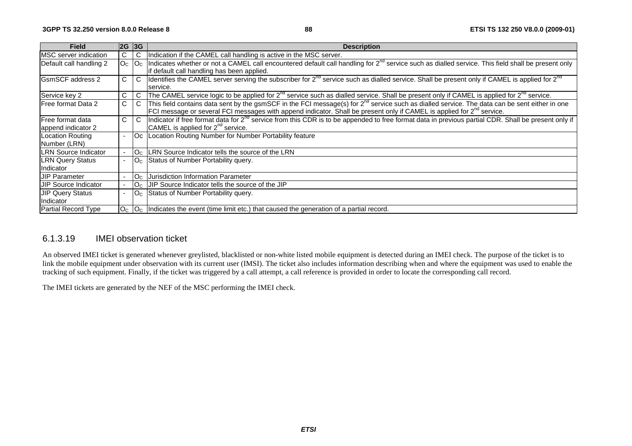| <b>Field</b>                |    | 2G 3G                            | <b>Description</b>                                                                                                                                                |
|-----------------------------|----|----------------------------------|-------------------------------------------------------------------------------------------------------------------------------------------------------------------|
| MSC server indication       | C. | C                                | Indication if the CAMEL call handling is active in the MSC server.                                                                                                |
| Default call handling 2     |    | $ O_C $ $ O_C $                  | Indicates whether or not a CAMEL call encountered default call handling for 2 <sup>nd</sup> service such as dialled service. This field shall be present only     |
|                             |    |                                  | if default call handling has been applied.                                                                                                                        |
| <b>IGsmSCF</b> address 2    | C. | $\mathsf{C}$                     | Identifies the CAMEL server serving the subscriber for $2^{nd}$ service such as dialled service. Shall be present only if CAMEL is applied for $2^{nd}$           |
|                             |    |                                  | service.                                                                                                                                                          |
| Service key 2               | C. | C                                | The CAMEL service logic to be applied for 2 <sup>nd</sup> service such as dialled service. Shall be present only if CAMEL is applied for 2 <sup>nd</sup> service. |
| Free format Data 2          | C. | $\mathsf{C}$                     | This field contains data sent by the gsmSCF in the FCI message(s) for $2^{nd}$ service such as dialled service. The data can be sent either in one                |
|                             |    |                                  | FCI message or several FCI messages with append indicator. Shall be present only if CAMEL is applied for 2 <sup>nd</sup> service.                                 |
| lFree format data           | C. | $\mathsf{C}$                     | Indicator if free format data for 2 <sup>nd</sup> service from this CDR is to be appended to free format data in previous partial CDR. Shall be present only if   |
| append indicator 2          |    |                                  | CAMEL is applied for $2^{nd}$ service.                                                                                                                            |
| Location Routing            |    |                                  | Oc   Location Routing Number for Number Portability feature                                                                                                       |
| Number (LRN)                |    |                                  |                                                                                                                                                                   |
| <b>LRN Source Indicator</b> |    | O <sub>C</sub>                   | LRN Source Indicator tells the source of the LRN                                                                                                                  |
| <b>LRN Query Status</b>     |    |                                  | $ O_C $ Status of Number Portability query.                                                                                                                       |
| Indicator                   |    |                                  |                                                                                                                                                                   |
| <b>JIP Parameter</b>        |    | O <sub>c</sub>                   | Jurisdiction Information Parameter                                                                                                                                |
| <b>JIP Source Indicator</b> |    | O <sub>c</sub>                   | JIP Source Indicator tells the source of the JIP                                                                                                                  |
| <b>JIP Query Status</b>     |    | $\overline{\text{O}}_{\text{C}}$ | Status of Number Portability query.                                                                                                                               |
| Indicator                   |    |                                  |                                                                                                                                                                   |
| <b>Partial Record Type</b>  |    |                                  | $ O_{C} O_{C} $ Indicates the event (time limit etc.) that caused the generation of a partial record.                                                             |

## 6.1.3.19 IMEI observation ticket

An observed IMEI ticket is generated whenever greylisted, blacklisted or non-white listed mobile equipment is detected during an IMEI check. The purpose of the ticket is to link the mobile equipment under observation with its current user (IMSI). The ticket also includes information describing when and where the equipment was used to enable the tracking of such equipment. Finally, if the ticket was triggered by a call attempt, a call reference is provided in order to locate the corresponding call record.

The IMEI tickets are generated by the NEF of the MSC performing the IMEI check.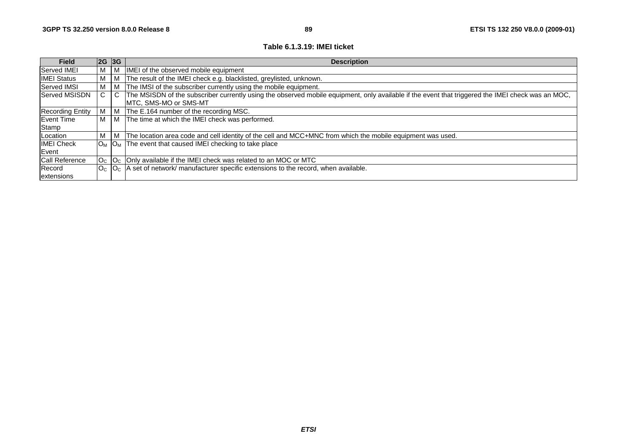#### **Table 6.1.3.19: IMEI ticket**

| <b>Field</b>            | 2G 3G |                | <b>Description</b>                                                                                                                                |
|-------------------------|-------|----------------|---------------------------------------------------------------------------------------------------------------------------------------------------|
| Served IMEI             | M     | M              | IMEI of the observed mobile equipment                                                                                                             |
| <b>IMEI Status</b>      | M     | M              | The result of the IMEI check e.g. blacklisted, greylisted, unknown.                                                                               |
| <b>Served IMSI</b>      | M     | M              | The IMSI of the subscriber currently using the mobile equipment.                                                                                  |
| <b>Served MSISDN</b>    | C.    | $\mathsf{C}$   | The MSISDN of the subscriber currently using the observed mobile equipment, only available if the event that triggered the IMEI check was an MOC, |
|                         |       |                | MTC, SMS-MO or SMS-MT                                                                                                                             |
| <b>Recording Entity</b> | м     | <b>M</b>       | The E.164 number of the recording MSC.                                                                                                            |
| Event Time              | M     | M <sub>1</sub> | The time at which the IMEI check was performed.                                                                                                   |
| Stamp                   |       |                |                                                                                                                                                   |
| Location                | M     | M              | The location area code and cell identity of the cell and MCC+MNC from which the mobile equipment was used.                                        |
| <b>IMEI Check</b>       |       |                | $ O_M $ $ O_M $ The event that caused IMEI checking to take place                                                                                 |
| <b>IEvent</b>           |       |                |                                                                                                                                                   |
| <b>Call Reference</b>   |       |                | $ O_{C} $ $ O_{C} $ Only available if the IMEI check was related to an MOC or MTC                                                                 |
| Record                  |       |                | $ O_{C} O_{C} $ A set of network/ manufacturer specific extensions to the record, when available.                                                 |
| lextensions             |       |                |                                                                                                                                                   |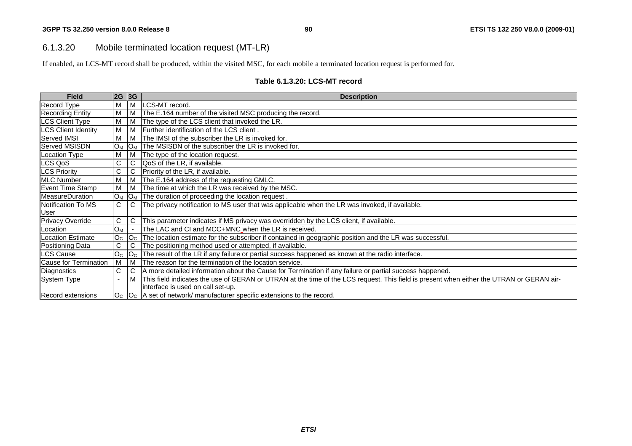## 6.1.3.20 Mobile terminated location request (MT-LR)

If enabled, an LCS-MT record shall be produced, within the visited MSC, for each mobile a terminated location request is performed for.

#### **Table 6.1.3.20: LCS-MT record**

| <b>Field</b>               | 2G 3G          |                      | <b>Description</b>                                                                                                                       |
|----------------------------|----------------|----------------------|------------------------------------------------------------------------------------------------------------------------------------------|
| <b>Record Type</b>         | М              | M                    | LCS-MT record.                                                                                                                           |
| <b>Recording Entity</b>    | M              | M                    | The E.164 number of the visited MSC producing the record.                                                                                |
| <b>LCS Client Type</b>     | Μ              | M                    | The type of the LCS client that invoked the LR.                                                                                          |
| <b>LCS Client Identity</b> | M              | M                    | Further identification of the LCS client.                                                                                                |
| Served IMSI                | М              | м                    | The IMSI of the subscriber the LR is invoked for.                                                                                        |
| Served MSISDN              | $O_M$          | O <sub>M</sub>       | The MSISDN of the subscriber the LR is invoked for.                                                                                      |
| Location Type              | М              | M                    | The type of the location request.                                                                                                        |
| LCS QoS                    | C.             | C                    | QoS of the LR, if available.                                                                                                             |
| <b>LCS Priority</b>        | C              | C.                   | Priority of the LR, if available.                                                                                                        |
| <b>MLC Number</b>          | М              | M                    | The E.164 address of the requesting GMLC.                                                                                                |
| Event Time Stamp           | Μ              | м                    | The time at which the LR was received by the MSC.                                                                                        |
| MeasureDuration            | $O_M$          | $IO_{\underline{M}}$ | The duration of proceeding the location request.                                                                                         |
| Notification To MS         | $\mathsf{C}$   | C                    | The privacy notification to MS user that was applicable when the LR was invoked, if available.                                           |
| User                       |                |                      |                                                                                                                                          |
| <b>Privacy Override</b>    | C              | C                    | This parameter indicates if MS privacy was overridden by the LCS client, if available.                                                   |
| Location                   | $O_M$          |                      | The LAC and CI and MCC+MNC when the LR is received.                                                                                      |
| Location Estimate          | O <sub>C</sub> | O <sub>C</sub>       | The location estimate for the subscriber if contained in geographic position and the LR was successful.                                  |
| Positioning Data           | C              | C                    | The positioning method used or attempted, if available.                                                                                  |
| <b>LCS Cause</b>           | O <sub>C</sub> | O <sub>C</sub>       | The result of the LR if any failure or partial success happened as known at the radio interface.                                         |
| Cause for Termination      | M              | M                    | The reason for the termination of the location service.                                                                                  |
| Diagnostics                | C              | C.                   | A more detailed information about the Cause for Termination if any failure or partial success happened.                                  |
| System Type                |                | M                    | This field indicates the use of GERAN or UTRAN at the time of the LCS request. This field is present when either the UTRAN or GERAN air- |
|                            |                |                      | interface is used on call set-up.                                                                                                        |
| <b>Record extensions</b>   |                |                      | $ O_{C} $ $ O_{C} $ a set of network/ manufacturer specific extensions to the record.                                                    |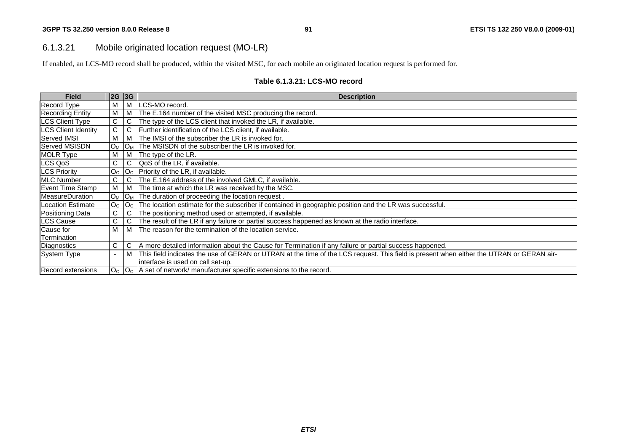## 6.1.3.21 Mobile originated location request (MO-LR)

If enabled, an LCS-MO record shall be produced, within the visited MSC, for each mobile an originated location request is performed for.

#### **Table 6.1.3.21: LCS-MO record**

| <b>Field</b>               | 2G             | 3G             | <b>Description</b>                                                                                                                       |
|----------------------------|----------------|----------------|------------------------------------------------------------------------------------------------------------------------------------------|
| <b>Record Type</b>         | м              | M              | LCS-MO record.                                                                                                                           |
| <b>Recording Entity</b>    | M              | M              | The E.164 number of the visited MSC producing the record.                                                                                |
| <b>LCS Client Type</b>     | C              | С              | The type of the LCS client that invoked the LR, if available.                                                                            |
| <b>LCS Client Identity</b> | C              | С              | Further identification of the LCS client, if available.                                                                                  |
| <b>Served IMSI</b>         | M              | M              | The IMSI of the subscriber the LR is invoked for.                                                                                        |
| <b>Served MSISDN</b>       | $O_M$          | <b>OM</b>      | The MSISDN of the subscriber the LR is invoked for.                                                                                      |
| <b>MOLR Type</b>           | M              | M              | The type of the LR.                                                                                                                      |
| LCS QoS                    | С              | C              | QoS of the LR, if available.                                                                                                             |
| <b>LCS Priority</b>        | O <sub>C</sub> | O <sub>C</sub> | Priority of the LR, if available.                                                                                                        |
| <b>MLC Number</b>          | C              | С              | The E.164 address of the involved GMLC, if available.                                                                                    |
| Event Time Stamp           | м              | l M            | The time at which the LR was received by the MSC.                                                                                        |
| <b>MeasureDuration</b>     | $O_M$          | $O_M$          | The duration of proceeding the location request.                                                                                         |
| Location Estimate          | O <sub>C</sub> | $ O_{C} $      | The location estimate for the subscriber if contained in geographic position and the LR was successful.                                  |
| Positioning Data           | C.             | С              | The positioning method used or attempted, if available.                                                                                  |
| <b>LCS Cause</b>           | C              | C              | The result of the LR if any failure or partial success happened as known at the radio interface.                                         |
| Cause for                  | м              | M              | The reason for the termination of the location service.                                                                                  |
| Termination                |                |                |                                                                                                                                          |
| Diagnostics                | C.             | $\mathbf C$    | A more detailed information about the Cause for Termination if any failure or partial success happened.                                  |
| System Type                |                | M              | This field indicates the use of GERAN or UTRAN at the time of the LCS request. This field is present when either the UTRAN or GERAN air- |
|                            |                |                | interface is used on call set-up.                                                                                                        |
| <b>Record extensions</b>   |                |                | $ O_{C} $ $ O_{C} $ A set of network/ manufacturer specific extensions to the record.                                                    |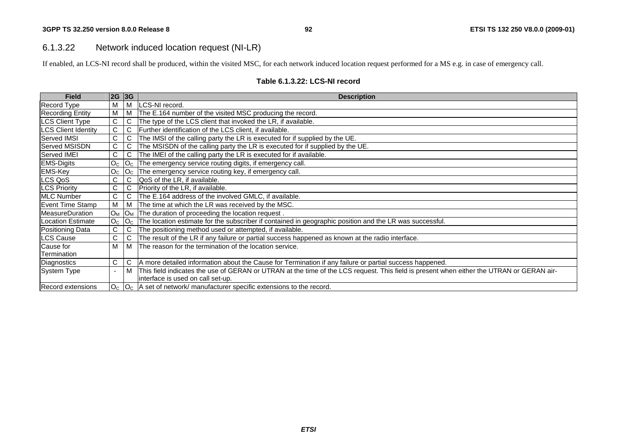## 6.1.3.22 Network induced location request (NI-LR)

If enabled, an LCS-NI record shall be produced, within the visited MSC, for each network induced location request performed for a MS e.g. in case of emergency call.

| <b>Field</b>               | 2G                       | 3G             | <b>Description</b>                                                                                                                       |
|----------------------------|--------------------------|----------------|------------------------------------------------------------------------------------------------------------------------------------------|
| Record Type                | M                        | M              | LCS-NI record.                                                                                                                           |
| <b>Recording Entity</b>    | M                        | M              | The E.164 number of the visited MSC producing the record.                                                                                |
| <b>LCS Client Type</b>     | $\mathsf C$              | C              | The type of the LCS client that invoked the LR, if available.                                                                            |
| <b>LCS Client Identity</b> | $\mathsf C$              | C              | Further identification of the LCS client, if available.                                                                                  |
| Served IMSI                | С                        | С              | The IMSI of the calling party the LR is executed for if supplied by the UE.                                                              |
| Served MSISDN              | С                        | С              | The MSISDN of the calling party the LR is executed for if supplied by the UE.                                                            |
| Served IMEI                | C                        | С              | The IMEI of the calling party the LR is executed for if available.                                                                       |
| <b>EMS-Digits</b>          | O <sub>C</sub>           | O <sub>C</sub> | The emergency service routing digits, if emergency call.                                                                                 |
| <b>EMS-Key</b>             | O <sub>C</sub>           | O <sub>C</sub> | The emergency service routing key, if emergency call.                                                                                    |
| LCS QoS                    | С                        | C              | QoS of the LR, if available.                                                                                                             |
| <b>LCS Priority</b>        | $\mathsf C$              | $\mathsf C$    | Priority of the LR, if available.                                                                                                        |
| <b>MLC Number</b>          | $\mathsf{C}$             | С              | The E.164 address of the involved GMLC, if available.                                                                                    |
| Event Time Stamp           | M                        | M              | The time at which the LR was received by the MSC.                                                                                        |
| <b>MeasureDuration</b>     | $O_M$                    | $O_M$          | The duration of proceeding the location request.                                                                                         |
| Location Estimate          | O <sub>C</sub>           | O <sub>c</sub> | The location estimate for the subscriber if contained in geographic position and the LR was successful.                                  |
| <b>Positioning Data</b>    | С                        | С              | The positioning method used or attempted, if available.                                                                                  |
| LCS Cause                  | $\mathsf C$              | C              | The result of the LR if any failure or partial success happened as known at the radio interface.                                         |
| Cause for                  | M                        | M              | The reason for the termination of the location service.                                                                                  |
| Termination                |                          |                |                                                                                                                                          |
| Diagnostics                | C                        | C              | A more detailed information about the Cause for Termination if any failure or partial success happened.                                  |
| System Type                | $\overline{\phantom{a}}$ | M              | This field indicates the use of GERAN or UTRAN at the time of the LCS request. This field is present when either the UTRAN or GERAN air- |
|                            |                          |                | interface is used on call set-up.                                                                                                        |
| <b>Record extensions</b>   |                          |                | $ O_{C} $ $ O_{C} $ A set of network/ manufacturer specific extensions to the record.                                                    |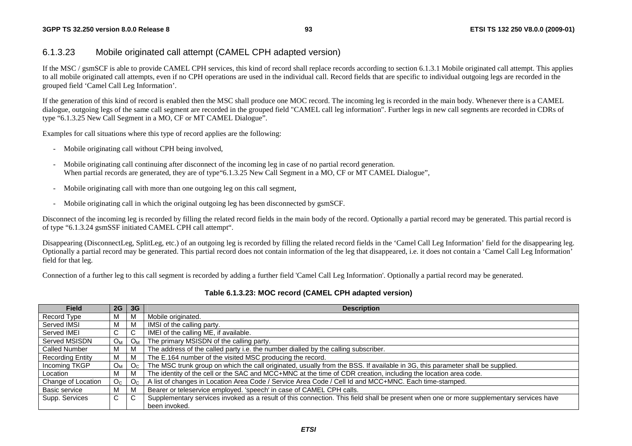#### **3GPP TS 32.250 version 8.0.0 Release 8**

## 6.1.3.23 Mobile originated call attempt (CAMEL CPH adapted version)

If the MSC / gsmSCF is able to provide CAMEL CPH services, this kind of record shall replace records according to section 6.1.3.1 Mobile originated call attempt. This applies to all mobile originated call attempts, even if no CPH operations are used in the individual call. Record fields that are specific to individual outgoing legs are recorded in the grouped field 'Camel Call Leg Information'.

If the generation of this kind of record is enabled then the MSC shall produce one MOC record. The incoming leg is recorded in the main body. Whenever there is a CAMEL dialogue, outgoing legs of the same call segment are recorded in the grouped field "CAMEL call leg information". Further legs in new call segments are recorded in CDRs of type "6.1.3.25 New Call Segment in a MO, CF or MT CAMEL Dialogue".

Examples for call situations where this type of record applies are the following:

- Mobile originating call without CPH being involved,
- Mobile originating call continuing after disconnect of the incoming leg in case of no partial record generation. When partial records are generated, they are of type 6.1.3.25 New Call Segment in a MO, CF or MT CAMEL Dialogue".
- Mobile originating call with more than one outgoing leg on this call segment,
- Mobile originating call in which the original outgoing leg has been disconnected by gsmSCF.

Disconnect of the incoming leg is recorded by filling the related record fields in the main body of the record. Optionally a partial record may be generated. This partial record is of type "6.1.3.24 gsmSSF initiated CAMEL CPH call attempt".

Disappearing (DisconnectLeg, SplitLeg, etc.) of an outgoing leg is recorded by filling the related record fields in the 'Camel Call Leg Information' field for the disappearing leg. Optionally a partial record may be generated. This partial record does not contain information of the leg that disappeared, i.e. it does not contain a 'Camel Call Leg Information' field for that leg.

Connection of a further leg to this call segment is recorded by adding a further field 'Camel Call Leg Information'. Optionally a partial record may be generated.

| <b>Field</b>            | 2G             | 3 <sub>G</sub> | <b>Description</b>                                                                                                                      |  |  |  |  |
|-------------------------|----------------|----------------|-----------------------------------------------------------------------------------------------------------------------------------------|--|--|--|--|
| Record Type             | M              | M              | Mobile originated.                                                                                                                      |  |  |  |  |
| Served IMSI             | M              | M              | IMSI of the calling party.                                                                                                              |  |  |  |  |
| Served IMEI             | C              | C              | IMEI of the calling ME, if available.                                                                                                   |  |  |  |  |
| Served MSISDN           | O <sub>M</sub> | $O_M$          | The primary MSISDN of the calling party.                                                                                                |  |  |  |  |
| <b>Called Number</b>    | M              | M              | The address of the called party i.e. the number dialled by the calling subscriber.                                                      |  |  |  |  |
| <b>Recording Entity</b> | M              | M              | The E.164 number of the visited MSC producing the record.                                                                               |  |  |  |  |
| Incoming TKGP           | $O_{M}$        | O <sub>C</sub> | The MSC trunk group on which the call originated, usually from the BSS. If available in 3G, this parameter shall be supplied.           |  |  |  |  |
| Location                | М              | M              | The identity of the cell or the SAC and MCC+MNC at the time of CDR creation, including the location area code.                          |  |  |  |  |
| Change of Location      | O <sub>C</sub> | O <sub>C</sub> | A list of changes in Location Area Code / Service Area Code / Cell Id and MCC+MNC. Each time-stamped.                                   |  |  |  |  |
| Basic service           | M              | M              | Bearer or teleservice employed. 'speech' in case of CAMEL CPH calls.                                                                    |  |  |  |  |
| Supp. Services          | C              | C              | Supplementary services invoked as a result of this connection. This field shall be present when one or more supplementary services have |  |  |  |  |
|                         |                |                | been invoked.                                                                                                                           |  |  |  |  |

#### **Table 6.1.3.23: MOC record (CAMEL CPH adapted version)**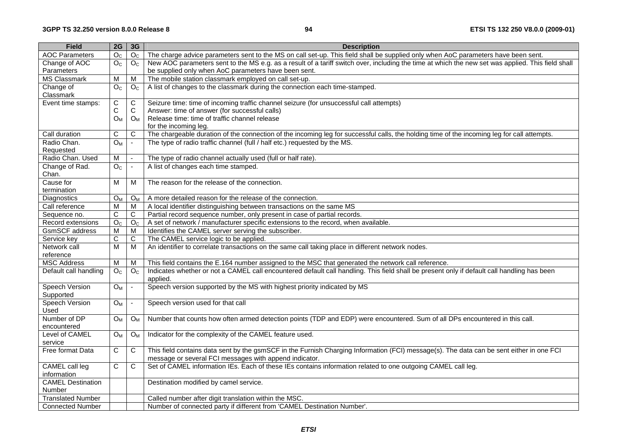| <b>Field</b>             | 2G                 | 3G                          | <b>Description</b>                                                                                                                                |
|--------------------------|--------------------|-----------------------------|---------------------------------------------------------------------------------------------------------------------------------------------------|
| <b>AOC Parameters</b>    | $\overline{O_{C}}$ | O <sub>C</sub>              | The charge advice parameters sent to the MS on call set-up. This field shall be supplied only when AoC parameters have been sent.                 |
| Change of AOC            | O <sub>C</sub>     | O <sub>c</sub>              | New AOC parameters sent to the MS e.g. as a result of a tariff switch over, including the time at which the new set was applied. This field shall |
| Parameters               |                    |                             | be supplied only when AoC parameters have been sent.                                                                                              |
| <b>MS Classmark</b>      | M                  | M                           | The mobile station classmark employed on call set-up.                                                                                             |
| Change of                | O <sub>C</sub>     | O <sub>C</sub>              | A list of changes to the classmark during the connection each time-stamped.                                                                       |
| Classmark                |                    |                             |                                                                                                                                                   |
| Event time stamps:       | $\mathsf C$        | C                           | Seizure time: time of incoming traffic channel seizure (for unsuccessful call attempts)                                                           |
|                          | С                  | $\mathsf{C}$                | Answer: time of answer (for successful calls)                                                                                                     |
|                          | $O_{M}$            | $O_{M}$                     | Release time: time of traffic channel release                                                                                                     |
|                          |                    |                             | for the incoming leg.                                                                                                                             |
| Call duration            | С                  | $\mathsf C$                 | The chargeable duration of the connection of the incoming leg for successful calls, the holding time of the incoming leg for call attempts.       |
| Radio Chan.              | O <sub>M</sub>     | $\mathbf{r}$                | The type of radio traffic channel (full / half etc.) requested by the MS.                                                                         |
| Requested                |                    |                             |                                                                                                                                                   |
| Radio Chan. Used         | M                  | $\mathcal{L}^{\mathcal{A}}$ | The type of radio channel actually used (full or half rate)                                                                                       |
| Change of Rad.           | O <sub>C</sub>     | $\blacksquare$              | A list of changes each time stamped.                                                                                                              |
| Chan.                    |                    |                             |                                                                                                                                                   |
| Cause for                | M                  | M                           | The reason for the release of the connection.                                                                                                     |
| termination              |                    |                             |                                                                                                                                                   |
| Diagnostics              | $O_{M}$            | $O_M$                       | A more detailed reason for the release of the connection.                                                                                         |
| Call reference           | M                  | M                           | A local identifier distinguishing between transactions on the same MS                                                                             |
| Sequence no.             | C                  | C                           | Partial record sequence number, only present in case of partial records.                                                                          |
| Record extensions        | $\overline{O_{C}}$ | $\overline{O_{C}}$          | A set of network / manufacturer specific extensions to the record, when available.                                                                |
| GsmSCF address           | $\overline{M}$     | м                           | Identifies the CAMEL server serving the subscriber.                                                                                               |
| Service key              | ${\bf C}$          | $\mathsf C$                 | The CAMEL service logic to be applied.                                                                                                            |
| Network call             | $\overline{M}$     | M                           | An identifier to correlate transactions on the same call taking place in different network nodes.                                                 |
| reference                |                    |                             |                                                                                                                                                   |
| <b>MSC Address</b>       | M                  | M                           | This field contains the E.164 number assigned to the MSC that generated the network call reference.                                               |
| Default call handling    | O <sub>C</sub>     | O <sub>C</sub>              | Indicates whether or not a CAMEL call encountered default call handling. This field shall be present only if default call handling has been       |
|                          |                    |                             | applied.                                                                                                                                          |
| <b>Speech Version</b>    | $O_{M}$            | $\bar{\phantom{a}}$         | Speech version supported by the MS with highest priority indicated by MS                                                                          |
| Supported                |                    |                             |                                                                                                                                                   |
| <b>Speech Version</b>    | $O_{M}$            | $\blacksquare$              | Speech version used for that call                                                                                                                 |
| Used                     |                    |                             |                                                                                                                                                   |
| Number of DP             | $O_M$              | $O_{M}$                     | Number that counts how often armed detection points (TDP and EDP) were encountered. Sum of all DPs encountered in this call.                      |
| encountered              |                    |                             |                                                                                                                                                   |
| Level of CAMEL           | $O_{M}$            | O <sub>M</sub>              | Indicator for the complexity of the CAMEL feature used.                                                                                           |
| service                  |                    |                             |                                                                                                                                                   |
| Free format Data         | $\mathbf C$        | C                           | This field contains data sent by the gsmSCF in the Furnish Charging Information (FCI) message(s). The data can be sent either in one FCI          |
|                          |                    |                             | message or several FCI messages with append indicator.                                                                                            |
| CAMEL call leg           | C                  | C                           | Set of CAMEL information IEs. Each of these IEs contains information related to one outgoing CAMEL call leg.                                      |
| information              |                    |                             |                                                                                                                                                   |
| <b>CAMEL Destination</b> |                    |                             | Destination modified by camel service.                                                                                                            |
| Number                   |                    |                             |                                                                                                                                                   |
| <b>Translated Number</b> |                    |                             | Called number after digit translation within the MSC.                                                                                             |
| <b>Connected Number</b>  |                    |                             | Number of connected party if different from 'CAMEL Destination Number'.                                                                           |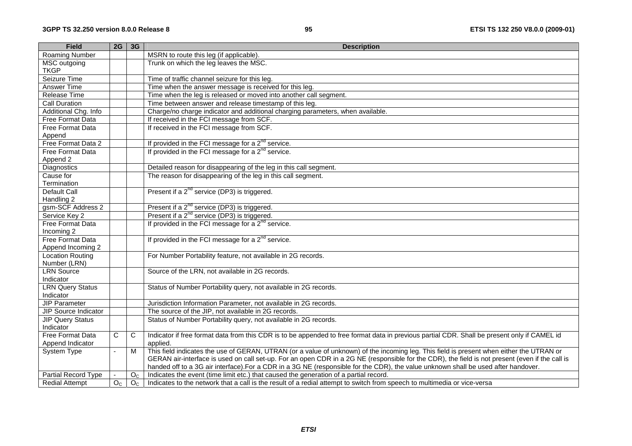| <b>Field</b>                 | $2G$ 3G        |                | <b>Description</b>                                                                                                                              |
|------------------------------|----------------|----------------|-------------------------------------------------------------------------------------------------------------------------------------------------|
| Roaming Number               |                |                | MSRN to route this leg (if applicable).                                                                                                         |
| MSC outgoing<br><b>TKGP</b>  |                |                | Trunk on which the leg leaves the MSC.                                                                                                          |
| Seizure Time                 |                |                | Time of traffic channel seizure for this leg.                                                                                                   |
| Answer Time                  |                |                | Time when the answer message is received for this leg.                                                                                          |
| <b>Release Time</b>          |                |                | Time when the leg is released or moved into another call segment.                                                                               |
| <b>Call Duration</b>         |                |                | Time between answer and release timestamp of this leg.                                                                                          |
| Additional Chg. Info         |                |                | Charge/no charge indicator and additional charging parameters, when available.                                                                  |
| <b>Free Format Data</b>      |                |                | If received in the FCI message from SCF.                                                                                                        |
| Free Format Data             |                |                | If received in the FCI message from SCF.                                                                                                        |
|                              |                |                |                                                                                                                                                 |
| Append<br>Free Format Data 2 |                |                | If provided in the FCI message for a $2^{nd}$ service.                                                                                          |
| Free Format Data             |                |                | If provided in the FCI message for a 2 <sup>nd</sup> service.                                                                                   |
| Append 2                     |                |                |                                                                                                                                                 |
| <b>Diagnostics</b>           |                |                | Detailed reason for disappearing of the leg in this call segment.                                                                               |
| Cause for                    |                |                | The reason for disappearing of the leg in this call segment.                                                                                    |
| Termination                  |                |                |                                                                                                                                                 |
| Default Call                 |                |                | Present if a 2 <sup>nd</sup> service (DP3) is triggered.                                                                                        |
| Handling 2                   |                |                |                                                                                                                                                 |
| gsm-SCF Address 2            |                |                | Present if a 2 <sup>nd</sup> service (DP3) is triggered.                                                                                        |
| Service Key 2                |                |                | Present if a 2 <sup>nd</sup> service (DP3) is triggered.                                                                                        |
| <b>Free Format Data</b>      |                |                | If provided in the FCI message for a 2 <sup>nd</sup> service.                                                                                   |
| Incoming 2                   |                |                |                                                                                                                                                 |
| <b>Free Format Data</b>      |                |                | If provided in the FCI message for a $2^{nd}$ service.                                                                                          |
| Append Incoming 2            |                |                |                                                                                                                                                 |
| <b>Location Routing</b>      |                |                | For Number Portability feature, not available in 2G records.                                                                                    |
| Number (LRN)                 |                |                |                                                                                                                                                 |
| <b>LRN Source</b>            |                |                | Source of the LRN, not available in 2G records.                                                                                                 |
| Indicator                    |                |                |                                                                                                                                                 |
| <b>LRN Query Status</b>      |                |                | Status of Number Portability query, not available in 2G records.                                                                                |
| Indicator                    |                |                |                                                                                                                                                 |
| <b>JIP Parameter</b>         |                |                | Jurisdiction Information Parameter, not available in 2G records.                                                                                |
| <b>JIP Source Indicator</b>  |                |                | The source of the JIP, not available in 2G records.                                                                                             |
| <b>JIP Query Status</b>      |                |                | Status of Number Portability query, not available in 2G records.                                                                                |
| Indicator                    |                |                |                                                                                                                                                 |
| <b>Free Format Data</b>      | $\mathsf{C}$   | C              | Indicator if free format data from this CDR is to be appended to free format data in previous partial CDR. Shall be present only if CAMEL id    |
| Append Indicator             |                |                | applied.                                                                                                                                        |
| System Type                  | $\mathbf{r}$   | $\overline{M}$ | This field indicates the use of GERAN, UTRAN (or a value of unknown) of the incoming leg. This field is present when either the UTRAN or        |
|                              |                |                | GERAN air-interface is used on call set-up. For an open CDR in a 2G NE (responsible for the CDR), the field is not present (even if the call is |
|                              |                |                | handed off to a 3G air interface). For a CDR in a 3G NE (responsible for the CDR), the value unknown shall be used after handover.              |
| Partial Record Type          |                | O <sub>C</sub> | Indicates the event (time limit etc.) that caused the generation of a partial record.                                                           |
| <b>Redial Attempt</b>        | O <sub>C</sub> | O <sub>C</sub> | Indicates to the network that a call is the result of a redial attempt to switch from speech to multimedia or vice-versa                        |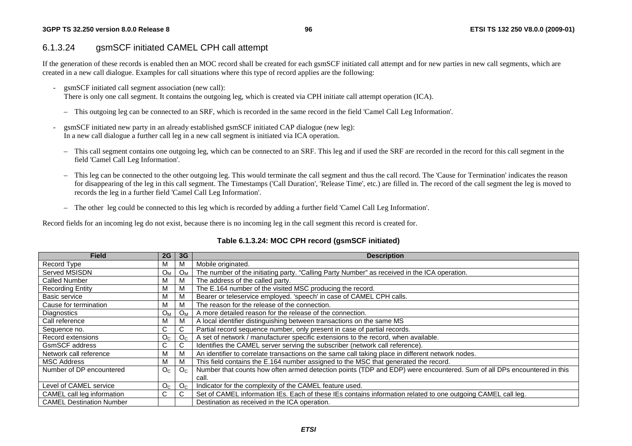#### **3GPP TS 32.250 version 8.0.0 Release 8**

## 6.1.3.24 gsmSCF initiated CAMEL CPH call attempt

If the generation of these records is enabled then an MOC record shall be created for each gsmSCF initiated call attempt and for new parties in new call segments, which are created in a new call dialogue. Examples for call situations where this type of record applies are the following:

- gsmSCF initiated call segment association (new call):

There is only one call segment. It contains the outgoing leg, which is created via CPH initiate call attempt operation (ICA).

- This outgoing leg can be connected to an SRF, which is recorded in the same record in the field 'Camel Call Leg Information'.
- gsmSCF initiated new party in an already established gsmSCF initiated CAP dialogue (new leg): In a new call dialogue a further call leg in a new call segment is initiated via ICA operation.
- This call segment contains one outgoing leg, which can be connected to an SRF. This leg and if used the SRF are recorded in the record for this call segment in the field 'Camel Call Leg Information'.
- This leg can be connected to the other outgoing leg. This would terminate the call segment and thus the call record. The 'Cause for Termination' indicates the reason for disappearing of the leg in this call segment. The Timestamps ('Call Duration', 'Release Time', etc.) are filled in. The record of the call segment the leg is moved to records the leg in a further field 'Camel Call Leg Information'.
- The other leg could be connected to this leg which is recorded by adding a further field 'Camel Call Leg Information'.

Record fields for an incoming leg do not exist, because there is no incoming leg in the call segment this record is created for.

| <b>Field</b>                    | 2G             | 3 <sub>G</sub> | <b>Description</b>                                                                                                     |
|---------------------------------|----------------|----------------|------------------------------------------------------------------------------------------------------------------------|
| Record Type                     | M              |                | Mobile originated.                                                                                                     |
| Served MSISDN                   | O <sub>M</sub> | $O_{M}$        | The number of the initiating party. "Calling Party Number" as received in the ICA operation.                           |
| <b>Called Number</b>            | M              | М              | The address of the called party.                                                                                       |
| <b>Recording Entity</b>         | M              | м              | The E.164 number of the visited MSC producing the record.                                                              |
| Basic service                   | M              | м              | Bearer or teleservice employed. 'speech' in case of CAMEL CPH calls.                                                   |
| Cause for termination           | M              | м              | The reason for the release of the connection.                                                                          |
| Diagnostics                     | $O_M$          | $O_{M}$        | A more detailed reason for the release of the connection.                                                              |
| Call reference                  | M              |                | A local identifier distinguishing between transactions on the same MS                                                  |
| Sequence no.                    | C              | C.             | Partial record sequence number, only present in case of partial records.                                               |
| Record extensions               | O <sub>C</sub> | $O_{C}$        | A set of network / manufacturer specific extensions to the record, when available.                                     |
| <b>GsmSCF</b> address           | C              | U              | Identifies the CAMEL server serving the subscriber (network call reference).                                           |
| Network call reference          | M              |                | An identifier to correlate transactions on the same call taking place in different network nodes.                      |
| <b>MSC Address</b>              | М              | M              | This field contains the E.164 number assigned to the MSC that generated the record.                                    |
| Number of DP encountered        | O <sub>C</sub> | O <sub>c</sub> | Number that counts how often armed detection points (TDP and EDP) were encountered. Sum of all DPs encountered in this |
|                                 |                |                | call.                                                                                                                  |
| Level of CAMEL service          | O <sub>C</sub> | O <sub>C</sub> | Indicator for the complexity of the CAMEL feature used.                                                                |
| CAMEL call leg information      | C              | C.             | Set of CAMEL information IEs. Each of these IEs contains information related to one outgoing CAMEL call leg.           |
| <b>CAMEL Destination Number</b> |                |                | Destination as received in the ICA operation.                                                                          |

### **Table 6.1.3.24: MOC CPH record (gsmSCF initiated)**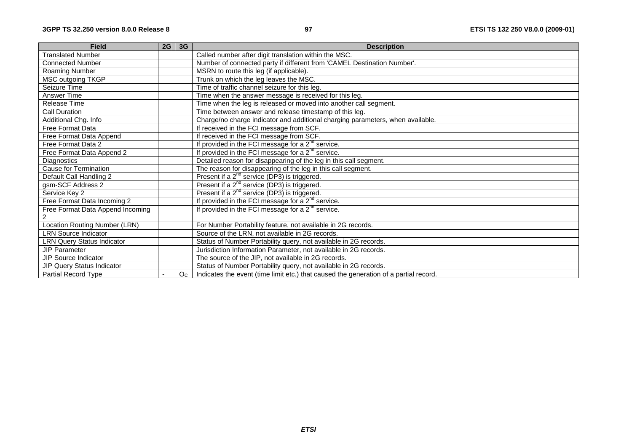| <b>Field</b>                      | 2G | 3 <sub>G</sub> | <b>Description</b>                                                                    |
|-----------------------------------|----|----------------|---------------------------------------------------------------------------------------|
| <b>Translated Number</b>          |    |                | Called number after digit translation within the MSC.                                 |
| <b>Connected Number</b>           |    |                | Number of connected party if different from 'CAMEL Destination Number'.               |
| Roaming Number                    |    |                | MSRN to route this leg (if applicable).                                               |
| <b>MSC outgoing TKGP</b>          |    |                | Trunk on which the leg leaves the MSC.                                                |
| Seizure Time                      |    |                | Time of traffic channel seizure for this leg.                                         |
| Answer Time                       |    |                | Time when the answer message is received for this leg.                                |
| Release Time                      |    |                | Time when the leg is released or moved into another call segment.                     |
| <b>Call Duration</b>              |    |                | Time between answer and release timestamp of this leg.                                |
| Additional Chg. Info              |    |                | Charge/no charge indicator and additional charging parameters, when available.        |
| Free Format Data                  |    |                | If received in the FCI message from SCF.                                              |
| Free Format Data Append           |    |                | If received in the FCI message from SCF.                                              |
| Free Format Data 2                |    |                | If provided in the FCI message for a $2^{nd}$ service.                                |
| Free Format Data Append 2         |    |                | If provided in the FCI message for a $2nd$ service.                                   |
| Diagnostics                       |    |                | Detailed reason for disappearing of the leg in this call segment.                     |
| <b>Cause for Termination</b>      |    |                | The reason for disappearing of the leg in this call segment.                          |
| Default Call Handling 2           |    |                | Present if a 2 <sup>nd</sup> service (DP3) is triggered.                              |
| gsm-SCF Address 2                 |    |                | Present if a $2^{nd}$ service (DP3) is triggered.                                     |
| Service Key 2                     |    |                | Present if a 2 <sup>nd</sup> service (DP3) is triggered.                              |
| Free Format Data Incoming 2       |    |                | If provided in the FCI message for a $2nd$ service.                                   |
| Free Format Data Append Incoming  |    |                | If provided in the FCI message for a $2^{nd}$ service.                                |
| 2                                 |    |                |                                                                                       |
| Location Routing Number (LRN)     |    |                | For Number Portability feature, not available in 2G records.                          |
| <b>LRN Source Indicator</b>       |    |                | Source of the LRN, not available in 2G records.                                       |
| <b>LRN Query Status Indicator</b> |    |                | Status of Number Portability query, not available in 2G records.                      |
| <b>JIP Parameter</b>              |    |                | Jurisdiction Information Parameter, not available in 2G records.                      |
| <b>JIP Source Indicator</b>       |    |                | The source of the JIP, not available in 2G records.                                   |
| JIP Query Status Indicator        |    |                | Status of Number Portability query, not available in 2G records.                      |
| Partial Record Type               |    | O <sub>C</sub> | Indicates the event (time limit etc.) that caused the generation of a partial record. |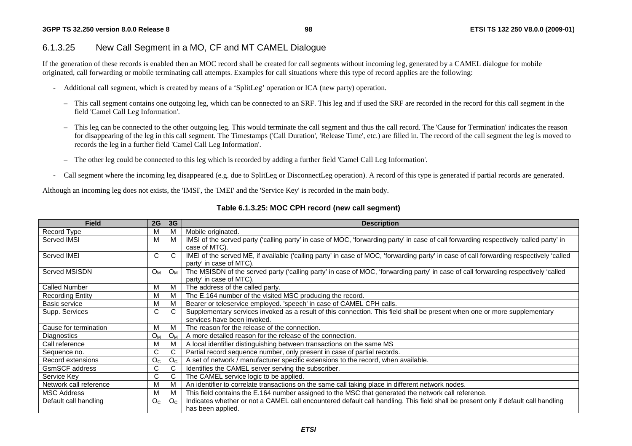## 6.1.3.25 New Call Segment in a MO, CF and MT CAMEL Dialogue

If the generation of these records is enabled then an MOC record shall be created for call segments without incoming leg, generated by a CAMEL dialogue for mobile originated, call forwarding or mobile terminating call attempts. Examples for call situations where this type of record applies are the following:

- Additional call segment, which is created by means of a 'SplitLeg' operation or ICA (new party) operation.
	- This call segment contains one outgoing leg, which can be connected to an SRF. This leg and if used the SRF are recorded in the record for this call segment in the field 'Camel Call Leg Information'.
	- This leg can be connected to the other outgoing leg. This would terminate the call segment and thus the call record. The 'Cause for Termination' indicates the reason for disappearing of the leg in this call segment. The Timestamps ('Call Duration', 'Release Time', etc.) are filled in. The record of the call segment the leg is moved to records the leg in a further field 'Camel Call Leg Information'.
	- The other leg could be connected to this leg which is recorded by adding a further field 'Camel Call Leg Information'.
- Call segment where the incoming leg disappeared (e.g. due to SplitLeg or DisconnectLeg operation). A record of this type is generated if partial records are generated.

Although an incoming leg does not exists, the 'IMSI', the 'IMEI' and the 'Service Key' is recorded in the main body.

| <b>Field</b>            | 2G             | 3G             | <b>Description</b>                                                                                                                      |
|-------------------------|----------------|----------------|-----------------------------------------------------------------------------------------------------------------------------------------|
| Record Type             | M              | м              | Mobile originated.                                                                                                                      |
| Served IMSI             | M              | м              | IMSI of the served party ('calling party' in case of MOC, 'forwarding party' in case of call forwarding respectively 'called party' in  |
|                         |                |                | case of MTC).                                                                                                                           |
| Served IMEI             | C              | C              | IMEI of the served ME, if available ('calling party' in case of MOC, 'forwarding party' in case of call forwarding respectively 'called |
|                         |                |                | party' in case of MTC).                                                                                                                 |
| Served MSISDN           | <b>Ом</b>      | O <sub>M</sub> | The MSISDN of the served party ('calling party' in case of MOC, 'forwarding party' in case of call forwarding respectively 'called      |
|                         |                |                | party' in case of MTC).                                                                                                                 |
| <b>Called Number</b>    | M              |                | The address of the called party.                                                                                                        |
| <b>Recording Entity</b> | м              |                | The E.164 number of the visited MSC producing the record.                                                                               |
| Basic service           | M              |                | Bearer or teleservice employed. 'speech' in case of CAMEL CPH calls.                                                                    |
| Supp. Services          | C              |                | Supplementary services invoked as a result of this connection. This field shall be present when one or more supplementary               |
|                         |                |                | services have been invoked.                                                                                                             |
| Cause for termination   | M              |                | The reason for the release of the connection.                                                                                           |
| Diagnostics             | $O_{M}$        | $O_{N}$        | A more detailed reason for the release of the connection.                                                                               |
| Call reference          | M              |                | A local identifier distinguishing between transactions on the same MS                                                                   |
| Sequence no.            | C              |                | Partial record sequence number, only present in case of partial records.                                                                |
| Record extensions       | O <sub>C</sub> |                | A set of network / manufacturer specific extensions to the record, when available.                                                      |
| GsmSCF address          | C              |                | Identifies the CAMEL server serving the subscriber.                                                                                     |
| Service Key             | C              |                | The CAMEL service logic to be applied.                                                                                                  |
| Network call reference  | M              |                | An identifier to correlate transactions on the same call taking place in different network nodes.                                       |
| <b>MSC Address</b>      | М              |                | This field contains the E.164 number assigned to the MSC that generated the network call reference.                                     |
| Default call handling   | O <sub>C</sub> | O <sub>C</sub> | Indicates whether or not a CAMEL call encountered default call handling. This field shall be present only if default call handling      |
|                         |                |                | has been applied.                                                                                                                       |

### **Table 6.1.3.25: MOC CPH record (new call segment)**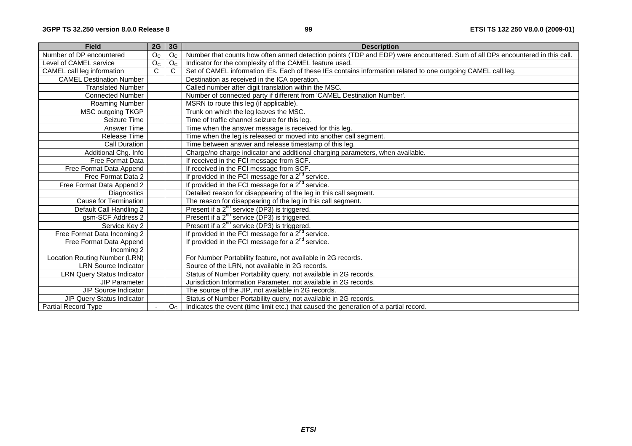| <b>Field</b>                      | 2G             | 3 <sub>G</sub> | <b>Description</b>                                                                                                           |
|-----------------------------------|----------------|----------------|------------------------------------------------------------------------------------------------------------------------------|
| Number of DP encountered          | O <sub>C</sub> | O <sub>C</sub> | Number that counts how often armed detection points (TDP and EDP) were encountered. Sum of all DPs encountered in this call. |
| Level of CAMEL service            | O <sub>C</sub> | O <sub>c</sub> | Indicator for the complexity of the CAMEL feature used.                                                                      |
| CAMEL call leg information        | $\overline{C}$ | C              | Set of CAMEL information IEs. Each of these IEs contains information related to one outgoing CAMEL call leg.                 |
| <b>CAMEL Destination Number</b>   |                |                | Destination as received in the ICA operation.                                                                                |
| <b>Translated Number</b>          |                |                | Called number after digit translation within the MSC.                                                                        |
| <b>Connected Number</b>           |                |                | Number of connected party if different from 'CAMEL Destination Number'.                                                      |
| Roaming Number                    |                |                | MSRN to route this leg (if applicable).                                                                                      |
| <b>MSC outgoing TKGP</b>          |                |                | Trunk on which the leg leaves the MSC.                                                                                       |
| Seizure Time                      |                |                | Time of traffic channel seizure for this leg.                                                                                |
| Answer Time                       |                |                | Time when the answer message is received for this leg.                                                                       |
| Release Time                      |                |                | Time when the leg is released or moved into another call segment.                                                            |
| <b>Call Duration</b>              |                |                | Time between answer and release timestamp of this leg.                                                                       |
| Additional Chg. Info              |                |                | Charge/no charge indicator and additional charging parameters, when available.                                               |
| Free Format Data                  |                |                | If received in the FCI message from SCF.                                                                                     |
| Free Format Data Append           |                |                | If received in the FCI message from SCF.                                                                                     |
| Free Format Data 2                |                |                | If provided in the FCI message for a $2^{nd}$ service.                                                                       |
| Free Format Data Append 2         |                |                | If provided in the FCI message for a $2^{nd}$ service.                                                                       |
| <b>Diagnostics</b>                |                |                | Detailed reason for disappearing of the leg in this call segment.                                                            |
| Cause for Termination             |                |                | The reason for disappearing of the leg in this call segment.                                                                 |
| Default Call Handling 2           |                |                | Present if a 2 <sup>nd</sup> service (DP3) is triggered.                                                                     |
| gsm-SCF Address 2                 |                |                | Present if a 2 <sup>nd</sup> service (DP3) is triggered.                                                                     |
| Service Key 2                     |                |                | Present if a $2^{nd}$ service (DP3) is triggered.                                                                            |
| Free Format Data Incoming 2       |                |                | If provided in the FCI message for a $2^{nd}$ service.                                                                       |
| Free Format Data Append           |                |                | If provided in the FCI message for a $2^{nd}$ service.                                                                       |
| Incoming 2                        |                |                |                                                                                                                              |
| Location Routing Number (LRN)     |                |                | For Number Portability feature, not available in 2G records.                                                                 |
| <b>LRN Source Indicator</b>       |                |                | Source of the LRN, not available in 2G records.                                                                              |
| <b>LRN Query Status Indicator</b> |                |                | Status of Number Portability query, not available in 2G records.                                                             |
| <b>JIP Parameter</b>              |                |                | Jurisdiction Information Parameter, not available in 2G records.                                                             |
| JIP Source Indicator              |                |                | The source of the JIP, not available in 2G records.                                                                          |
| JIP Query Status Indicator        |                |                | Status of Number Portability query, not available in 2G records.                                                             |
| Partial Record Type               |                | O <sub>C</sub> | Indicates the event (time limit etc.) that caused the generation of a partial record.                                        |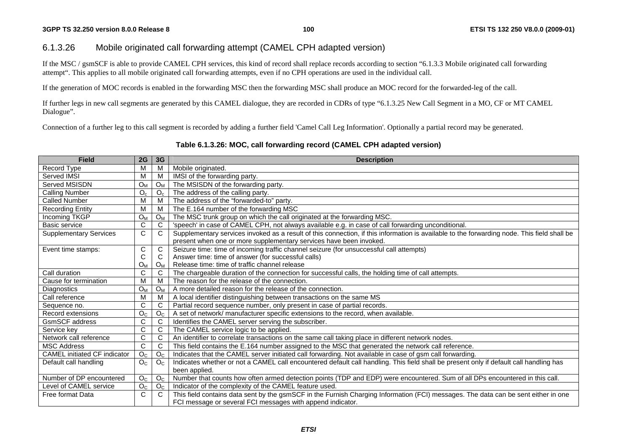## 6.1.3.26 Mobile originated call forwarding attempt (CAMEL CPH adapted version)

If the MSC / gsmSCF is able to provide CAMEL CPH services, this kind of record shall replace records according to section "6.1.3.3 Mobile originated call forwarding attempt". This applies to all mobile originated call forwarding attempts, even if no CPH operations are used in the individual call.

If the generation of MOC records is enabled in the forwarding MSC then the forwarding MSC shall produce an MOC record for the forwarded-leg of the call.

If further legs in new call segments are generated by this CAMEL dialogue, they are recorded in CDRs of type "6.1.3.25 New Call Segment in a MO, CF or MT CAMEL Dialogue".

Connection of a further leg to this call segment is recorded by adding a further field 'Camel Call Leg Information'. Optionally a partial record may be generated.

#### **Table 6.1.3.26: MOC, call forwarding record (CAMEL CPH adapted version)**

| <b>Field</b>                        | 2G             | 3G             | <b>Description</b>                                                                                                                          |
|-------------------------------------|----------------|----------------|---------------------------------------------------------------------------------------------------------------------------------------------|
| Record Type                         | M              | M              | Mobile originated.                                                                                                                          |
| Served IMSI                         | M              | м              | IMSI of the forwarding party.                                                                                                               |
| Served MSISDN                       | $O_{M}$        | $O_M$          | The MSISDN of the forwarding party.                                                                                                         |
| <b>Calling Number</b>               | $O_c$          | O <sub>c</sub> | The address of the calling party.                                                                                                           |
| <b>Called Number</b>                | M              | M              | The address of the "forwarded-to" party.                                                                                                    |
| <b>Recording Entity</b>             | M              | M              | The E.164 number of the forwarding MSC                                                                                                      |
| Incoming TKGP                       | O <sub>M</sub> | $O_{M}$        | The MSC trunk group on which the call originated at the forwarding MSC.                                                                     |
| <b>Basic service</b>                | $\mathsf{C}$   | C              | 'speech' in case of CAMEL CPH, not always available e.g. in case of call forwarding unconditional.                                          |
| <b>Supplementary Services</b>       | C              | C              | Supplementary services invoked as a result of this connection, if this information is available to the forwarding node. This field shall be |
|                                     |                |                | present when one or more supplementary services have been invoked.                                                                          |
| Event time stamps:                  | C              | C              | Seizure time: time of incoming traffic channel seizure (for unsuccessful call attempts)                                                     |
|                                     | C              | C              | Answer time: time of answer (for successful calls)                                                                                          |
|                                     | $O_{M}$        | $O_{M}$        | Release time: time of traffic channel release                                                                                               |
| Call duration                       | C              | C              | The chargeable duration of the connection for successful calls, the holding time of call attempts.                                          |
| Cause for termination               | M              | M              | The reason for the release of the connection.                                                                                               |
| Diagnostics                         | $O_{M}$        | $O_{M}$        | A more detailed reason for the release of the connection.                                                                                   |
| Call reference                      | M              | м              | A local identifier distinguishing between transactions on the same MS                                                                       |
| Sequence no.                        | C              | C              | Partial record sequence number, only present in case of partial records.                                                                    |
| Record extensions                   | O <sub>C</sub> | O <sub>C</sub> | A set of network/ manufacturer specific extensions to the record, when available.                                                           |
| <b>GsmSCF</b> address               | C              | C              | Identifies the CAMEL server serving the subscriber.                                                                                         |
| Service key                         | $\mathbf C$    | C              | The CAMEL service logic to be applied.                                                                                                      |
| Network call reference              | $\mathbf C$    | C              | An identifier to correlate transactions on the same call taking place in different network nodes.                                           |
| <b>MSC Address</b>                  | $\mathbf C$    | C              | This field contains the E.164 number assigned to the MSC that generated the network call reference.                                         |
| <b>CAMEL</b> initiated CF indicator | O <sub>C</sub> | O <sub>C</sub> | Indicates that the CAMEL server initiated call forwarding. Not available in case of gsm call forwarding.                                    |
| Default call handling               | O <sub>C</sub> | O <sub>C</sub> | Indicates whether or not a CAMEL call encountered default call handling. This field shall be present only if default call handling has      |
|                                     |                |                | been applied.                                                                                                                               |
| Number of DP encountered            | O <sub>C</sub> | O <sub>C</sub> | Number that counts how often armed detection points (TDP and EDP) were encountered. Sum of all DPs encountered in this call.                |
| Level of CAMEL service              | O <sub>C</sub> | O <sub>C</sub> | Indicator of the complexity of the CAMEL feature used.                                                                                      |
| Free format Data                    | C              | C              | This field contains data sent by the gsmSCF in the Furnish Charging Information (FCI) messages. The data can be sent either in one          |
|                                     |                |                | FCI message or several FCI messages with append indicator.                                                                                  |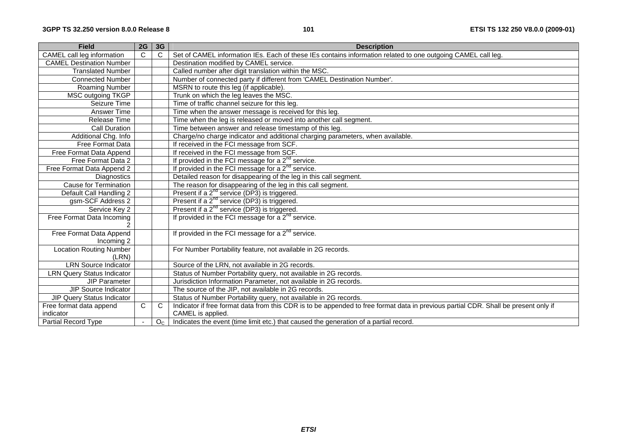| <b>Field</b>                          | 2G             | 3G             | <b>Description</b>                                                                                                                  |
|---------------------------------------|----------------|----------------|-------------------------------------------------------------------------------------------------------------------------------------|
| <b>CAMEL</b> call leg information     | C              | $\mathsf{C}$   | Set of CAMEL information IEs. Each of these IEs contains information related to one outgoing CAMEL call leg.                        |
| <b>CAMEL Destination Number</b>       |                |                | Destination modified by CAMEL service.                                                                                              |
| <b>Translated Number</b>              |                |                | Called number after digit translation within the MSC.                                                                               |
| <b>Connected Number</b>               |                |                | Number of connected party if different from 'CAMEL Destination Number'.                                                             |
| Roaming Number                        |                |                | MSRN to route this leg (if applicable).                                                                                             |
| MSC outgoing TKGP                     |                |                | Trunk on which the leg leaves the MSC.                                                                                              |
| Seizure Time                          |                |                | Time of traffic channel seizure for this leg.                                                                                       |
| Answer Time                           |                |                | Time when the answer message is received for this leg.                                                                              |
| Release Time                          |                |                | Time when the leg is released or moved into another call segment.                                                                   |
| <b>Call Duration</b>                  |                |                | Time between answer and release timestamp of this leg.                                                                              |
| Additional Chg. Info                  |                |                | Charge/no charge indicator and additional charging parameters, when available.                                                      |
| Free Format Data                      |                |                | If received in the FCI message from SCF.                                                                                            |
| Free Format Data Append               |                |                | If received in the FCI message from SCF.                                                                                            |
| Free Format Data 2                    |                |                | If provided in the FCI message for a $2^{nd}$ service.                                                                              |
| Free Format Data Append 2             |                |                | If provided in the FCI message for a $2^{nd}$ service.                                                                              |
| Diagnostics                           |                |                | Detailed reason for disappearing of the leg in this call segment.                                                                   |
| <b>Cause for Termination</b>          |                |                | The reason for disappearing of the leg in this call segment.                                                                        |
| Default Call Handling 2               |                |                | Present if a 2 <sup>nd</sup> service (DP3) is triggered.                                                                            |
| gsm-SCF Address 2                     |                |                | Present if a $2^{nd}$ service (DP3) is triggered.                                                                                   |
| Service Key 2                         |                |                | Present if a $2^{nd}$ service (DP3) is triggered.                                                                                   |
| Free Format Data Incoming             |                |                | If provided in the FCI message for a $2^{nd}$ service.                                                                              |
| Free Format Data Append<br>Incoming 2 |                |                | If provided in the FCI message for a $2^{nd}$ service.                                                                              |
| <b>Location Routing Number</b>        |                |                | For Number Portability feature, not available in 2G records.                                                                        |
| (LRN)                                 |                |                |                                                                                                                                     |
| <b>LRN</b> Source Indicator           |                |                | Source of the LRN, not available in 2G records.                                                                                     |
| <b>LRN Query Status Indicator</b>     |                |                | Status of Number Portability query, not available in 2G records.                                                                    |
| <b>JIP Parameter</b>                  |                |                | Jurisdiction Information Parameter, not available in 2G records.                                                                    |
| JIP Source Indicator                  |                |                | The source of the JIP, not available in 2G records.                                                                                 |
| <b>JIP Query Status Indicator</b>     |                |                | Status of Number Portability query, not available in 2G records.                                                                    |
| Free format data append               | C              | $\mathsf{C}$   | Indicator if free format data from this CDR is to be appended to free format data in previous partial CDR. Shall be present only if |
| indicator                             |                |                | CAMEL is applied.                                                                                                                   |
| <b>Partial Record Type</b>            | $\blacksquare$ | O <sub>C</sub> | Indicates the event (time limit etc.) that caused the generation of a partial record.                                               |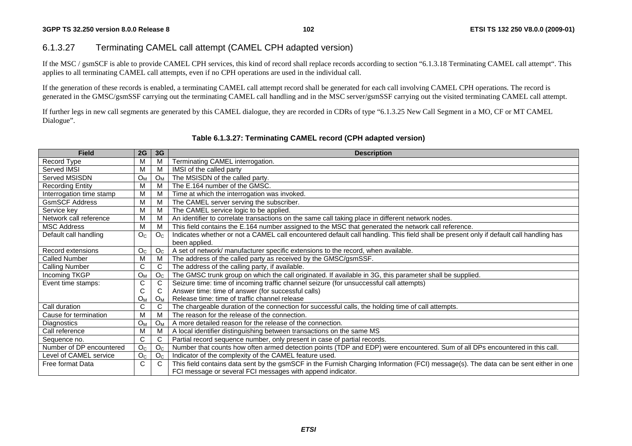## 6.1.3.27 Terminating CAMEL call attempt (CAMEL CPH adapted version)

If the MSC / gsmSCF is able to provide CAMEL CPH services, this kind of record shall replace records according to section "6.1.3.18 Terminating CAMEL call attempt". This applies to all terminating CAMEL call attempts, even if no CPH operations are used in the individual call.

If the generation of these records is enabled, a terminating CAMEL call attempt record shall be generated for each call involving CAMEL CPH operations. The record is generated in the GMSC/gsmSSF carrying out the terminating CAMEL call handling and in the MSC server/gsmSSF carrying out the visited terminating CAMEL call attempt.

If further legs in new call segments are generated by this CAMEL dialogue, they are recorded in CDRs of type "6.1.3.25 New Call Segment in a MO, CF or MT CAMEL Dialogue".

| <b>Field</b>             | 2G             | 3 <sub>G</sub>        | <b>Description</b>                                                                                                                                      |
|--------------------------|----------------|-----------------------|---------------------------------------------------------------------------------------------------------------------------------------------------------|
| Record Type              | M              | M                     | Terminating CAMEL interrogation.                                                                                                                        |
| Served IMSI              | M              | M                     | IMSI of the called party                                                                                                                                |
| Served MSISDN            | $O_M$          | $O_M$                 | The MSISDN of the called party.                                                                                                                         |
| <b>Recording Entity</b>  | M              | м                     | The E.164 number of the GMSC.                                                                                                                           |
| Interrogation time stamp | M              | M                     | Time at which the interrogation was invoked.                                                                                                            |
| <b>GsmSCF Address</b>    | M              | М                     | The CAMEL server serving the subscriber.                                                                                                                |
| Service key              | M              | М                     | The CAMEL service logic to be applied.                                                                                                                  |
| Network call reference   | M              | M                     | An identifier to correlate transactions on the same call taking place in different network nodes.                                                       |
| <b>MSC Address</b>       | M              | М                     | This field contains the E.164 number assigned to the MSC that generated the network call reference.                                                     |
| Default call handling    | O <sub>C</sub> | O <sub>C</sub>        | Indicates whether or not a CAMEL call encountered default call handling. This field shall be present only if default call handling has<br>been applied. |
| Record extensions        | O <sub>C</sub> | O <sub>C</sub>        | A set of network/ manufacturer specific extensions to the record, when available.                                                                       |
| Called Number            | M              | M                     | The address of the called party as received by the GMSC/gsmSSF.                                                                                         |
| <b>Calling Number</b>    | C              | C                     | The address of the calling party, if available.                                                                                                         |
| Incoming TKGP            | $O_{M}$        | O <sub>C</sub>        | The GMSC trunk group on which the call originated. If available in 3G, this parameter shall be supplied.                                                |
| Event time stamps:       | С              | С                     | Seizure time: time of incoming traffic channel seizure (for unsuccessful call attempts)                                                                 |
|                          | С              | С                     | Answer time: time of answer (for successful calls)                                                                                                      |
|                          | $O_{M}$        | Oм                    | Release time: time of traffic channel release                                                                                                           |
| Call duration            | $\mathsf{C}$   | C                     | The chargeable duration of the connection for successful calls, the holding time of call attempts.                                                      |
| Cause for termination    | м              | M                     | The reason for the release of the connection.                                                                                                           |
| Diagnostics              | O <sub>M</sub> | <b>O</b> <sub>M</sub> | A more detailed reason for the release of the connection.                                                                                               |
| Call reference           | M              | M                     | A local identifier distinguishing between transactions on the same MS                                                                                   |
| Sequence no.             | C              | C                     | Partial record sequence number, only present in case of partial records.                                                                                |
| Number of DP encountered | O <sub>C</sub> | O <sub>C</sub>        | Number that counts how often armed detection points (TDP and EDP) were encountered. Sum of all DPs encountered in this call.                            |
| Level of CAMEL service   | O <sub>C</sub> | O <sub>C</sub>        | Indicator of the complexity of the CAMEL feature used.                                                                                                  |
| Free format Data         | C              | C                     | This field contains data sent by the gsmSCF in the Furnish Charging Information (FCI) message(s). The data can be sent either in one                    |
|                          |                |                       | FCI message or several FCI messages with append indicator.                                                                                              |

## **Table 6.1.3.27: Terminating CAMEL record (CPH adapted version)**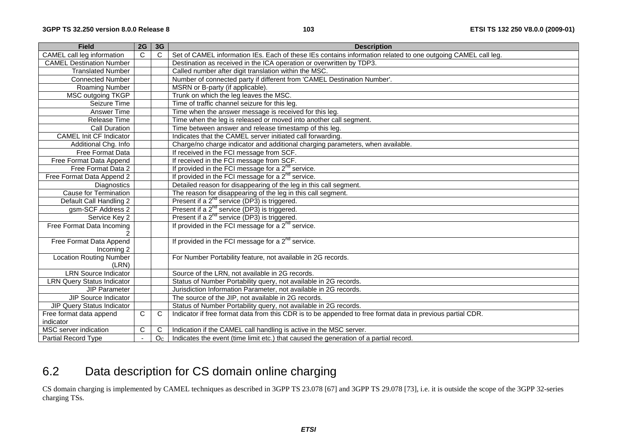| <b>Field</b>                                 | 2G             | 3G             | <b>Description</b>                                                                                           |
|----------------------------------------------|----------------|----------------|--------------------------------------------------------------------------------------------------------------|
| CAMEL call leg information                   | $\overline{C}$ | $\overline{C}$ | Set of CAMEL information IEs. Each of these IEs contains information related to one outgoing CAMEL call leg. |
| <b>CAMEL Destination Number</b>              |                |                | Destination as received in the ICA operation or overwritten by TDP3.                                         |
| <b>Translated Number</b>                     |                |                | Called number after digit translation within the MSC.                                                        |
| <b>Connected Number</b>                      |                |                | Number of connected party if different from 'CAMEL Destination Number'.                                      |
| Roaming Number                               |                |                | MSRN or B-party (if applicable).                                                                             |
| <b>MSC outgoing TKGP</b>                     |                |                | Trunk on which the leg leaves the MSC.                                                                       |
| Seizure Time                                 |                |                | Time of traffic channel seizure for this leg.                                                                |
| Answer Time                                  |                |                | Time when the answer message is received for this leg.                                                       |
| Release Time                                 |                |                | Time when the leg is released or moved into another call segment.                                            |
| Call Duration                                |                |                | Time between answer and release timestamp of this leg.                                                       |
| <b>CAMEL Init CF Indicator</b>               |                |                | Indicates that the CAMEL server initiated call forwarding.                                                   |
| Additional Chg. Info                         |                |                | Charge/no charge indicator and additional charging parameters, when available.                               |
| Free Format Data                             |                |                | If received in the FCI message from SCF.                                                                     |
| Free Format Data Append                      |                |                | If received in the FCI message from SCF.                                                                     |
| Free Format Data 2                           |                |                | If provided in the FCI message for a $2^{nd}$ service.                                                       |
| Free Format Data Append 2                    |                |                | If provided in the FCI message for a $2^{nd}$ service.                                                       |
| Diagnostics                                  |                |                | Detailed reason for disappearing of the leg in this call segment.                                            |
| <b>Cause for Termination</b>                 |                |                | The reason for disappearing of the leg in this call segment.                                                 |
| Default Call Handling 2                      |                |                | Present if a 2 <sup>nd</sup> service (DP3) is triggered.                                                     |
| gsm-SCF Address 2                            |                |                | Present if a $2^{nd}$ service (DP3) is triggered.                                                            |
| Service Key 2                                |                |                | Present if a 2 <sup>nd</sup> service (DP3) is triggered.                                                     |
| Free Format Data Incoming                    |                |                | If provided in the FCI message for a $2^{n\sigma}$ service.                                                  |
|                                              |                |                |                                                                                                              |
| Free Format Data Append                      |                |                | If provided in the FCI message for a 2 <sup>nd</sup> service.                                                |
| Incoming 2<br><b>Location Routing Number</b> |                |                |                                                                                                              |
| (LRN)                                        |                |                | For Number Portability feature, not available in 2G records.                                                 |
| <b>LRN Source Indicator</b>                  |                |                | Source of the LRN, not available in 2G records.                                                              |
| <b>LRN Query Status Indicator</b>            |                |                | Status of Number Portability query, not available in 2G records.                                             |
| <b>JIP Parameter</b>                         |                |                | Jurisdiction Information Parameter, not available in 2G records.                                             |
| JIP Source Indicator                         |                |                | The source of the JIP, not available in 2G records.                                                          |
| JIP Query Status Indicator                   |                |                | Status of Number Portability query, not available in 2G records.                                             |
| Free format data append                      | $\mathsf{C}$   | $\overline{C}$ | Indicator if free format data from this CDR is to be appended to free format data in previous partial CDR.   |
| indicator                                    |                |                |                                                                                                              |
| MSC server indication                        | C              | C              | Indication if the CAMEL call handling is active in the MSC server.                                           |
| Partial Record Type                          | $\sim$         | O <sub>C</sub> | Indicates the event (time limit etc.) that caused the generation of a partial record.                        |

# 6.2 Data description for CS domain online charging

CS domain charging is implemented by CAMEL techniques as described in 3GPP TS 23.078 [67] and 3GPP TS 29.078 [73], i.e. it is outside the scope of the 3GPP 32-series charging TSs.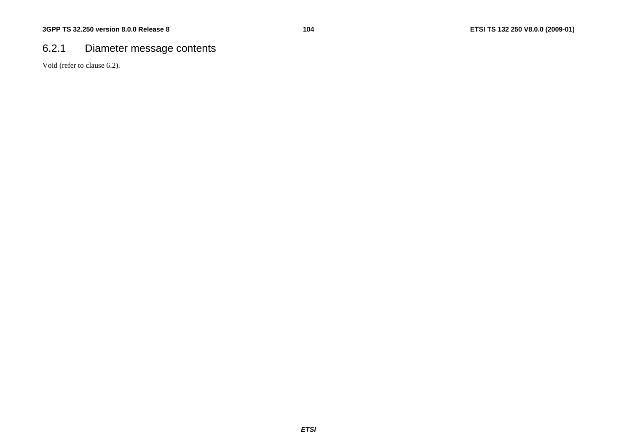# 6.2.1 Diameter message contents

Void (refer to clause 6.2).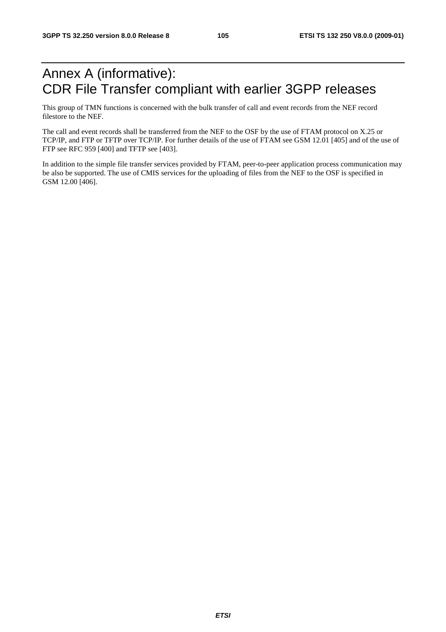# Annex A (informative): CDR File Transfer compliant with earlier 3GPP releases

This group of TMN functions is concerned with the bulk transfer of call and event records from the NEF record filestore to the NEF.

The call and event records shall be transferred from the NEF to the OSF by the use of FTAM protocol on X.25 or TCP/IP, and FTP or TFTP over TCP/IP. For further details of the use of FTAM see GSM 12.01 [405] and of the use of FTP see RFC 959 [400] and TFTP see [403].

In addition to the simple file transfer services provided by FTAM, peer-to-peer application process communication may be also be supported. The use of CMIS services for the uploading of files from the NEF to the OSF is specified in GSM 12.00 [406].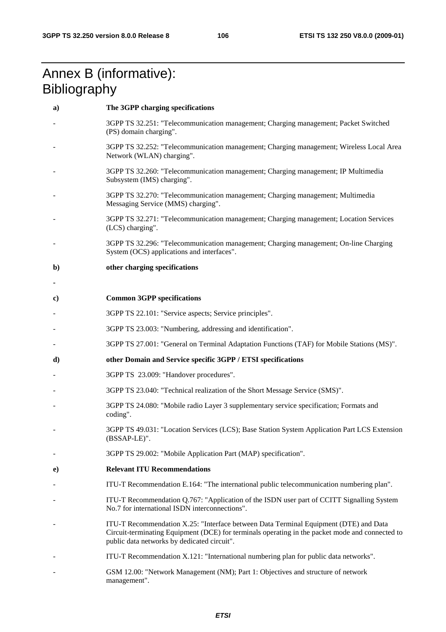# Annex B (informative): **Bibliography**

| a) | The 3GPP charging specifications                                                                                                                                                                                                       |
|----|----------------------------------------------------------------------------------------------------------------------------------------------------------------------------------------------------------------------------------------|
|    | 3GPP TS 32.251: "Telecommunication management; Charging management; Packet Switched<br>(PS) domain charging".                                                                                                                          |
|    | 3GPP TS 32.252: "Telecommunication management; Charging management; Wireless Local Area<br>Network (WLAN) charging".                                                                                                                   |
|    | 3GPP TS 32.260: "Telecommunication management; Charging management; IP Multimedia<br>Subsystem (IMS) charging".                                                                                                                        |
|    | 3GPP TS 32.270: "Telecommunication management; Charging management; Multimedia<br>Messaging Service (MMS) charging".                                                                                                                   |
|    | 3GPP TS 32.271: "Telecommunication management; Charging management; Location Services<br>(LCS) charging".                                                                                                                              |
|    | 3GPP TS 32.296: "Telecommunication management; Charging management; On-line Charging<br>System (OCS) applications and interfaces".                                                                                                     |
| b) | other charging specifications                                                                                                                                                                                                          |
|    |                                                                                                                                                                                                                                        |
| C) | <b>Common 3GPP specifications</b>                                                                                                                                                                                                      |
|    | 3GPP TS 22.101: "Service aspects; Service principles".                                                                                                                                                                                 |
|    | 3GPP TS 23.003: "Numbering, addressing and identification".                                                                                                                                                                            |
|    | 3GPP TS 27.001: "General on Terminal Adaptation Functions (TAF) for Mobile Stations (MS)".                                                                                                                                             |
| d) | other Domain and Service specific 3GPP / ETSI specifications                                                                                                                                                                           |
|    | 3GPP TS 23.009: "Handover procedures".                                                                                                                                                                                                 |
|    | 3GPP TS 23.040: "Technical realization of the Short Message Service (SMS)".                                                                                                                                                            |
|    | 3GPP TS 24.080: "Mobile radio Layer 3 supplementary service specification; Formats and<br>coding".                                                                                                                                     |
|    | 3GPP TS 49.031: "Location Services (LCS); Base Station System Application Part LCS Extension<br>(BSSAP-LE)".                                                                                                                           |
|    | 3GPP TS 29.002: "Mobile Application Part (MAP) specification".                                                                                                                                                                         |
| e) | <b>Relevant ITU Recommendations</b>                                                                                                                                                                                                    |
|    | ITU-T Recommendation E.164: "The international public telecommunication numbering plan".                                                                                                                                               |
|    | ITU-T Recommendation Q.767: "Application of the ISDN user part of CCITT Signalling System<br>No.7 for international ISDN interconnections".                                                                                            |
|    | ITU-T Recommendation X.25: "Interface between Data Terminal Equipment (DTE) and Data<br>Circuit-terminating Equipment (DCE) for terminals operating in the packet mode and connected to<br>public data networks by dedicated circuit". |
|    | ITU-T Recommendation X.121: "International numbering plan for public data networks".                                                                                                                                                   |
|    | GSM 12.00: "Network Management (NM); Part 1: Objectives and structure of network<br>management".                                                                                                                                       |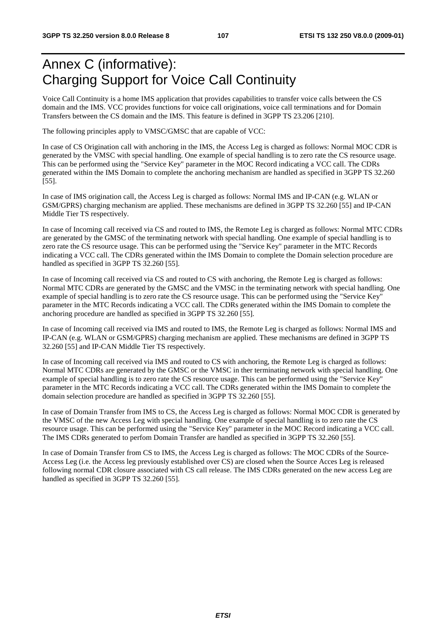# Annex C (informative): Charging Support for Voice Call Continuity

Voice Call Continuity is a home IMS application that provides capabilities to transfer voice calls between the CS domain and the IMS. VCC provides functions for voice call originations, voice call terminations and for Domain Transfers between the CS domain and the IMS. This feature is defined in 3GPP TS 23.206 [210].

The following principles apply to VMSC/GMSC that are capable of VCC:

In case of CS Origination call with anchoring in the IMS, the Access Leg is charged as follows: Normal MOC CDR is generated by the VMSC with special handling. One example of special handling is to zero rate the CS resource usage. This can be performed using the "Service Key" parameter in the MOC Record indicating a VCC call. The CDRs generated within the IMS Domain to complete the anchoring mechanism are handled as specified in 3GPP TS 32.260 [55].

In case of IMS origination call, the Access Leg is charged as follows: Normal IMS and IP-CAN (e.g. WLAN or GSM/GPRS) charging mechanism are applied. These mechanisms are defined in 3GPP TS 32.260 [55] and IP-CAN Middle Tier TS respectively.

In case of Incoming call received via CS and routed to IMS, the Remote Leg is charged as follows: Normal MTC CDRs are generated by the GMSC of the terminating network with special handling. One example of special handling is to zero rate the CS resource usage. This can be performed using the "Service Key" parameter in the MTC Records indicating a VCC call. The CDRs generated within the IMS Domain to complete the Domain selection procedure are handled as specified in 3GPP TS 32.260 [55].

In case of Incoming call received via CS and routed to CS with anchoring, the Remote Leg is charged as follows: Normal MTC CDRs are generated by the GMSC and the VMSC in the terminating network with special handling. One example of special handling is to zero rate the CS resource usage. This can be performed using the "Service Key" parameter in the MTC Records indicating a VCC call. The CDRs generated within the IMS Domain to complete the anchoring procedure are handled as specified in 3GPP TS 32.260 [55].

In case of Incoming call received via IMS and routed to IMS, the Remote Leg is charged as follows: Normal IMS and IP-CAN (e.g. WLAN or GSM/GPRS) charging mechanism are applied. These mechanisms are defined in 3GPP TS 32.260 [55] and IP-CAN Middle Tier TS respectively.

In case of Incoming call received via IMS and routed to CS with anchoring, the Remote Leg is charged as follows: Normal MTC CDRs are generated by the GMSC or the VMSC in ther terminating network with special handling. One example of special handling is to zero rate the CS resource usage. This can be performed using the "Service Key" parameter in the MTC Records indicating a VCC call. The CDRs generated within the IMS Domain to complete the domain selection procedure are handled as specified in 3GPP TS 32.260 [55].

In case of Domain Transfer from IMS to CS, the Access Leg is charged as follows: Normal MOC CDR is generated by the VMSC of the new Access Leg with special handling. One example of special handling is to zero rate the CS resource usage. This can be performed using the "Service Key" parameter in the MOC Record indicating a VCC call. The IMS CDRs generated to perfom Domain Transfer are handled as specified in 3GPP TS 32.260 [55].

In case of Domain Transfer from CS to IMS, the Access Leg is charged as follows: The MOC CDRs of the Source-Access Leg (i.e. the Access leg previously established over CS) are closed when the Source Acces Leg is released following normal CDR closure associated with CS call release. The IMS CDRs generated on the new access Leg are handled as specified in 3GPP TS 32.260 [55].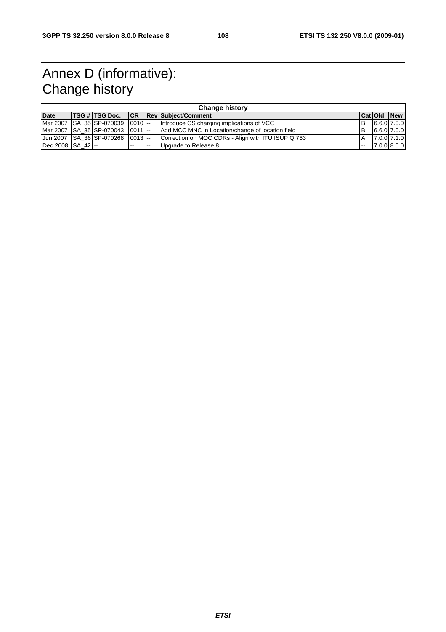## Annex D (informative): Change history

| <b>Change history</b> |  |                                          |   |        |                                                    |     |  |                    |  |  |
|-----------------------|--|------------------------------------------|---|--------|----------------------------------------------------|-----|--|--------------------|--|--|
| <b>Date</b>           |  |                                          |   |        | <b>TSG # TSG Doc.</b> CR Rev Subject/Comment       |     |  | <b>CatiOld New</b> |  |  |
|                       |  | Mar 2007   SA_35   SP-070039   0010   -- |   |        | Introduce CS charging implications of VCC          | IB. |  | $6.6.0$ 7.0.0      |  |  |
|                       |  | Mar 2007   SA 35   SP-070043   0011   -- |   |        | Add MCC MNC in Location/change of location field   | IB. |  | $6.6.0$ 7.0.0      |  |  |
|                       |  | Jun 2007   SA 36   SP-070268   0013   -- |   |        | Correction on MOC CDRs - Align with ITU ISUP Q.763 | A   |  | 7.0.0 7.1.0        |  |  |
| Dec 2008 SA 42 --     |  |                                          | . | $\sim$ | Upgrade to Release 8                               | $-$ |  | 7.0.0 8.0.0        |  |  |